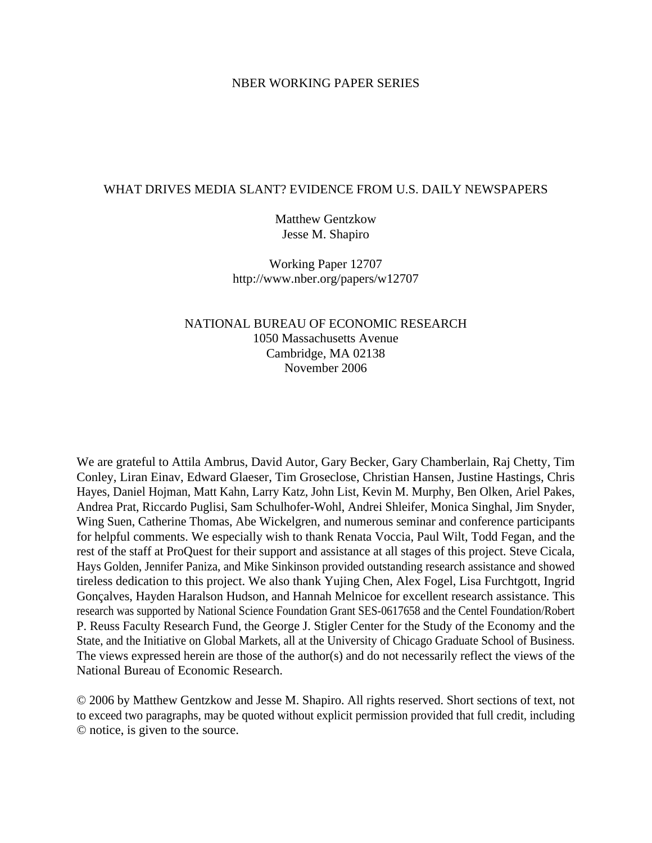### NBER WORKING PAPER SERIES

## WHAT DRIVES MEDIA SLANT? EVIDENCE FROM U.S. DAILY NEWSPAPERS

Matthew Gentzkow Jesse M. Shapiro

Working Paper 12707 http://www.nber.org/papers/w12707

## NATIONAL BUREAU OF ECONOMIC RESEARCH 1050 Massachusetts Avenue Cambridge, MA 02138 November 2006

We are grateful to Attila Ambrus, David Autor, Gary Becker, Gary Chamberlain, Raj Chetty, Tim Conley, Liran Einav, Edward Glaeser, Tim Groseclose, Christian Hansen, Justine Hastings, Chris Hayes, Daniel Hojman, Matt Kahn, Larry Katz, John List, Kevin M. Murphy, Ben Olken, Ariel Pakes, Andrea Prat, Riccardo Puglisi, Sam Schulhofer-Wohl, Andrei Shleifer, Monica Singhal, Jim Snyder, Wing Suen, Catherine Thomas, Abe Wickelgren, and numerous seminar and conference participants for helpful comments. We especially wish to thank Renata Voccia, Paul Wilt, Todd Fegan, and the rest of the staff at ProQuest for their support and assistance at all stages of this project. Steve Cicala, Hays Golden, Jennifer Paniza, and Mike Sinkinson provided outstanding research assistance and showed tireless dedication to this project. We also thank Yujing Chen, Alex Fogel, Lisa Furchtgott, Ingrid Gonçalves, Hayden Haralson Hudson, and Hannah Melnicoe for excellent research assistance. This research was supported by National Science Foundation Grant SES-0617658 and the Centel Foundation/Robert P. Reuss Faculty Research Fund, the George J. Stigler Center for the Study of the Economy and the State, and the Initiative on Global Markets, all at the University of Chicago Graduate School of Business. The views expressed herein are those of the author(s) and do not necessarily reflect the views of the National Bureau of Economic Research.

© 2006 by Matthew Gentzkow and Jesse M. Shapiro. All rights reserved. Short sections of text, not to exceed two paragraphs, may be quoted without explicit permission provided that full credit, including © notice, is given to the source.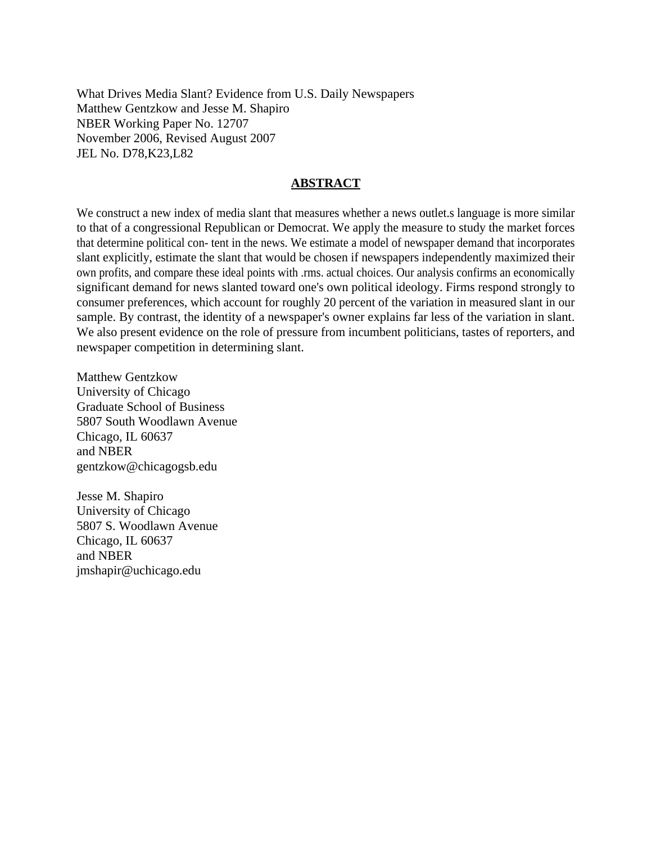What Drives Media Slant? Evidence from U.S. Daily Newspapers Matthew Gentzkow and Jesse M. Shapiro NBER Working Paper No. 12707 November 2006, Revised August 2007 JEL No. D78,K23,L82

### **ABSTRACT**

We construct a new index of media slant that measures whether a news outlet slanguage is more similar to that of a congressional Republican or Democrat. We apply the measure to study the market forces that determine political con- tent in the news. We estimate a model of newspaper demand that incorporates slant explicitly, estimate the slant that would be chosen if newspapers independently maximized their own profits, and compare these ideal points with .rms. actual choices. Our analysis confirms an economically significant demand for news slanted toward one's own political ideology. Firms respond strongly to consumer preferences, which account for roughly 20 percent of the variation in measured slant in our sample. By contrast, the identity of a newspaper's owner explains far less of the variation in slant. We also present evidence on the role of pressure from incumbent politicians, tastes of reporters, and newspaper competition in determining slant.

Matthew Gentzkow University of Chicago Graduate School of Business 5807 South Woodlawn Avenue Chicago, IL 60637 and NBER gentzkow@chicagogsb.edu

Jesse M. Shapiro University of Chicago 5807 S. Woodlawn Avenue Chicago, IL 60637 and NBER jmshapir@uchicago.edu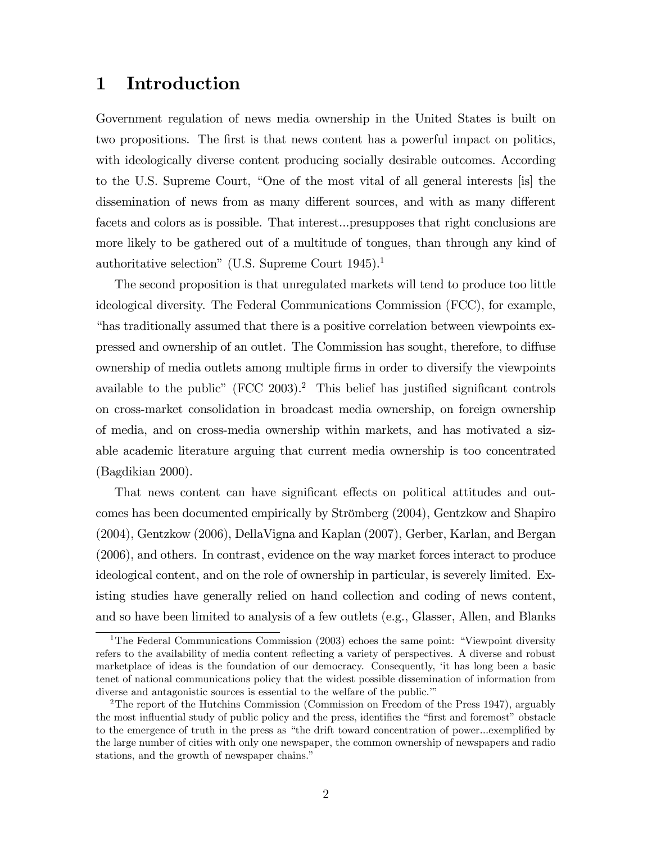# 1 Introduction

Government regulation of news media ownership in the United States is built on two propositions. The first is that news content has a powerful impact on politics, with ideologically diverse content producing socially desirable outcomes. According to the U.S. Supreme Court, "One of the most vital of all general interests [is] the dissemination of news from as many different sources, and with as many different facets and colors as is possible. That interest...presupposes that right conclusions are more likely to be gathered out of a multitude of tongues, than through any kind of authoritative selection" (U.S. Supreme Court  $1945$ ).<sup>1</sup>

The second proposition is that unregulated markets will tend to produce too little ideological diversity. The Federal Communications Commission (FCC), for example, ìhas traditionally assumed that there is a positive correlation between viewpoints expressed and ownership of an outlet. The Commission has sought, therefore, to diffuse ownership of media outlets among multiple Örms in order to diversify the viewpoints available to the public" (FCC 2003).<sup>2</sup> This belief has justified significant controls on cross-market consolidation in broadcast media ownership, on foreign ownership of media, and on cross-media ownership within markets, and has motivated a sizable academic literature arguing that current media ownership is too concentrated (Bagdikian 2000).

That news content can have significant effects on political attitudes and outcomes has been documented empirically by Strömberg (2004), Gentzkow and Shapiro (2004), Gentzkow (2006), DellaVigna and Kaplan (2007), Gerber, Karlan, and Bergan (2006), and others. In contrast, evidence on the way market forces interact to produce ideological content, and on the role of ownership in particular, is severely limited. Existing studies have generally relied on hand collection and coding of news content, and so have been limited to analysis of a few outlets (e.g., Glasser, Allen, and Blanks

<sup>&</sup>lt;sup>1</sup>The Federal Communications Commission (2003) echoes the same point: "Viewpoint diversity refers to the availability of media content reflecting a variety of perspectives. A diverse and robust marketplace of ideas is the foundation of our democracy. Consequently, ëit has long been a basic tenet of national communications policy that the widest possible dissemination of information from diverse and antagonistic sources is essential to the welfare of the public.<sup>"</sup>

<sup>&</sup>lt;sup>2</sup>The report of the Hutchins Commission (Commission on Freedom of the Press 1947), arguably the most influential study of public policy and the press, identifies the "first and foremost" obstacle to the emergence of truth in the press as "the drift toward concentration of power...exemplified by the large number of cities with only one newspaper, the common ownership of newspapers and radio stations, and the growth of newspaper chains."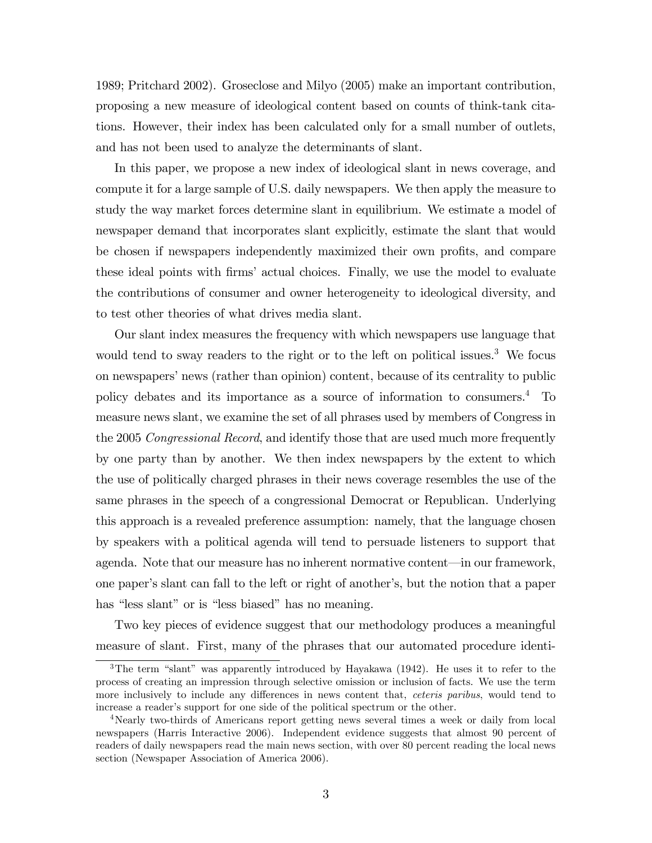1989; Pritchard 2002). Groseclose and Milyo (2005) make an important contribution, proposing a new measure of ideological content based on counts of think-tank citations. However, their index has been calculated only for a small number of outlets, and has not been used to analyze the determinants of slant.

In this paper, we propose a new index of ideological slant in news coverage, and compute it for a large sample of U.S. daily newspapers. We then apply the measure to study the way market forces determine slant in equilibrium. We estimate a model of newspaper demand that incorporates slant explicitly, estimate the slant that would be chosen if newspapers independently maximized their own profits, and compare these ideal points with firms' actual choices. Finally, we use the model to evaluate the contributions of consumer and owner heterogeneity to ideological diversity, and to test other theories of what drives media slant.

Our slant index measures the frequency with which newspapers use language that would tend to sway readers to the right or to the left on political issues.<sup>3</sup> We focus on newspapers' news (rather than opinion) content, because of its centrality to public policy debates and its importance as a source of information to consumers.<sup>4</sup> To measure news slant, we examine the set of all phrases used by members of Congress in the 2005 *Congressional Record*, and identify those that are used much more frequently by one party than by another. We then index newspapers by the extent to which the use of politically charged phrases in their news coverage resembles the use of the same phrases in the speech of a congressional Democrat or Republican. Underlying this approach is a revealed preference assumption: namely, that the language chosen by speakers with a political agenda will tend to persuade listeners to support that agenda. Note that our measure has no inherent normative content—in our framework, one paper's slant can fall to the left or right of another's, but the notion that a paper has "less slant" or is "less biased" has no meaning.

Two key pieces of evidence suggest that our methodology produces a meaningful measure of slant. First, many of the phrases that our automated procedure identi-

 $3$ The term "slant" was apparently introduced by Hayakawa (1942). He uses it to refer to the process of creating an impression through selective omission or inclusion of facts. We use the term more inclusively to include any differences in news content that, *ceteris paribus*, would tend to increase a reader's support for one side of the political spectrum or the other.

<sup>4</sup>Nearly two-thirds of Americans report getting news several times a week or daily from local newspapers (Harris Interactive 2006). Independent evidence suggests that almost 90 percent of readers of daily newspapers read the main news section, with over 80 percent reading the local news section (Newspaper Association of America 2006).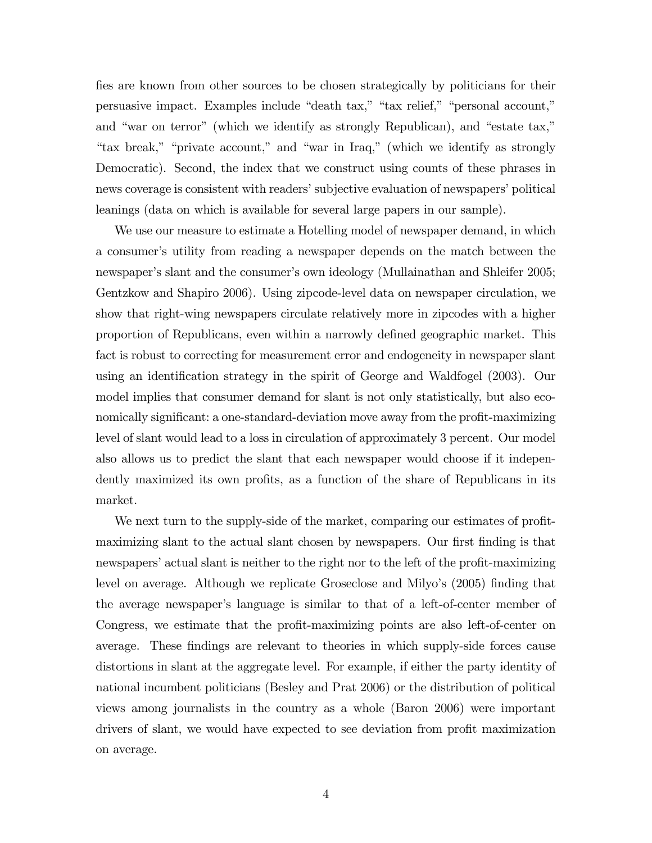fies are known from other sources to be chosen strategically by politicians for their persuasive impact. Examples include "death tax," "tax relief," "personal account," and "war on terror" (which we identify as strongly Republican), and "estate tax," "tax break," "private account," and "war in Iraq," (which we identify as strongly Democratic). Second, the index that we construct using counts of these phrases in news coverage is consistent with readers' subjective evaluation of newspapers' political leanings (data on which is available for several large papers in our sample).

We use our measure to estimate a Hotelling model of newspaper demand, in which a consumer's utility from reading a newspaper depends on the match between the newspaper's slant and the consumer's own ideology (Mullainathan and Shleifer 2005; Gentzkow and Shapiro 2006). Using zipcode-level data on newspaper circulation, we show that right-wing newspapers circulate relatively more in zipcodes with a higher proportion of Republicans, even within a narrowly defined geographic market. This fact is robust to correcting for measurement error and endogeneity in newspaper slant using an identification strategy in the spirit of George and Waldfogel (2003). Our model implies that consumer demand for slant is not only statistically, but also economically significant: a one-standard-deviation move away from the profit-maximizing level of slant would lead to a loss in circulation of approximately 3 percent. Our model also allows us to predict the slant that each newspaper would choose if it independently maximized its own profits, as a function of the share of Republicans in its market.

We next turn to the supply-side of the market, comparing our estimates of profitmaximizing slant to the actual slant chosen by newspapers. Our first finding is that newspapers' actual slant is neither to the right nor to the left of the profit-maximizing level on average. Although we replicate Groseclose and Milyo's (2005) finding that the average newspaper's language is similar to that of a left-of-center member of Congress, we estimate that the profit-maximizing points are also left-of-center on average. These findings are relevant to theories in which supply-side forces cause distortions in slant at the aggregate level. For example, if either the party identity of national incumbent politicians (Besley and Prat 2006) or the distribution of political views among journalists in the country as a whole (Baron 2006) were important drivers of slant, we would have expected to see deviation from profit maximization on average.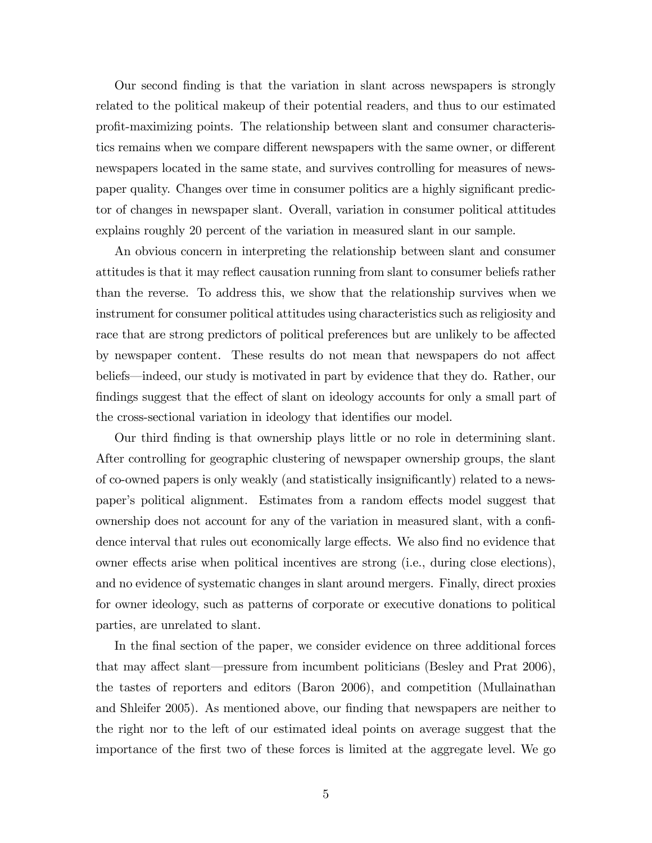Our second Önding is that the variation in slant across newspapers is strongly related to the political makeup of their potential readers, and thus to our estimated profit-maximizing points. The relationship between slant and consumer characteristics remains when we compare different newspapers with the same owner, or different newspapers located in the same state, and survives controlling for measures of newspaper quality. Changes over time in consumer politics are a highly significant predictor of changes in newspaper slant. Overall, variation in consumer political attitudes explains roughly 20 percent of the variation in measured slant in our sample.

An obvious concern in interpreting the relationship between slant and consumer attitudes is that it may reflect causation running from slant to consumer beliefs rather than the reverse. To address this, we show that the relationship survives when we instrument for consumer political attitudes using characteristics such as religiosity and race that are strong predictors of political preferences but are unlikely to be affected by newspaper content. These results do not mean that newspapers do not affect beliefs—indeed, our study is motivated in part by evidence that they do. Rather, our findings suggest that the effect of slant on ideology accounts for only a small part of the cross-sectional variation in ideology that identifies our model.

Our third Önding is that ownership plays little or no role in determining slant. After controlling for geographic clustering of newspaper ownership groups, the slant of co-owned papers is only weakly (and statistically insigniÖcantly) related to a newspaper's political alignment. Estimates from a random effects model suggest that ownership does not account for any of the variation in measured slant, with a confidence interval that rules out economically large effects. We also find no evidence that owner effects arise when political incentives are strong (i.e., during close elections), and no evidence of systematic changes in slant around mergers. Finally, direct proxies for owner ideology, such as patterns of corporate or executive donations to political parties, are unrelated to slant.

In the final section of the paper, we consider evidence on three additional forces that may affect slant—pressure from incumbent politicians (Besley and Prat 2006), the tastes of reporters and editors (Baron 2006), and competition (Mullainathan and Shleifer 2005). As mentioned above, our finding that newspapers are neither to the right nor to the left of our estimated ideal points on average suggest that the importance of the Örst two of these forces is limited at the aggregate level. We go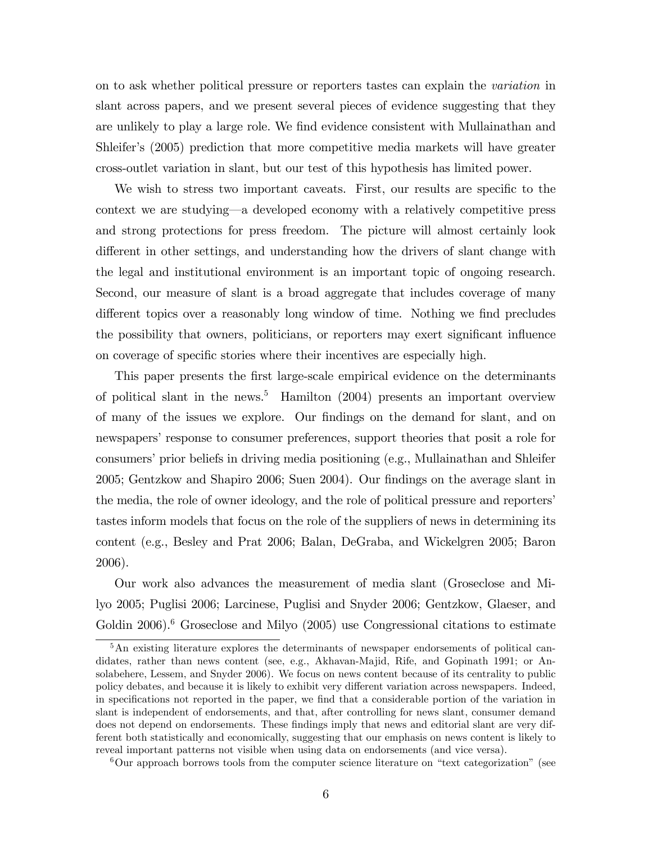on to ask whether political pressure or reporters tastes can explain the variation in slant across papers, and we present several pieces of evidence suggesting that they are unlikely to play a large role. We find evidence consistent with Mullainathan and Shleifer's (2005) prediction that more competitive media markets will have greater cross-outlet variation in slant, but our test of this hypothesis has limited power.

We wish to stress two important caveats. First, our results are specific to the context we are studying—a developed economy with a relatively competitive press and strong protections for press freedom. The picture will almost certainly look different in other settings, and understanding how the drivers of slant change with the legal and institutional environment is an important topic of ongoing research. Second, our measure of slant is a broad aggregate that includes coverage of many different topics over a reasonably long window of time. Nothing we find precludes the possibility that owners, politicians, or reporters may exert significant influence on coverage of specific stories where their incentives are especially high.

This paper presents the first large-scale empirical evidence on the determinants of political slant in the news.<sup>5</sup> Hamilton  $(2004)$  presents an important overview of many of the issues we explore. Our Öndings on the demand for slant, and on newspapers' response to consumer preferences, support theories that posit a role for consumers' prior beliefs in driving media positioning (e.g., Mullainathan and Shleifer 2005; Gentzkow and Shapiro 2006; Suen 2004). Our findings on the average slant in the media, the role of owner ideology, and the role of political pressure and reporters' tastes inform models that focus on the role of the suppliers of news in determining its content (e.g., Besley and Prat 2006; Balan, DeGraba, and Wickelgren 2005; Baron 2006).

Our work also advances the measurement of media slant (Groseclose and Milyo 2005; Puglisi 2006; Larcinese, Puglisi and Snyder 2006; Gentzkow, Glaeser, and Goldin 2006).<sup>6</sup> Groseclose and Milyo  $(2005)$  use Congressional citations to estimate

<sup>&</sup>lt;sup>5</sup>An existing literature explores the determinants of newspaper endorsements of political candidates, rather than news content (see, e.g., Akhavan-Majid, Rife, and Gopinath 1991; or Ansolabehere, Lessem, and Snyder 2006). We focus on news content because of its centrality to public policy debates, and because it is likely to exhibit very different variation across newspapers. Indeed, in specifications not reported in the paper, we find that a considerable portion of the variation in slant is independent of endorsements, and that, after controlling for news slant, consumer demand does not depend on endorsements. These findings imply that news and editorial slant are very different both statistically and economically, suggesting that our emphasis on news content is likely to reveal important patterns not visible when using data on endorsements (and vice versa).

 $6\text{Our approach borrows tools from the computer science literature on "text categorization" (see$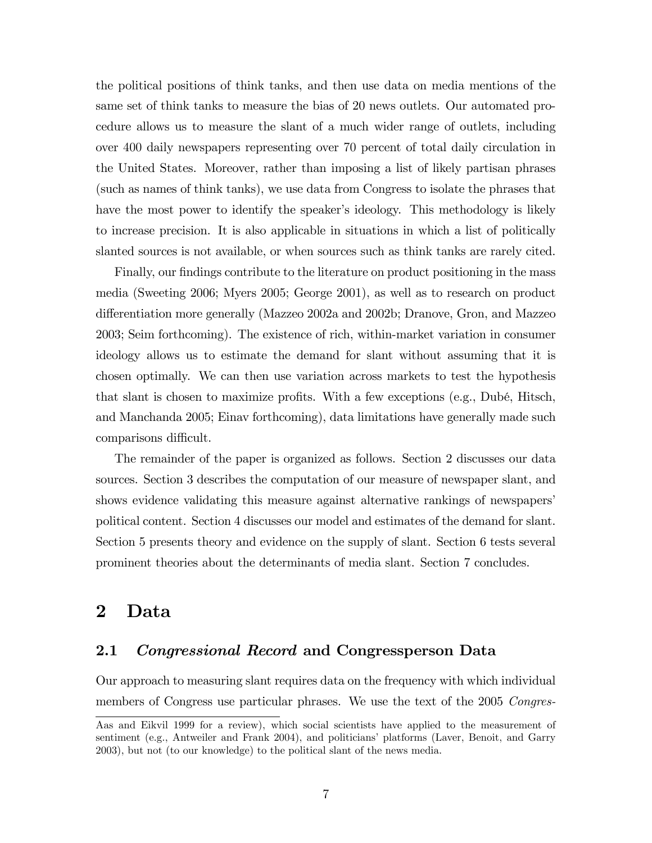the political positions of think tanks, and then use data on media mentions of the same set of think tanks to measure the bias of 20 news outlets. Our automated procedure allows us to measure the slant of a much wider range of outlets, including over 400 daily newspapers representing over 70 percent of total daily circulation in the United States. Moreover, rather than imposing a list of likely partisan phrases (such as names of think tanks), we use data from Congress to isolate the phrases that have the most power to identify the speaker's ideology. This methodology is likely to increase precision. It is also applicable in situations in which a list of politically slanted sources is not available, or when sources such as think tanks are rarely cited.

Finally, our findings contribute to the literature on product positioning in the mass media (Sweeting 2006; Myers 2005; George 2001), as well as to research on product differentiation more generally (Mazzeo 2002a and 2002b; Dranove, Gron, and Mazzeo 2003; Seim forthcoming). The existence of rich, within-market variation in consumer ideology allows us to estimate the demand for slant without assuming that it is chosen optimally. We can then use variation across markets to test the hypothesis that slant is chosen to maximize profits. With a few exceptions (e.g., Dubé, Hitsch, and Manchanda 2005; Einav forthcoming), data limitations have generally made such comparisons difficult.

The remainder of the paper is organized as follows. Section 2 discusses our data sources. Section 3 describes the computation of our measure of newspaper slant, and shows evidence validating this measure against alternative rankings of newspapers' political content. Section 4 discusses our model and estimates of the demand for slant. Section 5 presents theory and evidence on the supply of slant. Section 6 tests several prominent theories about the determinants of media slant. Section 7 concludes.

## 2 Data

## 2.1 Congressional Record and Congressperson Data

Our approach to measuring slant requires data on the frequency with which individual members of Congress use particular phrases. We use the text of the 2005 Congres-

Aas and Eikvil 1999 for a review), which social scientists have applied to the measurement of sentiment (e.g., Antweiler and Frank 2004), and politicians' platforms (Laver, Benoit, and Garry 2003), but not (to our knowledge) to the political slant of the news media.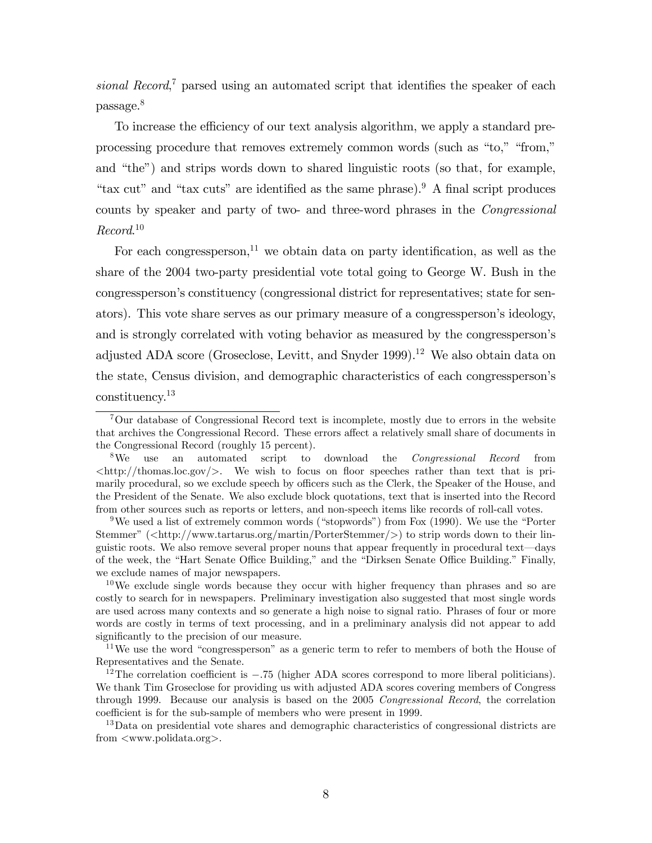sional Record,<sup>7</sup> parsed using an automated script that identifies the speaker of each passage.<sup>8</sup>

To increase the efficiency of our text analysis algorithm, we apply a standard preprocessing procedure that removes extremely common words (such as "to," "from," and "the") and strips words down to shared linguistic roots (so that, for example, "tax cut" and "tax cuts" are identified as the same phrase). $9 \text{ A final script produces}$ counts by speaker and party of two- and three-word phrases in the Congressional Record. 10

For each congressperson,<sup>11</sup> we obtain data on party identification, as well as the share of the 2004 two-party presidential vote total going to George W. Bush in the congresspersonís constituency (congressional district for representatives; state for senators). This vote share serves as our primary measure of a congressperson's ideology, and is strongly correlated with voting behavior as measured by the congressperson's adjusted ADA score (Groseclose, Levitt, and Snyder 1999).<sup>12</sup> We also obtain data on the state, Census division, and demographic characteristics of each congressperson's constituency.<sup>13</sup>

<sup>7</sup>Our database of Congressional Record text is incomplete, mostly due to errors in the website that archives the Congressional Record. These errors affect a relatively small share of documents in the Congressional Record (roughly 15 percent).

<sup>&</sup>lt;sup>8</sup>We use an automated script to download the *Congressional Record* from  $\langle \text{http://thomas.loc.gov/}\rangle$ . We wish to focus on floor speeches rather than text that is primarily procedural, so we exclude speech by officers such as the Clerk, the Speaker of the House, and the President of the Senate. We also exclude block quotations, text that is inserted into the Record from other sources such as reports or letters, and non-speech items like records of roll-call votes.

<sup>&</sup>lt;sup>9</sup>We used a list of extremely common words ("stopwords") from Fox (1990). We use the "Porter Stemmer" ( $\langle \text{http://www.tartarus.org/martin/PorterStemmer/}\rangle$ ) to strip words down to their linguistic roots. We also remove several proper nouns that appear frequently in procedural text—days of the week, the "Hart Senate Office Building," and the "Dirksen Senate Office Building." Finally, we exclude names of major newspapers.

 $10$ We exclude single words because they occur with higher frequency than phrases and so are costly to search for in newspapers. Preliminary investigation also suggested that most single words are used across many contexts and so generate a high noise to signal ratio. Phrases of four or more words are costly in terms of text processing, and in a preliminary analysis did not appear to add significantly to the precision of our measure.

<sup>&</sup>lt;sup>11</sup>We use the word "congressperson" as a generic term to refer to members of both the House of Representatives and the Senate.

<sup>&</sup>lt;sup>12</sup>The correlation coefficient is  $-.75$  (higher ADA scores correspond to more liberal politicians). We thank Tim Groseclose for providing us with adjusted ADA scores covering members of Congress through 1999. Because our analysis is based on the 2005 Congressional Record, the correlation coefficient is for the sub-sample of members who were present in 1999.

<sup>&</sup>lt;sup>13</sup>Data on presidential vote shares and demographic characteristics of congressional districts are from <www.polidata.org>.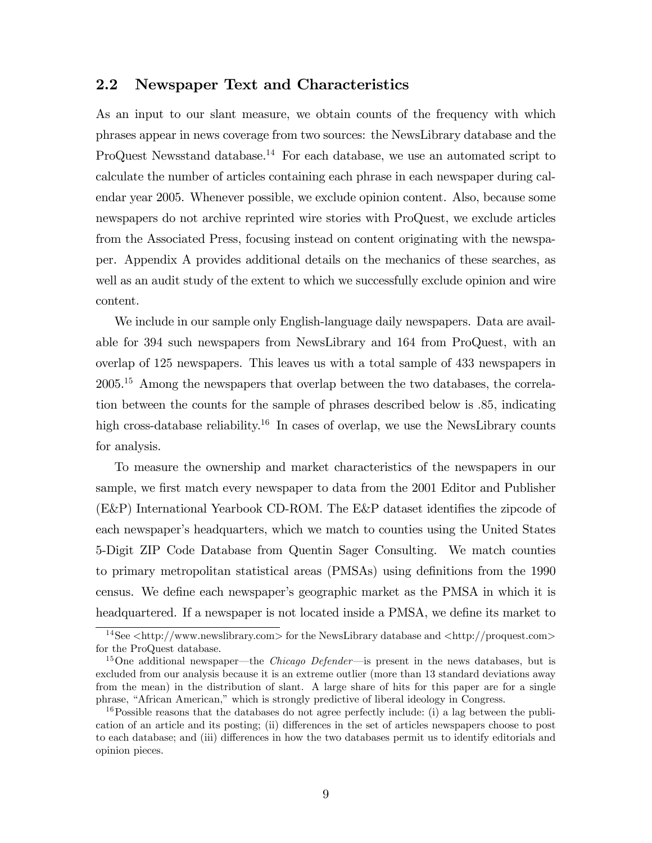## 2.2 Newspaper Text and Characteristics

As an input to our slant measure, we obtain counts of the frequency with which phrases appear in news coverage from two sources: the NewsLibrary database and the ProQuest Newsstand database.<sup>14</sup> For each database, we use an automated script to calculate the number of articles containing each phrase in each newspaper during calendar year 2005. Whenever possible, we exclude opinion content. Also, because some newspapers do not archive reprinted wire stories with ProQuest, we exclude articles from the Associated Press, focusing instead on content originating with the newspaper. Appendix A provides additional details on the mechanics of these searches, as well as an audit study of the extent to which we successfully exclude opinion and wire content.

We include in our sample only English-language daily newspapers. Data are available for 394 such newspapers from NewsLibrary and 164 from ProQuest, with an overlap of 125 newspapers. This leaves us with a total sample of 433 newspapers in 2005.<sup>15</sup> Among the newspapers that overlap between the two databases, the correlation between the counts for the sample of phrases described below is :85, indicating high cross-database reliability.<sup>16</sup> In cases of overlap, we use the NewsLibrary counts for analysis.

To measure the ownership and market characteristics of the newspapers in our sample, we first match every newspaper to data from the 2001 Editor and Publisher  $(E\&P)$  International Yearbook CD-ROM. The  $E\&P$  dataset identifies the zipcode of each newspaper's headquarters, which we match to counties using the United States 5-Digit ZIP Code Database from Quentin Sager Consulting. We match counties to primary metropolitan statistical areas (PMSAs) using definitions from the 1990 census. We define each newspaper's geographic market as the PMSA in which it is headquartered. If a newspaper is not located inside a PMSA, we define its market to

 $14$ See  $\lt$ http://www.newslibrary.com> for the NewsLibrary database and  $\lt$ http://proquest.com> for the ProQuest database.

<sup>&</sup>lt;sup>15</sup>One additional newspaper—the *Chicago Defender*—is present in the news databases, but is excluded from our analysis because it is an extreme outlier (more than 13 standard deviations away from the mean) in the distribution of slant. A large share of hits for this paper are for a single phrase, "African American," which is strongly predictive of liberal ideology in Congress.

 $16$ Possible reasons that the databases do not agree perfectly include: (i) a lag between the publication of an article and its posting; (ii) differences in the set of articles newspapers choose to post to each database; and (iii) differences in how the two databases permit us to identify editorials and opinion pieces.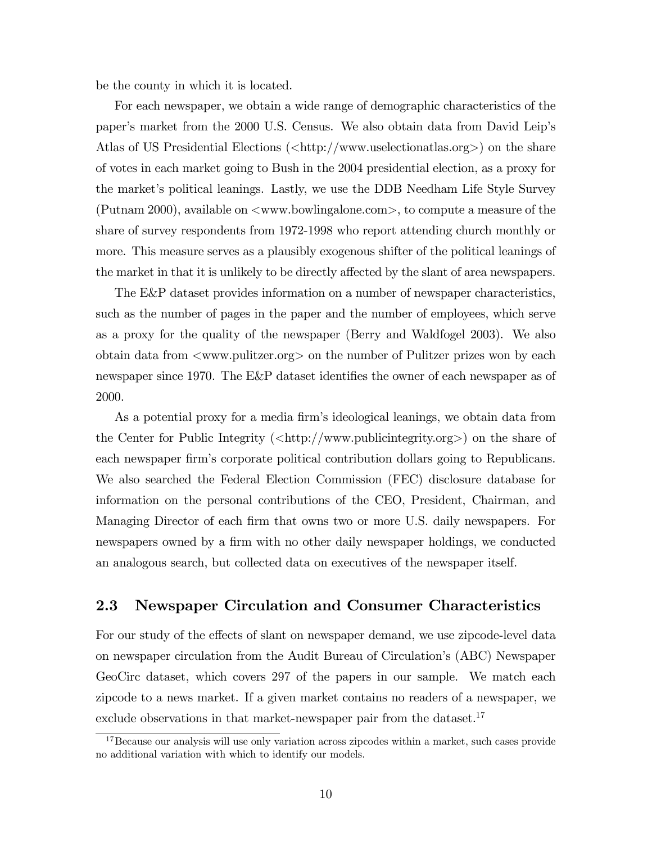be the county in which it is located.

For each newspaper, we obtain a wide range of demographic characteristics of the paper's market from the 2000 U.S. Census. We also obtain data from David Leip's Atlas of US Presidential Elections (<http://www.uselectionatlas.org>) on the share of votes in each market going to Bush in the 2004 presidential election, as a proxy for the market's political leanings. Lastly, we use the DDB Needham Life Style Survey (Putnam 2000), available on <www.bowlingalone.com>, to compute a measure of the share of survey respondents from 1972-1998 who report attending church monthly or more. This measure serves as a plausibly exogenous shifter of the political leanings of the market in that it is unlikely to be directly affected by the slant of area newspapers.

The E&P dataset provides information on a number of newspaper characteristics, such as the number of pages in the paper and the number of employees, which serve as a proxy for the quality of the newspaper (Berry and Waldfogel 2003). We also obtain data from <www.pulitzer.org> on the number of Pulitzer prizes won by each newspaper since 1970. The  $E\&P$  dataset identifies the owner of each newspaper as of 2000.

As a potential proxy for a media Örmís ideological leanings, we obtain data from the Center for Public Integrity  $\langle \text{chttp:} / / \text{www.public integrity.org} \rangle$  on the share of each newspaper firm's corporate political contribution dollars going to Republicans. We also searched the Federal Election Commission (FEC) disclosure database for information on the personal contributions of the CEO, President, Chairman, and Managing Director of each firm that owns two or more U.S. daily newspapers. For newspapers owned by a firm with no other daily newspaper holdings, we conducted an analogous search, but collected data on executives of the newspaper itself.

## 2.3 Newspaper Circulation and Consumer Characteristics

For our study of the effects of slant on newspaper demand, we use zipcode-level data on newspaper circulation from the Audit Bureau of Circulationís (ABC) Newspaper GeoCirc dataset, which covers 297 of the papers in our sample. We match each zipcode to a news market. If a given market contains no readers of a newspaper, we exclude observations in that market-newspaper pair from the dataset.<sup>17</sup>

<sup>&</sup>lt;sup>17</sup>Because our analysis will use only variation across zipcodes within a market, such cases provide no additional variation with which to identify our models.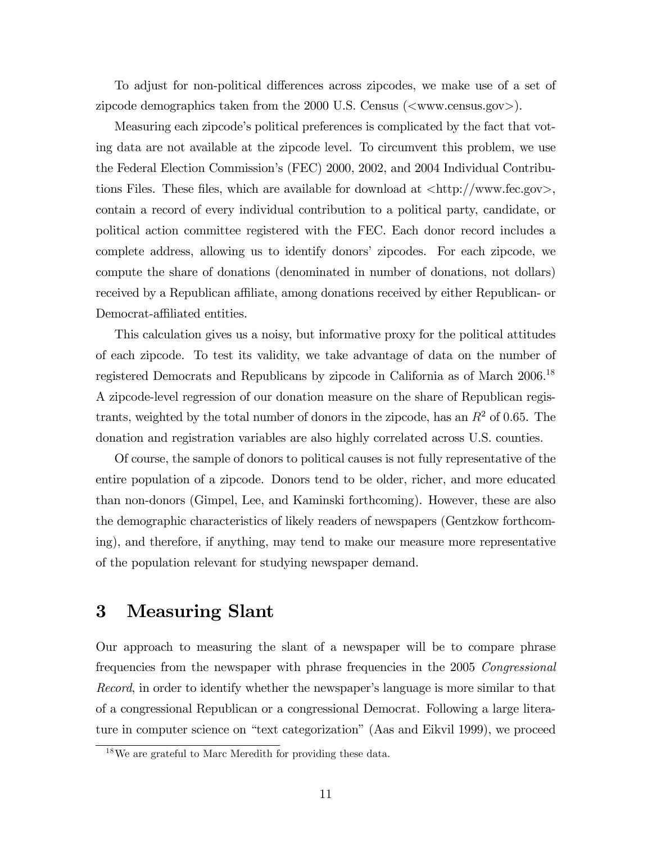To adjust for non-political differences across zipcodes, we make use of a set of zipcode demographics taken from the 2000 U.S. Census  $\left(\langle\text{www.census.gov}\rangle\right)$ .

Measuring each zipcodeís political preferences is complicated by the fact that voting data are not available at the zipcode level. To circumvent this problem, we use the Federal Election Commission's (FEC) 2000, 2002, and 2004 Individual Contributions Files. These files, which are available for download at  $\langle \text{http://www.fec.gov>},$ contain a record of every individual contribution to a political party, candidate, or political action committee registered with the FEC. Each donor record includes a complete address, allowing us to identify donors' zipcodes. For each zipcode, we compute the share of donations (denominated in number of donations, not dollars) received by a Republican affiliate, among donations received by either Republican- or Democrat-affiliated entities.

This calculation gives us a noisy, but informative proxy for the political attitudes of each zipcode. To test its validity, we take advantage of data on the number of registered Democrats and Republicans by zipcode in California as of March 2006.<sup>18</sup> A zipcode-level regression of our donation measure on the share of Republican registrants, weighted by the total number of donors in the zipcode, has an  $R<sup>2</sup>$  of 0.65. The donation and registration variables are also highly correlated across U.S. counties.

Of course, the sample of donors to political causes is not fully representative of the entire population of a zipcode. Donors tend to be older, richer, and more educated than non-donors (Gimpel, Lee, and Kaminski forthcoming). However, these are also the demographic characteristics of likely readers of newspapers (Gentzkow forthcoming), and therefore, if anything, may tend to make our measure more representative of the population relevant for studying newspaper demand.

## 3 Measuring Slant

Our approach to measuring the slant of a newspaper will be to compare phrase frequencies from the newspaper with phrase frequencies in the 2005 Congressional Record, in order to identify whether the newspaper's language is more similar to that of a congressional Republican or a congressional Democrat. Following a large literature in computer science on "text categorization" (Aas and Eikvil 1999), we proceed

<sup>18</sup>We are grateful to Marc Meredith for providing these data.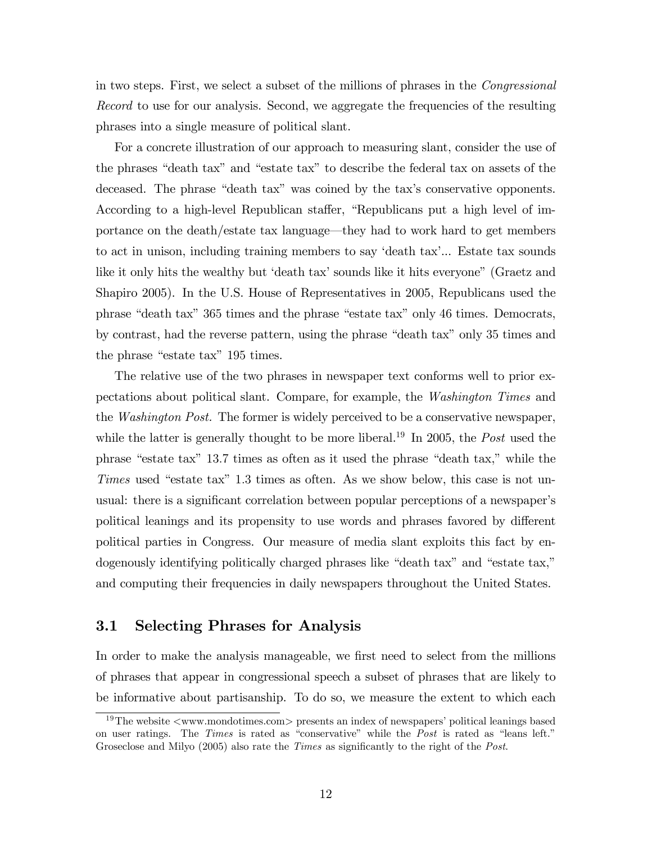in two steps. First, we select a subset of the millions of phrases in the Congressional Record to use for our analysis. Second, we aggregate the frequencies of the resulting phrases into a single measure of political slant.

For a concrete illustration of our approach to measuring slant, consider the use of the phrases "death tax" and "estate tax" to describe the federal tax on assets of the deceased. The phrase "death tax" was coined by the tax's conservative opponents. According to a high-level Republican staffer, "Republicans put a high level of importance on the death/estate tax language—they had to work hard to get members to act in unison, including training members to say 'death tax'... Estate tax sounds like it only hits the wealthy but 'death tax' sounds like it hits everyone" (Graetz and Shapiro 2005). In the U.S. House of Representatives in 2005, Republicans used the phrase "death tax" 365 times and the phrase "estate tax" only 46 times. Democrats, by contrast, had the reverse pattern, using the phrase "death tax" only 35 times and the phrase "estate tax" 195 times.

The relative use of the two phrases in newspaper text conforms well to prior expectations about political slant. Compare, for example, the Washington Times and the Washington Post. The former is widely perceived to be a conservative newspaper, while the latter is generally thought to be more liberal.<sup>19</sup> In 2005, the *Post* used the phrase "estate tax" 13.7 times as often as it used the phrase "death tax," while the Times used "estate tax"  $1.3$  times as often. As we show below, this case is not unusual: there is a significant correlation between popular perceptions of a newspaper's political leanings and its propensity to use words and phrases favored by different political parties in Congress. Our measure of media slant exploits this fact by endogenously identifying politically charged phrases like "death tax" and "estate tax," and computing their frequencies in daily newspapers throughout the United States.

## 3.1 Selecting Phrases for Analysis

In order to make the analysis manageable, we first need to select from the millions of phrases that appear in congressional speech a subset of phrases that are likely to be informative about partisanship. To do so, we measure the extent to which each

<sup>&</sup>lt;sup>19</sup>The website  $\langle$ www.mondotimes.com $\rangle$  presents an index of newspapers' political leanings based on user ratings. The *Times* is rated as "conservative" while the *Post* is rated as "leans left." Groseclose and Milyo  $(2005)$  also rate the *Times* as significantly to the right of the *Post*.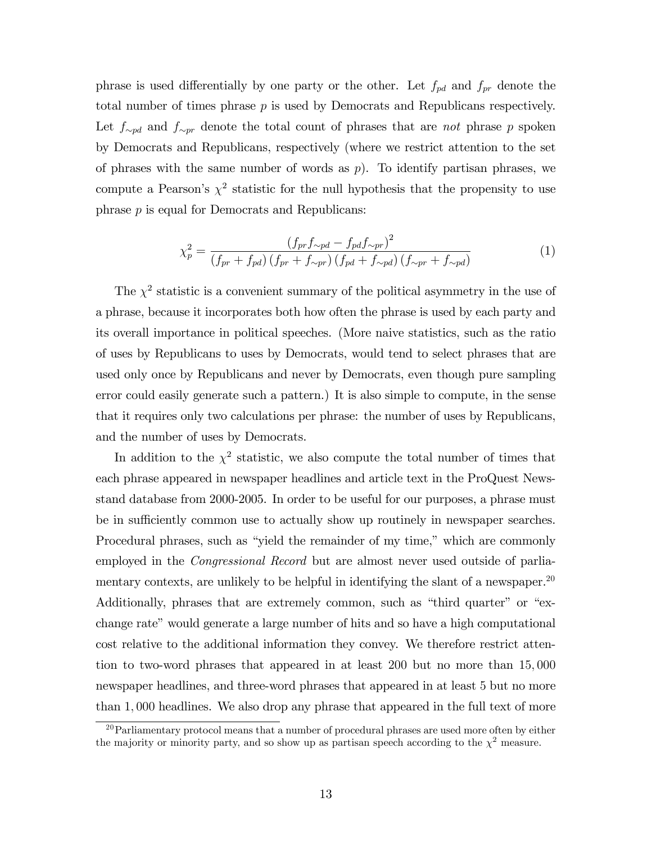phrase is used differentially by one party or the other. Let  $f_{pd}$  and  $f_{pr}$  denote the total number of times phrase  $p$  is used by Democrats and Republicans respectively. Let  $f_{\sim pd}$  and  $f_{\sim pr}$  denote the total count of phrases that are not phrase p spoken by Democrats and Republicans, respectively (where we restrict attention to the set of phrases with the same number of words as  $p$ ). To identify partisan phrases, we compute a Pearson's  $\chi^2$  statistic for the null hypothesis that the propensity to use phrase p is equal for Democrats and Republicans:

$$
\chi_p^2 = \frac{(f_{pr} f_{\sim pd} - f_{pd} f_{\sim pr})^2}{(f_{pr} + f_{pd}) (f_{pr} + f_{\sim pr}) (f_{pd} + f_{\sim pd}) (f_{\sim pr} + f_{\sim pd})}
$$
(1)

The  $\chi^2$  statistic is a convenient summary of the political asymmetry in the use of a phrase, because it incorporates both how often the phrase is used by each party and its overall importance in political speeches. (More naive statistics, such as the ratio of uses by Republicans to uses by Democrats, would tend to select phrases that are used only once by Republicans and never by Democrats, even though pure sampling error could easily generate such a pattern.) It is also simple to compute, in the sense that it requires only two calculations per phrase: the number of uses by Republicans, and the number of uses by Democrats.

In addition to the  $\chi^2$  statistic, we also compute the total number of times that each phrase appeared in newspaper headlines and article text in the ProQuest Newsstand database from 2000-2005. In order to be useful for our purposes, a phrase must be in sufficiently common use to actually show up routinely in newspaper searches. Procedural phrases, such as "yield the remainder of my time," which are commonly employed in the *Congressional Record* but are almost never used outside of parliamentary contexts, are unlikely to be helpful in identifying the slant of a newspaper.<sup>20</sup> Additionally, phrases that are extremely common, such as "third quarter" or "exchange rate" would generate a large number of hits and so have a high computational cost relative to the additional information they convey. We therefore restrict attention to two-word phrases that appeared in at least 200 but no more than 15; 000 newspaper headlines, and three-word phrases that appeared in at least 5 but no more than 1; 000 headlines. We also drop any phrase that appeared in the full text of more

 $20$ Parliamentary protocol means that a number of procedural phrases are used more often by either the majority or minority party, and so show up as partisan speech according to the  $\chi^2$  measure.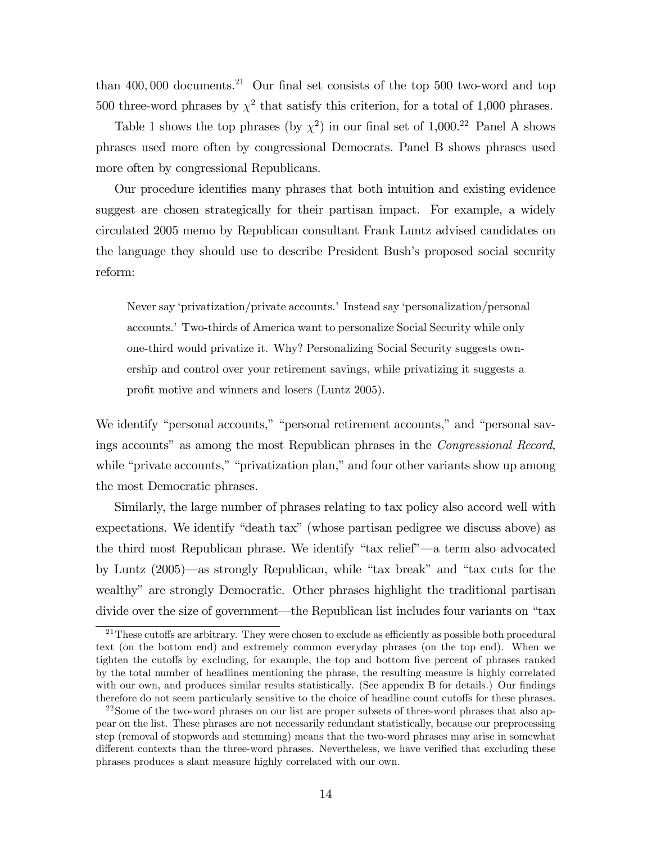than  $400,000$  documents.<sup>21</sup> Our final set consists of the top 500 two-word and top 500 three-word phrases by  $\chi^2$  that satisfy this criterion, for a total of 1,000 phrases.

Table 1 shows the top phrases (by  $\chi^2$ ) in our final set of 1,000.<sup>22</sup> Panel A shows phrases used more often by congressional Democrats. Panel B shows phrases used more often by congressional Republicans.

Our procedure identifies many phrases that both intuition and existing evidence suggest are chosen strategically for their partisan impact. For example, a widely circulated 2005 memo by Republican consultant Frank Luntz advised candidates on the language they should use to describe President Bushís proposed social security reform:

Never say 'privatization/private accounts.' Instead say 'personalization/personal accounts.í Two-thirds of America want to personalize Social Security while only one-third would privatize it. Why? Personalizing Social Security suggests ownership and control over your retirement savings, while privatizing it suggests a profit motive and winners and losers (Luntz 2005).

We identify "personal accounts," "personal retirement accounts," and "personal savings accounts" as among the most Republican phrases in the *Congressional Record*, while "private accounts," "privatization plan," and four other variants show up among the most Democratic phrases.

Similarly, the large number of phrases relating to tax policy also accord well with expectations. We identify "death tax" (whose partisan pedigree we discuss above) as the third most Republican phrase. We identify "tax relief"—a term also advocated by Luntz  $(2005)$ —as strongly Republican, while "tax break" and "tax cuts for the wealthy" are strongly Democratic. Other phrases highlight the traditional partisan divide over the size of government—the Republican list includes four variants on "tax

 $21$ These cutoffs are arbitrary. They were chosen to exclude as efficiently as possible both procedural text (on the bottom end) and extremely common everyday phrases (on the top end). When we tighten the cutoffs by excluding, for example, the top and bottom five percent of phrases ranked by the total number of headlines mentioning the phrase, the resulting measure is highly correlated with our own, and produces similar results statistically. (See appendix B for details.) Our findings therefore do not seem particularly sensitive to the choice of headline count cutoffs for these phrases.

 $22$ Some of the two-word phrases on our list are proper subsets of three-word phrases that also appear on the list. These phrases are not necessarily redundant statistically, because our preprocessing step (removal of stopwords and stemming) means that the two-word phrases may arise in somewhat different contexts than the three-word phrases. Nevertheless, we have verified that excluding these phrases produces a slant measure highly correlated with our own.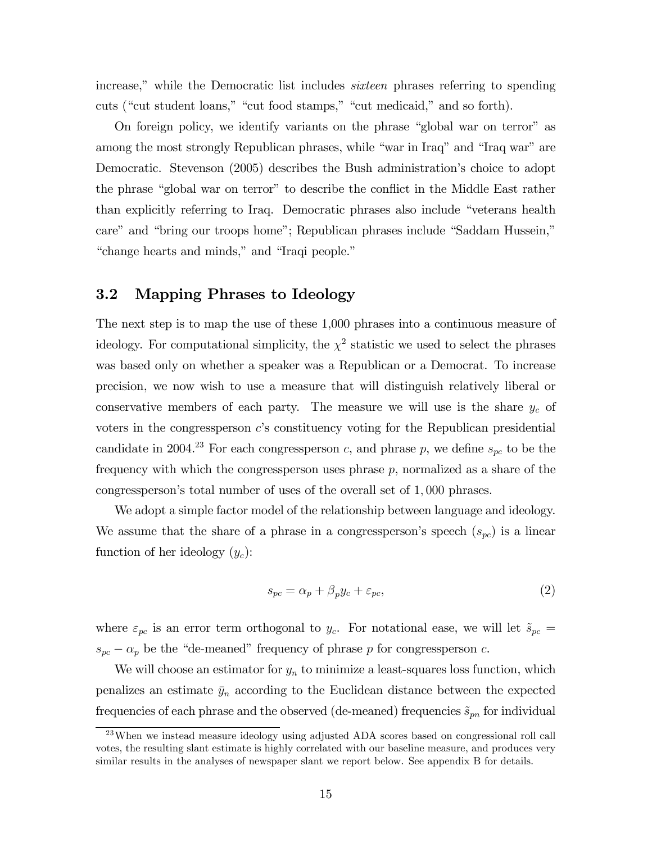increase," while the Democratic list includes *sixteen* phrases referring to spending cuts ("cut student loans," "cut food stamps," "cut medicaid," and so forth).

On foreign policy, we identify variants on the phrase "global war on terror" as among the most strongly Republican phrases, while "war in Iraq" and "Iraq war" are Democratic. Stevenson (2005) describes the Bush administration's choice to adopt the phrase "global war on terror" to describe the conflict in the Middle East rather than explicitly referring to Iraq. Democratic phrases also include "veterans health care" and "bring our troops home"; Republican phrases include "Saddam Hussein," "change hearts and minds," and "Iraqi people."

## 3.2 Mapping Phrases to Ideology

The next step is to map the use of these 1,000 phrases into a continuous measure of ideology. For computational simplicity, the  $\chi^2$  statistic we used to select the phrases was based only on whether a speaker was a Republican or a Democrat. To increase precision, we now wish to use a measure that will distinguish relatively liberal or conservative members of each party. The measure we will use is the share  $y_c$  of voters in the congressperson  $c$ 's constituency voting for the Republican presidential candidate in 2004.<sup>23</sup> For each congressperson c, and phrase p, we define  $s_{pc}$  to be the frequency with which the congressperson uses phrase  $p$ , normalized as a share of the congressperson's total number of uses of the overall set of 1,000 phrases.

We adopt a simple factor model of the relationship between language and ideology. We assume that the share of a phrase in a congressperson's speech  $(s_{pc})$  is a linear function of her ideology  $(y_c)$ :

$$
s_{pc} = \alpha_p + \beta_p y_c + \varepsilon_{pc},\tag{2}
$$

where  $\varepsilon_{pc}$  is an error term orthogonal to  $y_c$ . For notational ease, we will let  $\tilde{s}_{pc}$  =  $s_{pc} - \alpha_p$  be the "de-meaned" frequency of phrase p for congressperson c.

We will choose an estimator for  $y_n$  to minimize a least-squares loss function, which penalizes an estimate  $\bar{y}_n$  according to the Euclidean distance between the expected frequencies of each phrase and the observed (de-meaned) frequencies  $\tilde{s}_{pn}$  for individual

<sup>&</sup>lt;sup>23</sup>When we instead measure ideology using adjusted ADA scores based on congressional roll call votes, the resulting slant estimate is highly correlated with our baseline measure, and produces very similar results in the analyses of newspaper slant we report below. See appendix B for details.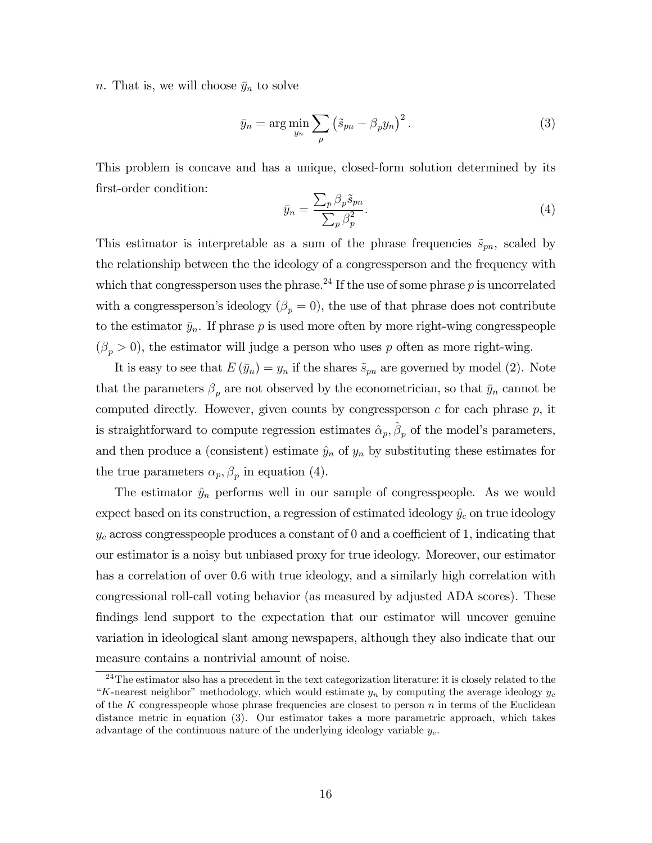n. That is, we will choose  $\bar{y}_n$  to solve

$$
\bar{y}_n = \arg\min_{y_n} \sum_p \left(\tilde{s}_{pn} - \beta_p y_n\right)^2.
$$
\n(3)

This problem is concave and has a unique, closed-form solution determined by its first-order condition:

$$
\bar{y}_n = \frac{\sum_p \beta_p \tilde{s}_{pn}}{\sum_p \beta_p^2}.\tag{4}
$$

This estimator is interpretable as a sum of the phrase frequencies  $\tilde{s}_{pn}$ , scaled by the relationship between the the ideology of a congressperson and the frequency with which that congressperson uses the phrase.<sup>24</sup> If the use of some phrase p is uncorrelated with a congressperson's ideology  $(\beta_p = 0)$ , the use of that phrase does not contribute to the estimator  $\bar{y}_n$ . If phrase p is used more often by more right-wing congresspeople  $(\beta_p > 0)$ , the estimator will judge a person who uses p often as more right-wing.

It is easy to see that  $E(\bar{y}_n) = y_n$  if the shares  $\tilde{s}_{pn}$  are governed by model (2). Note that the parameters  $\beta_p$  are not observed by the econometrician, so that  $\bar{y}_n$  cannot be computed directly. However, given counts by congressperson  $c$  for each phrase  $p$ , it is straightforward to compute regression estimates  $\hat{\alpha}_p$ ,  $\hat{\beta}_p$  of the model's parameters, and then produce a (consistent) estimate  $\hat{y}_n$  of  $y_n$  by substituting these estimates for the true parameters  $\alpha_p, \beta_p$  in equation (4).

The estimator  $\hat{y}_n$  performs well in our sample of congresspeople. As we would expect based on its construction, a regression of estimated ideology  $\hat{y}_c$  on true ideology  $y_c$  across congresspeople produces a constant of 0 and a coefficient of 1, indicating that our estimator is a noisy but unbiased proxy for true ideology. Moreover, our estimator has a correlation of over 0:6 with true ideology, and a similarly high correlation with congressional roll-call voting behavior (as measured by adjusted ADA scores). These findings lend support to the expectation that our estimator will uncover genuine variation in ideological slant among newspapers, although they also indicate that our measure contains a nontrivial amount of noise.

 $24$ The estimator also has a precedent in the text categorization literature: it is closely related to the "K-nearest neighbor" methodology, which would estimate  $y_n$  by computing the average ideology  $y_c$ of the K congresspeople whose phrase frequencies are closest to person  $n$  in terms of the Euclidean distance metric in equation (3). Our estimator takes a more parametric approach, which takes advantage of the continuous nature of the underlying ideology variable  $y_c$ .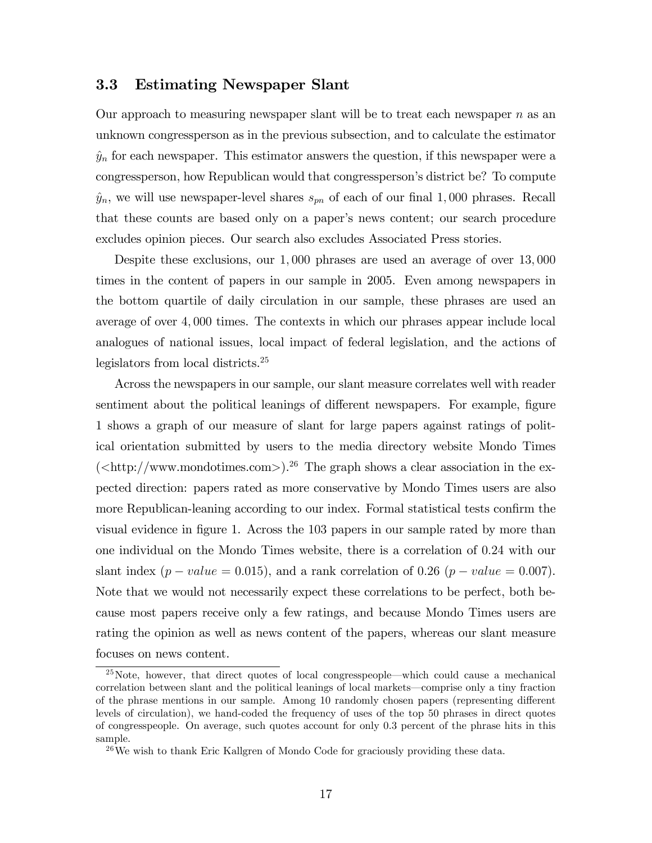## 3.3 Estimating Newspaper Slant

Our approach to measuring newspaper slant will be to treat each newspaper  $n$  as an unknown congressperson as in the previous subsection, and to calculate the estimator  $\hat{y}_n$  for each newspaper. This estimator answers the question, if this newspaper were a congressperson, how Republican would that congressperson's district be? To compute  $\hat{y}_n$ , we will use newspaper-level shares  $s_{pn}$  of each of our final 1,000 phrases. Recall that these counts are based only on a paper's news content; our search procedure excludes opinion pieces. Our search also excludes Associated Press stories.

Despite these exclusions, our 1,000 phrases are used an average of over 13,000 times in the content of papers in our sample in 2005. Even among newspapers in the bottom quartile of daily circulation in our sample, these phrases are used an average of over 4; 000 times. The contexts in which our phrases appear include local analogues of national issues, local impact of federal legislation, and the actions of legislators from local districts.<sup>25</sup>

Across the newspapers in our sample, our slant measure correlates well with reader sentiment about the political leanings of different newspapers. For example, figure 1 shows a graph of our measure of slant for large papers against ratings of political orientation submitted by users to the media directory website Mondo Times  $\langle \text{thtp:} / \text{/www.mondotimes.com>} \rangle^{26}$  The graph shows a clear association in the expected direction: papers rated as more conservative by Mondo Times users are also more Republican-leaning according to our index. Formal statistical tests confirm the visual evidence in figure 1. Across the 103 papers in our sample rated by more than one individual on the Mondo Times website, there is a correlation of 0:24 with our slant index  $(p-value = 0.015)$ , and a rank correlation of 0.26  $(p-value = 0.007)$ . Note that we would not necessarily expect these correlations to be perfect, both because most papers receive only a few ratings, and because Mondo Times users are rating the opinion as well as news content of the papers, whereas our slant measure focuses on news content.

 $^{25}$ Note, however, that direct quotes of local congresspeople—which could cause a mechanical correlation between slant and the political leanings of local markets—comprise only a tiny fraction of the phrase mentions in our sample. Among 10 randomly chosen papers (representing different levels of circulation), we hand-coded the frequency of uses of the top 50 phrases in direct quotes of congresspeople. On average, such quotes account for only 0:3 percent of the phrase hits in this sample.

<sup>&</sup>lt;sup>26</sup>We wish to thank Eric Kallgren of Mondo Code for graciously providing these data.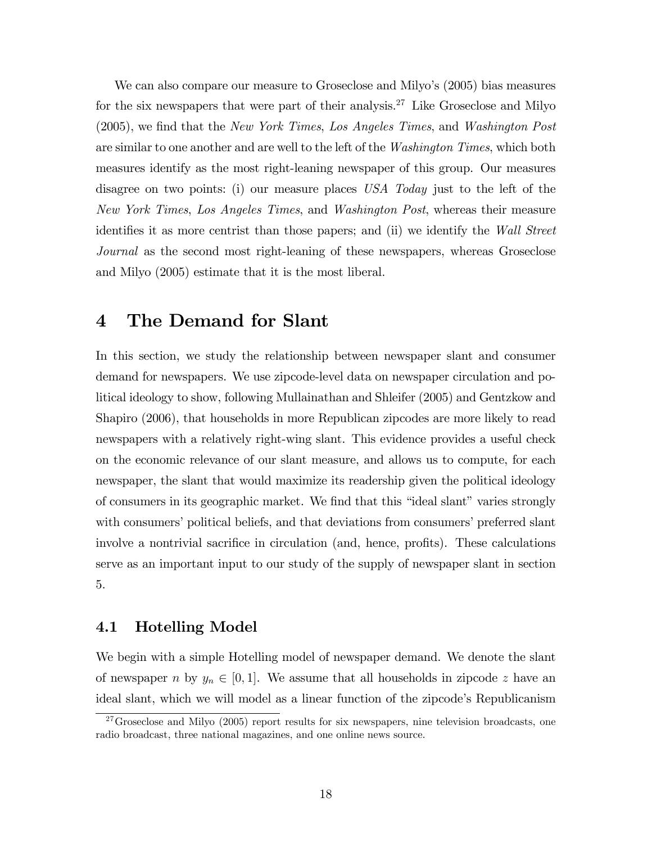We can also compare our measure to Groseclose and Milyo's (2005) bias measures for the six newspapers that were part of their analysis.<sup>27</sup> Like Groseclose and Milyo (2005), we find that the New York Times, Los Angeles Times, and Washington Post are similar to one another and are well to the left of the *Washington Times*, which both measures identify as the most right-leaning newspaper of this group. Our measures disagree on two points: (i) our measure places USA Today just to the left of the New York Times, Los Angeles Times, and Washington Post, whereas their measure identifies it as more centrist than those papers; and (ii) we identify the Wall Street Journal as the second most right-leaning of these newspapers, whereas Groseclose and Milyo (2005) estimate that it is the most liberal.

## 4 The Demand for Slant

In this section, we study the relationship between newspaper slant and consumer demand for newspapers. We use zipcode-level data on newspaper circulation and political ideology to show, following Mullainathan and Shleifer (2005) and Gentzkow and Shapiro (2006), that households in more Republican zipcodes are more likely to read newspapers with a relatively right-wing slant. This evidence provides a useful check on the economic relevance of our slant measure, and allows us to compute, for each newspaper, the slant that would maximize its readership given the political ideology of consumers in its geographic market. We find that this "ideal slant" varies strongly with consumers' political beliefs, and that deviations from consumers' preferred slant involve a nontrivial sacrifice in circulation (and, hence, profits). These calculations serve as an important input to our study of the supply of newspaper slant in section 5.

## 4.1 Hotelling Model

We begin with a simple Hotelling model of newspaper demand. We denote the slant of newspaper n by  $y_n \in [0, 1]$ . We assume that all households in zipcode z have an ideal slant, which we will model as a linear function of the zipcode's Republicanism

 $27G$ roseclose and Milyo (2005) report results for six newspapers, nine television broadcasts, one radio broadcast, three national magazines, and one online news source.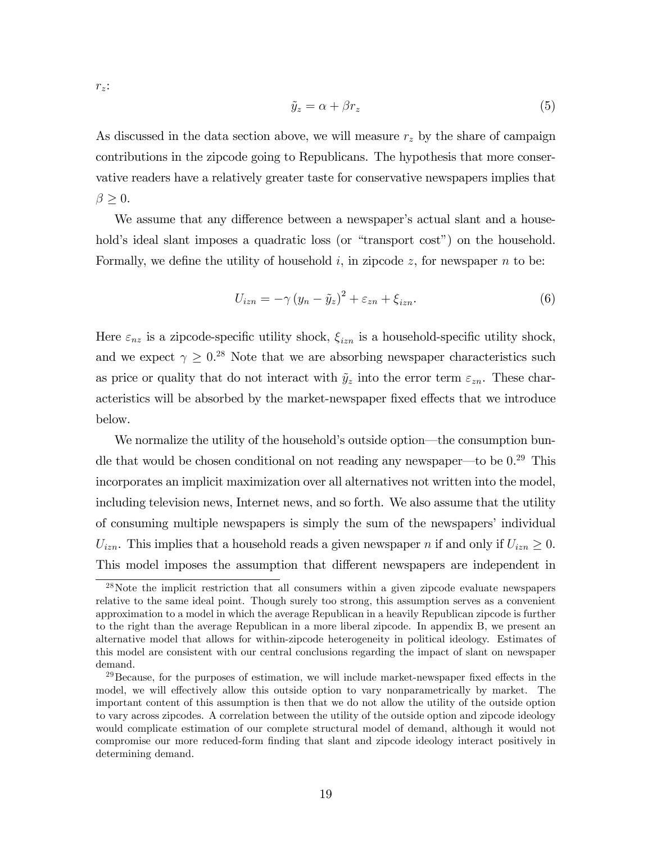$r_z$ :

$$
\tilde{y}_z = \alpha + \beta r_z \tag{5}
$$

As discussed in the data section above, we will measure  $r<sub>z</sub>$  by the share of campaign contributions in the zipcode going to Republicans. The hypothesis that more conservative readers have a relatively greater taste for conservative newspapers implies that  $\beta \geq 0$ .

We assume that any difference between a newspaper's actual slant and a household's ideal slant imposes a quadratic loss (or "transport cost") on the household. Formally, we define the utility of household i, in zipcode z, for newspaper n to be:

$$
U_{izn} = -\gamma (y_n - \tilde{y}_z)^2 + \varepsilon_{zn} + \xi_{izn}.
$$
 (6)

Here  $\varepsilon_{nz}$  is a zipcode-specific utility shock,  $\xi_{izn}$  is a household-specific utility shock, and we expect  $\gamma \geq 0.^{28}$  Note that we are absorbing newspaper characteristics such as price or quality that do not interact with  $\tilde{y}_z$  into the error term  $\varepsilon_{zn}$ . These characteristics will be absorbed by the market-newspaper fixed effects that we introduce below.

We normalize the utility of the household's outside option—the consumption bundle that would be chosen conditional on not reading any newspaper—to be  $0.29$  This incorporates an implicit maximization over all alternatives not written into the model, including television news, Internet news, and so forth. We also assume that the utility of consuming multiple newspapers is simply the sum of the newspapers' individual  $U_{izn}$ . This implies that a household reads a given newspaper n if and only if  $U_{izn} \geq 0$ . This model imposes the assumption that different newspapers are independent in

<sup>28</sup>Note the implicit restriction that all consumers within a given zipcode evaluate newspapers relative to the same ideal point. Though surely too strong, this assumption serves as a convenient approximation to a model in which the average Republican in a heavily Republican zipcode is further to the right than the average Republican in a more liberal zipcode. In appendix B, we present an alternative model that allows for within-zipcode heterogeneity in political ideology. Estimates of this model are consistent with our central conclusions regarding the impact of slant on newspaper demand.

<sup>&</sup>lt;sup>29</sup>Because, for the purposes of estimation, we will include market-newspaper fixed effects in the model, we will effectively allow this outside option to vary nonparametrically by market. The important content of this assumption is then that we do not allow the utility of the outside option to vary across zipcodes. A correlation between the utility of the outside option and zipcode ideology would complicate estimation of our complete structural model of demand, although it would not compromise our more reduced-form finding that slant and zipcode ideology interact positively in determining demand.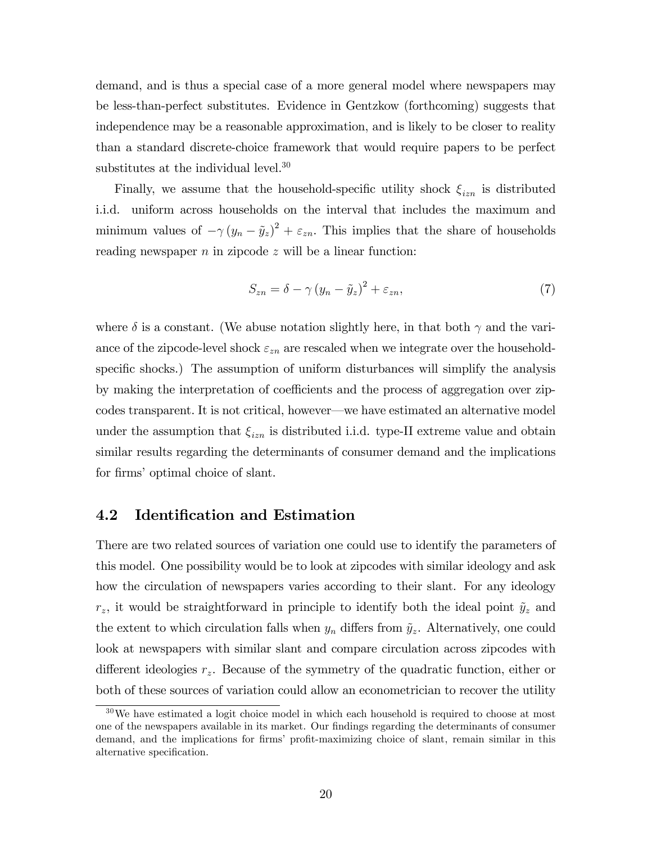demand, and is thus a special case of a more general model where newspapers may be less-than-perfect substitutes. Evidence in Gentzkow (forthcoming) suggests that independence may be a reasonable approximation, and is likely to be closer to reality than a standard discrete-choice framework that would require papers to be perfect substitutes at the individual level.<sup>30</sup>

Finally, we assume that the household-specific utility shock  $\xi_{izn}$  is distributed i.i.d. uniform across households on the interval that includes the maximum and minimum values of  $-\gamma (y_n - \tilde{y}_z)^2 + \varepsilon_{zn}$ . This implies that the share of households reading newspaper  $n$  in zipcode  $z$  will be a linear function:

$$
S_{zn} = \delta - \gamma (y_n - \tilde{y}_z)^2 + \varepsilon_{zn},\tag{7}
$$

where  $\delta$  is a constant. (We abuse notation slightly here, in that both  $\gamma$  and the variance of the zipcode-level shock  $\varepsilon_{zn}$  are rescaled when we integrate over the householdspecific shocks.) The assumption of uniform disturbances will simplify the analysis by making the interpretation of coefficients and the process of aggregation over zipcodes transparent. It is not critical, however—we have estimated an alternative model under the assumption that  $\xi_{izn}$  is distributed i.i.d. type-II extreme value and obtain similar results regarding the determinants of consumer demand and the implications for firms' optimal choice of slant.

## 4.2 Identification and Estimation

There are two related sources of variation one could use to identify the parameters of this model. One possibility would be to look at zipcodes with similar ideology and ask how the circulation of newspapers varies according to their slant. For any ideology  $r_z$ , it would be straightforward in principle to identify both the ideal point  $\tilde{y}_z$  and the extent to which circulation falls when  $y_n$  differs from  $\tilde{y}_z$ . Alternatively, one could look at newspapers with similar slant and compare circulation across zipcodes with different ideologies  $r<sub>z</sub>$ . Because of the symmetry of the quadratic function, either or both of these sources of variation could allow an econometrician to recover the utility

 $30\,\text{We have estimated a logit choice model in which each household is required to choose at most }$ one of the newspapers available in its market. Our Öndings regarding the determinants of consumer demand, and the implications for firms' profit-maximizing choice of slant, remain similar in this alternative specification.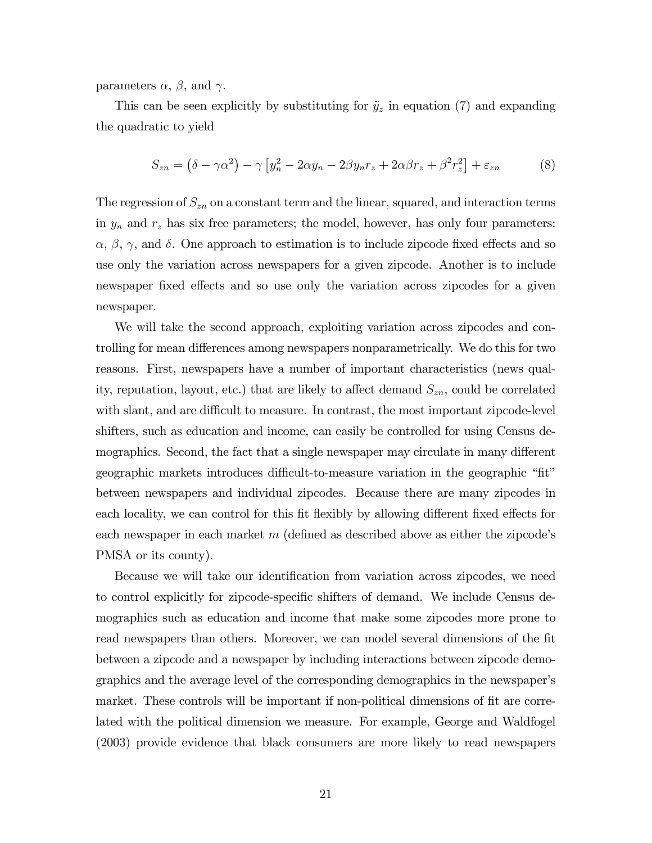parameters  $\alpha$ ,  $\beta$ , and  $\gamma$ .

This can be seen explicitly by substituting for  $\tilde{y}_z$  in equation (7) and expanding the quadratic to yield

$$
S_{zn} = (\delta - \gamma \alpha^2) - \gamma \left[ y_n^2 - 2\alpha y_n - 2\beta y_n r_z + 2\alpha \beta r_z + \beta^2 r_z^2 \right] + \varepsilon_{zn} \tag{8}
$$

The regression of  $S_{zn}$  on a constant term and the linear, squared, and interaction terms in  $y_n$  and  $r_z$  has six free parameters; the model, however, has only four parameters:  $\alpha, \beta, \gamma$ , and  $\delta$ . One approach to estimation is to include zipcode fixed effects and so use only the variation across newspapers for a given zipcode. Another is to include newspaper fixed effects and so use only the variation across zipcodes for a given newspaper.

We will take the second approach, exploiting variation across zipcodes and controlling for mean differences among newspapers nonparametrically. We do this for two reasons. First, newspapers have a number of important characteristics (news quality, reputation, layout, etc.) that are likely to affect demand  $S_{zn}$ , could be correlated with slant, and are difficult to measure. In contrast, the most important zipcode-level shifters, such as education and income, can easily be controlled for using Census demographics. Second, the fact that a single newspaper may circulate in many different geographic markets introduces difficult-to-measure variation in the geographic "fit" between newspapers and individual zipcodes. Because there are many zipcodes in each locality, we can control for this fit flexibly by allowing different fixed effects for each newspaper in each market  $m$  (defined as described above as either the zipcode's PMSA or its county).

Because we will take our identification from variation across zipcodes, we need to control explicitly for zipcode-specific shifters of demand. We include Census demographics such as education and income that make some zipcodes more prone to read newspapers than others. Moreover, we can model several dimensions of the fit between a zipcode and a newspaper by including interactions between zipcode demographics and the average level of the corresponding demographics in the newspaperís market. These controls will be important if non-political dimensions of fit are correlated with the political dimension we measure. For example, George and Waldfogel (2003) provide evidence that black consumers are more likely to read newspapers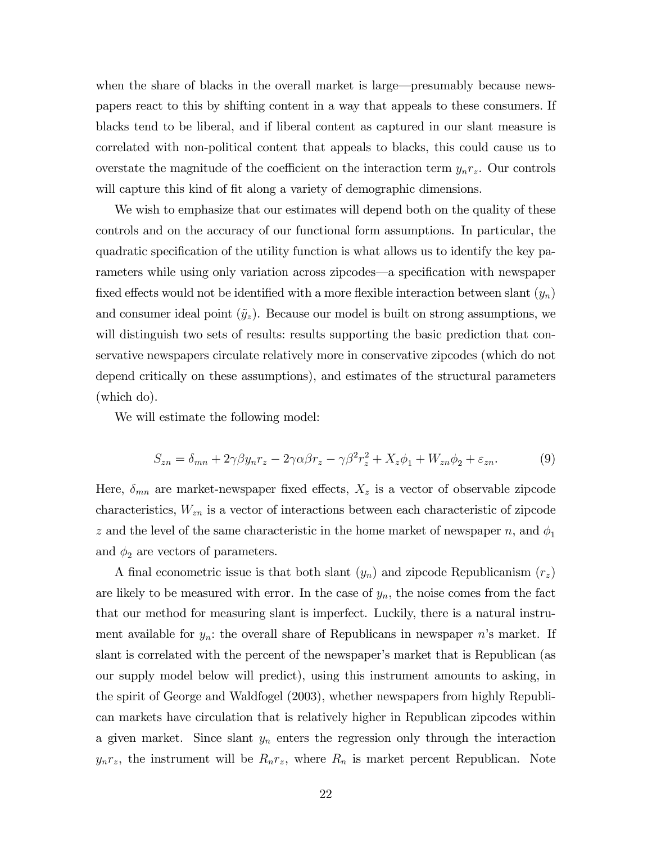when the share of blacks in the overall market is large—presumably because newspapers react to this by shifting content in a way that appeals to these consumers. If blacks tend to be liberal, and if liberal content as captured in our slant measure is correlated with non-political content that appeals to blacks, this could cause us to overstate the magnitude of the coefficient on the interaction term  $y_n r_z$ . Our controls will capture this kind of fit along a variety of demographic dimensions.

We wish to emphasize that our estimates will depend both on the quality of these controls and on the accuracy of our functional form assumptions. In particular, the quadratic specification of the utility function is what allows us to identify the key parameters while using only variation across zipcodes—a specification with newspaper fixed effects would not be identified with a more flexible interaction between slant  $(y_n)$ and consumer ideal point  $(\tilde{y}_z)$ . Because our model is built on strong assumptions, we will distinguish two sets of results: results supporting the basic prediction that conservative newspapers circulate relatively more in conservative zipcodes (which do not depend critically on these assumptions), and estimates of the structural parameters (which do).

We will estimate the following model:

$$
S_{zn} = \delta_{mn} + 2\gamma\beta y_n r_z - 2\gamma\alpha\beta r_z - \gamma\beta^2 r_z^2 + X_z \phi_1 + W_{zn}\phi_2 + \varepsilon_{zn}.
$$
 (9)

Here,  $\delta_{mn}$  are market-newspaper fixed effects,  $X_z$  is a vector of observable zipcode characteristics,  $W_{zn}$  is a vector of interactions between each characteristic of zipcode z and the level of the same characteristic in the home market of newspaper n, and  $\phi_1$ and  $\phi_2$  are vectors of parameters.

A final econometric issue is that both slant  $(y_n)$  and zipcode Republicanism  $(r_z)$ are likely to be measured with error. In the case of  $y_n$ , the noise comes from the fact that our method for measuring slant is imperfect. Luckily, there is a natural instrument available for  $y_n$ : the overall share of Republicans in newspaper n's market. If slant is correlated with the percent of the newspaper's market that is Republican (as our supply model below will predict), using this instrument amounts to asking, in the spirit of George and Waldfogel (2003), whether newspapers from highly Republican markets have circulation that is relatively higher in Republican zipcodes within a given market. Since slant  $y_n$  enters the regression only through the interaction  $y_n r_z$ , the instrument will be  $R_n r_z$ , where  $R_n$  is market percent Republican. Note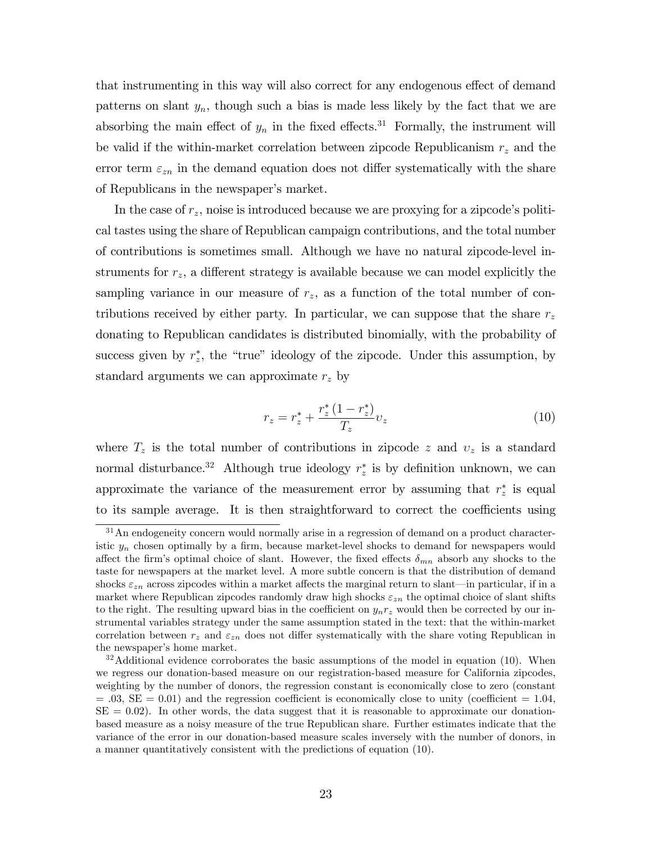that instrumenting in this way will also correct for any endogenous effect of demand patterns on slant  $y_n$ , though such a bias is made less likely by the fact that we are absorbing the main effect of  $y_n$  in the fixed effects.<sup>31</sup> Formally, the instrument will be valid if the within-market correlation between zipcode Republicanism  $r<sub>z</sub>$  and the error term  $\varepsilon_{zn}$  in the demand equation does not differ systematically with the share of Republicans in the newspaper's market.

In the case of  $r<sub>z</sub>$ , noise is introduced because we are proxying for a zipcode's political tastes using the share of Republican campaign contributions, and the total number of contributions is sometimes small. Although we have no natural zipcode-level instruments for  $r<sub>z</sub>$ , a different strategy is available because we can model explicitly the sampling variance in our measure of  $r<sub>z</sub>$ , as a function of the total number of contributions received by either party. In particular, we can suppose that the share  $r<sub>z</sub>$ donating to Republican candidates is distributed binomially, with the probability of success given by  $r_z^*$ , the "true" ideology of the zipcode. Under this assumption, by standard arguments we can approximate  $r<sub>z</sub>$  by

$$
r_z = r_z^* + \frac{r_z^* (1 - r_z^*)}{T_z} v_z \tag{10}
$$

where  $T_z$  is the total number of contributions in zipcode z and  $v_z$  is a standard normal disturbance.<sup>32</sup> Although true ideology  $r_z^*$  is by definition unknown, we can approximate the variance of the measurement error by assuming that  $r_z^*$  is equal to its sample average. It is then straightforward to correct the coefficients using

<sup>&</sup>lt;sup>31</sup>An endogeneity concern would normally arise in a regression of demand on a product characteristic  $y_n$  chosen optimally by a firm, because market-level shocks to demand for newspapers would affect the firm's optimal choice of slant. However, the fixed effects  $\delta_{mn}$  absorb any shocks to the taste for newspapers at the market level. A more subtle concern is that the distribution of demand shocks  $\varepsilon_{zn}$  across zipcodes within a market affects the marginal return to slant—in particular, if in a market where Republican zipcodes randomly draw high shocks  $\varepsilon_{zn}$  the optimal choice of slant shifts to the right. The resulting upward bias in the coefficient on  $y_n r_z$  would then be corrected by our instrumental variables strategy under the same assumption stated in the text: that the within-market correlation between  $r<sub>z</sub>$  and  $\varepsilon_{zn}$  does not differ systematically with the share voting Republican in the newspaper's home market.

 $32$ Additional evidence corroborates the basic assumptions of the model in equation (10). When we regress our donation-based measure on our registration-based measure for California zipcodes, weighting by the number of donors, the regression constant is economically close to zero (constant  $= .03$ , SE  $= 0.01$ ) and the regression coefficient is economically close to unity (coefficient  $= 1.04$ ,  $SE = 0.02$ . In other words, the data suggest that it is reasonable to approximate our donationbased measure as a noisy measure of the true Republican share. Further estimates indicate that the variance of the error in our donation-based measure scales inversely with the number of donors, in a manner quantitatively consistent with the predictions of equation (10).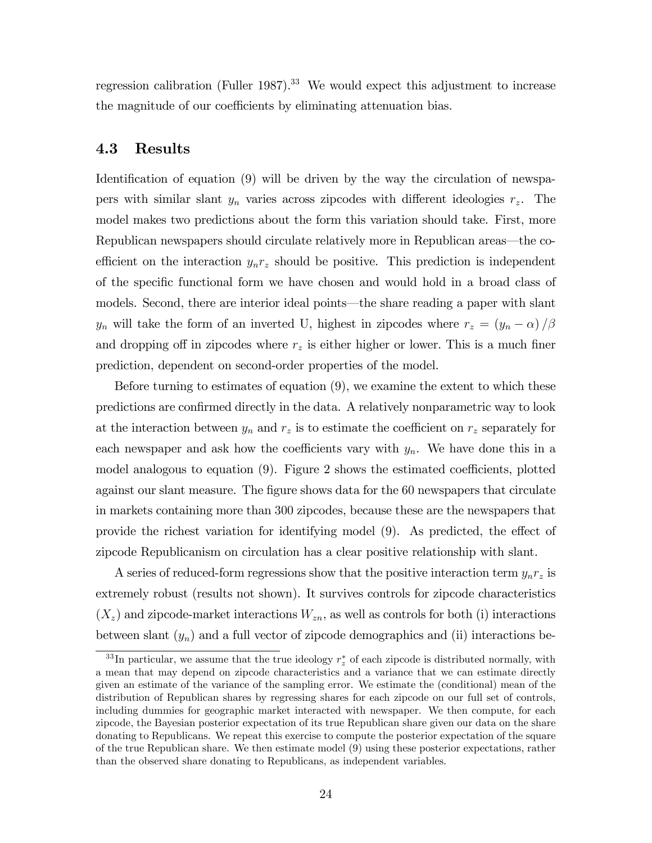regression calibration (Fuller 1987).<sup>33</sup> We would expect this adjustment to increase the magnitude of our coefficients by eliminating attenuation bias.

### 4.3 Results

Identification of equation (9) will be driven by the way the circulation of newspapers with similar slant  $y_n$  varies across zipcodes with different ideologies  $r_z$ . The model makes two predictions about the form this variation should take. First, more Republican newspapers should circulate relatively more in Republican areas—the coefficient on the interaction  $y_n r_z$  should be positive. This prediction is independent of the specific functional form we have chosen and would hold in a broad class of models. Second, there are interior ideal points—the share reading a paper with slant  $y_n$  will take the form of an inverted U, highest in zipcodes where  $r_z = (y_n - \alpha) / \beta$ and dropping off in zipcodes where  $r<sub>z</sub>$  is either higher or lower. This is a much finer prediction, dependent on second-order properties of the model.

Before turning to estimates of equation (9), we examine the extent to which these predictions are confirmed directly in the data. A relatively nonparametric way to look at the interaction between  $y_n$  and  $r_z$  is to estimate the coefficient on  $r_z$  separately for each newspaper and ask how the coefficients vary with  $y_n$ . We have done this in a model analogous to equation  $(9)$ . Figure 2 shows the estimated coefficients, plotted against our slant measure. The figure shows data for the 60 newspapers that circulate in markets containing more than 300 zipcodes, because these are the newspapers that provide the richest variation for identifying model  $(9)$ . As predicted, the effect of zipcode Republicanism on circulation has a clear positive relationship with slant.

A series of reduced-form regressions show that the positive interaction term  $y_n r_z$  is extremely robust (results not shown). It survives controls for zipcode characteristics  $(X_z)$  and zipcode-market interactions  $W_{zn}$ , as well as controls for both (i) interactions between slant  $(y_n)$  and a full vector of zipcode demographics and (ii) interactions be-

<sup>&</sup>lt;sup>33</sup>In particular, we assume that the true ideology  $r_z^*$  of each zipcode is distributed normally, with a mean that may depend on zipcode characteristics and a variance that we can estimate directly given an estimate of the variance of the sampling error. We estimate the (conditional) mean of the distribution of Republican shares by regressing shares for each zipcode on our full set of controls, including dummies for geographic market interacted with newspaper. We then compute, for each zipcode, the Bayesian posterior expectation of its true Republican share given our data on the share donating to Republicans. We repeat this exercise to compute the posterior expectation of the square of the true Republican share. We then estimate model (9) using these posterior expectations, rather than the observed share donating to Republicans, as independent variables.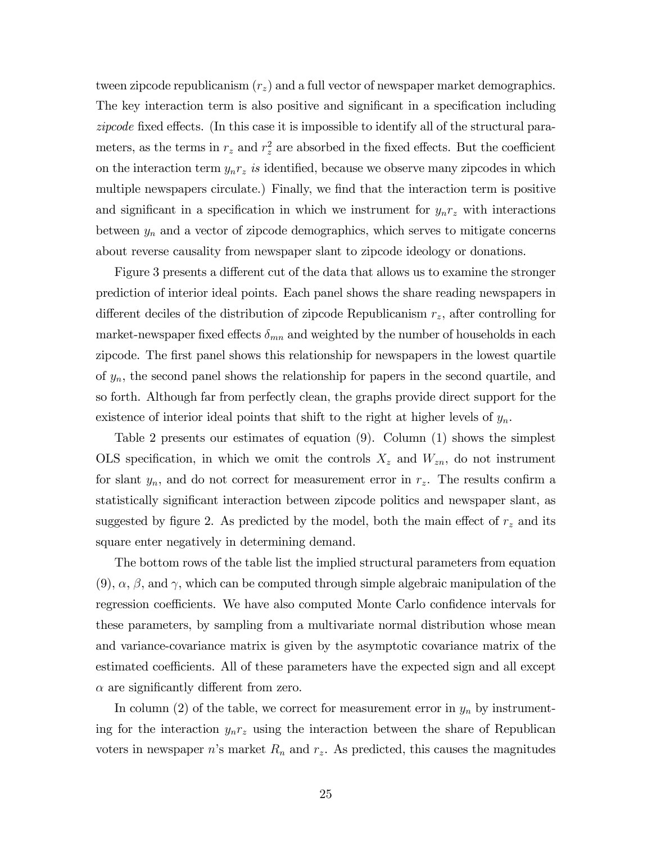tween zipcode republicanism  $(r_z)$  and a full vector of newspaper market demographics. The key interaction term is also positive and significant in a specification including zipcode fixed effects. (In this case it is impossible to identify all of the structural parameters, as the terms in  $r_z$  and  $r_z^2$  are absorbed in the fixed effects. But the coefficient on the interaction term  $y_n r_z$  is identified, because we observe many zipcodes in which multiple newspapers circulate.) Finally, we find that the interaction term is positive and significant in a specification in which we instrument for  $y_n r_z$  with interactions between  $y_n$  and a vector of zipcode demographics, which serves to mitigate concerns about reverse causality from newspaper slant to zipcode ideology or donations.

Figure 3 presents a different cut of the data that allows us to examine the stronger prediction of interior ideal points. Each panel shows the share reading newspapers in different deciles of the distribution of zipcode Republicanism  $r<sub>z</sub>$ , after controlling for market-newspaper fixed effects  $\delta_{mn}$  and weighted by the number of households in each zipcode. The first panel shows this relationship for newspapers in the lowest quartile of  $y_n$ , the second panel shows the relationship for papers in the second quartile, and so forth. Although far from perfectly clean, the graphs provide direct support for the existence of interior ideal points that shift to the right at higher levels of  $y_n$ .

Table 2 presents our estimates of equation (9). Column (1) shows the simplest OLS specification, in which we omit the controls  $X_z$  and  $W_{zn}$ , do not instrument for slant  $y_n$ , and do not correct for measurement error in  $r_z$ . The results confirm a statistically significant interaction between zipcode politics and newspaper slant, as suggested by figure 2. As predicted by the model, both the main effect of  $r<sub>z</sub>$  and its square enter negatively in determining demand.

The bottom rows of the table list the implied structural parameters from equation  $(9)$ ,  $\alpha$ ,  $\beta$ , and  $\gamma$ , which can be computed through simple algebraic manipulation of the regression coefficients. We have also computed Monte Carlo confidence intervals for these parameters, by sampling from a multivariate normal distribution whose mean and variance-covariance matrix is given by the asymptotic covariance matrix of the estimated coefficients. All of these parameters have the expected sign and all except  $\alpha$  are significantly different from zero.

In column (2) of the table, we correct for measurement error in  $y_n$  by instrumenting for the interaction  $y_n r_z$  using the interaction between the share of Republican voters in newspaper n's market  $R_n$  and  $r_z$ . As predicted, this causes the magnitudes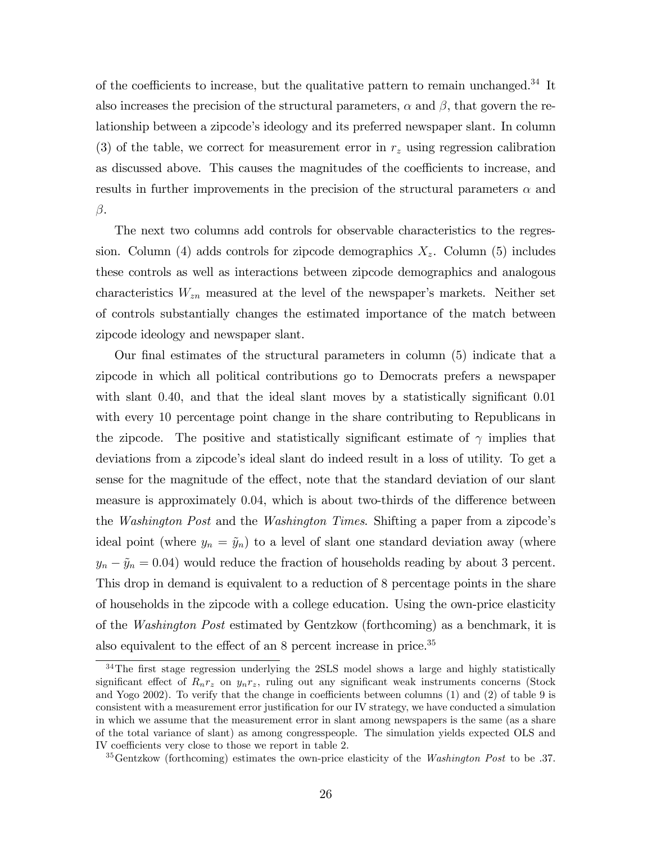of the coefficients to increase, but the qualitative pattern to remain unchanged.<sup>34</sup> It also increases the precision of the structural parameters,  $\alpha$  and  $\beta$ , that govern the relationship between a zipcode's ideology and its preferred newspaper slant. In column (3) of the table, we correct for measurement error in  $r<sub>z</sub>$  using regression calibration as discussed above. This causes the magnitudes of the coefficients to increase, and results in further improvements in the precision of the structural parameters  $\alpha$  and  $\beta.$ 

The next two columns add controls for observable characteristics to the regression. Column (4) adds controls for zipcode demographics  $X<sub>z</sub>$ . Column (5) includes these controls as well as interactions between zipcode demographics and analogous characteristics  $W_{zn}$  measured at the level of the newspaper's markets. Neither set of controls substantially changes the estimated importance of the match between zipcode ideology and newspaper slant.

Our final estimates of the structural parameters in column  $(5)$  indicate that a zipcode in which all political contributions go to Democrats prefers a newspaper with slant  $0.40$ , and that the ideal slant moves by a statistically significant  $0.01$ with every 10 percentage point change in the share contributing to Republicans in the zipcode. The positive and statistically significant estimate of  $\gamma$  implies that deviations from a zipcode's ideal slant do indeed result in a loss of utility. To get a sense for the magnitude of the effect, note that the standard deviation of our slant measure is approximately 0.04, which is about two-thirds of the difference between the *Washington Post* and the *Washington Times*. Shifting a paper from a zipcode's ideal point (where  $y_n = \tilde{y}_n$ ) to a level of slant one standard deviation away (where  $y_n - \tilde{y}_n = 0.04$ ) would reduce the fraction of households reading by about 3 percent. This drop in demand is equivalent to a reduction of 8 percentage points in the share of households in the zipcode with a college education. Using the own-price elasticity of the Washington Post estimated by Gentzkow (forthcoming) as a benchmark, it is also equivalent to the effect of an  $8$  percent increase in price.<sup>35</sup>

 $34$ The first stage regression underlying the 2SLS model shows a large and highly statistically significant effect of  $R_n r_z$  on  $y_n r_z$ , ruling out any significant weak instruments concerns (Stock and Yogo 2002). To verify that the change in coefficients between columns  $(1)$  and  $(2)$  of table 9 is consistent with a measurement error justification for our IV strategy, we have conducted a simulation in which we assume that the measurement error in slant among newspapers is the same (as a share of the total variance of slant) as among congresspeople. The simulation yields expected OLS and IV coefficients very close to those we report in table 2.

 $35$ Gentzkow (forthcoming) estimates the own-price elasticity of the Washington Post to be .37.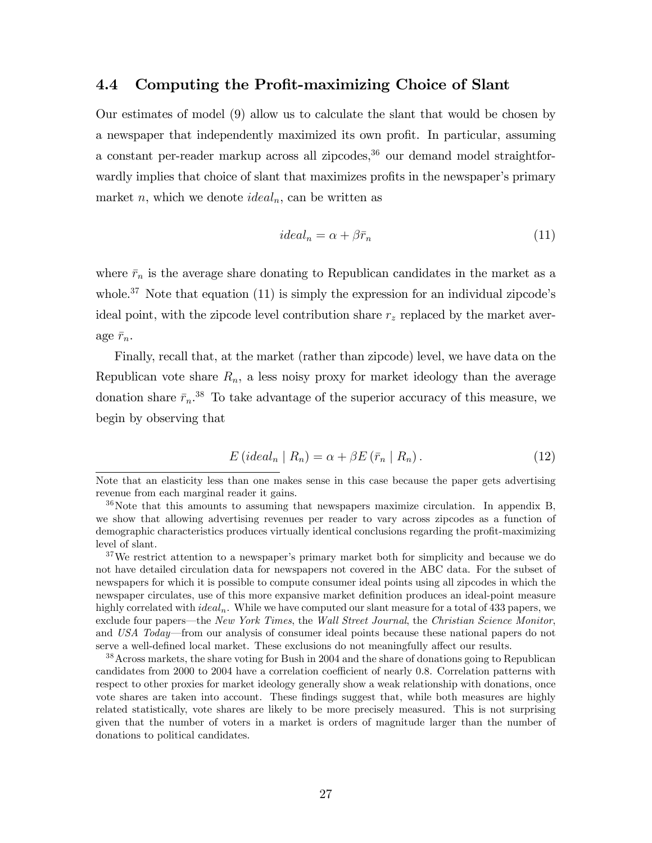## 4.4 Computing the Profit-maximizing Choice of Slant

Our estimates of model (9) allow us to calculate the slant that would be chosen by a newspaper that independently maximized its own profit. In particular, assuming a constant per-reader markup across all zipcodes,  $36$  our demand model straightforwardly implies that choice of slant that maximizes profits in the newspaper's primary market n, which we denote  $ideal_n$ , can be written as

$$
ideal_n = \alpha + \beta \bar{r}_n \tag{11}
$$

where  $\bar{r}_n$  is the average share donating to Republican candidates in the market as a whole.<sup>37</sup> Note that equation (11) is simply the expression for an individual zipcode's ideal point, with the zipcode level contribution share  $r<sub>z</sub>$  replaced by the market average  $\bar{r}_n$ .

Finally, recall that, at the market (rather than zipcode) level, we have data on the Republican vote share  $R_n$ , a less noisy proxy for market ideology than the average donation share  $\bar{r}_n$ <sup>38</sup> To take advantage of the superior accuracy of this measure, we begin by observing that

$$
E\left(ideal_n \mid R_n\right) = \alpha + \beta E\left(\bar{r}_n \mid R_n\right). \tag{12}
$$

 $37$ We restrict attention to a newspaper's primary market both for simplicity and because we do not have detailed circulation data for newspapers not covered in the ABC data. For the subset of newspapers for which it is possible to compute consumer ideal points using all zipcodes in which the newspaper circulates, use of this more expansive market definition produces an ideal-point measure highly correlated with  $ideal_n$ . While we have computed our slant measure for a total of 433 papers, we exclude four papers—the New York Times, the Wall Street Journal, the Christian Science Monitor, and USA Today—from our analysis of consumer ideal points because these national papers do not serve a well-defined local market. These exclusions do not meaningfully affect our results.

<sup>38</sup> Across markets, the share voting for Bush in 2004 and the share of donations going to Republican candidates from 2000 to 2004 have a correlation coefficient of nearly 0.8. Correlation patterns with respect to other proxies for market ideology generally show a weak relationship with donations, once vote shares are taken into account. These findings suggest that, while both measures are highly related statistically, vote shares are likely to be more precisely measured. This is not surprising given that the number of voters in a market is orders of magnitude larger than the number of donations to political candidates.

Note that an elasticity less than one makes sense in this case because the paper gets advertising revenue from each marginal reader it gains.

 $36$ Note that this amounts to assuming that newspapers maximize circulation. In appendix B, we show that allowing advertising revenues per reader to vary across zipcodes as a function of demographic characteristics produces virtually identical conclusions regarding the profit-maximizing level of slant.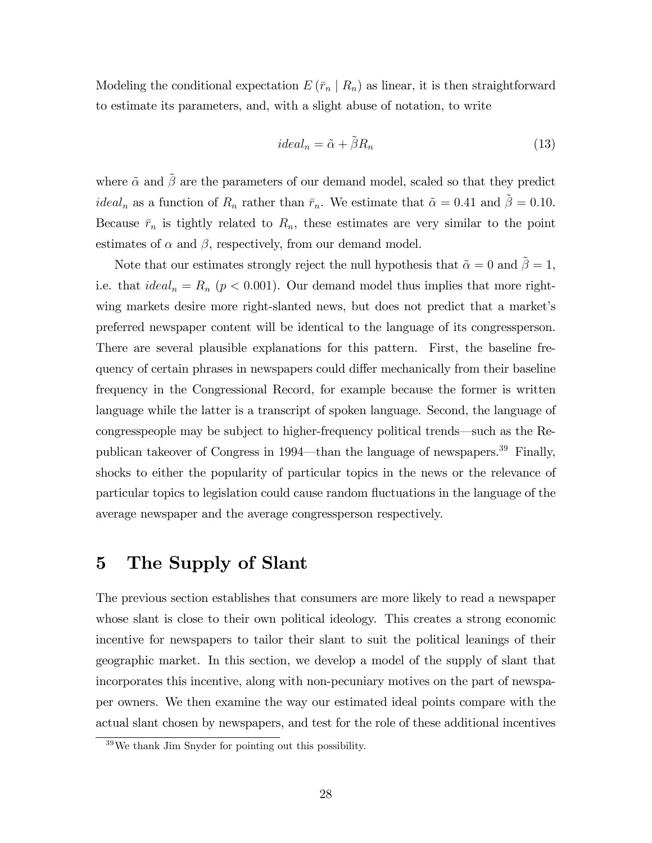Modeling the conditional expectation  $E(\bar{r}_n | R_n)$  as linear, it is then straightforward to estimate its parameters, and, with a slight abuse of notation, to write

$$
ideal_n = \tilde{\alpha} + \tilde{\beta} R_n \tag{13}
$$

where  $\tilde{\alpha}$  and  $\tilde{\beta}$  are the parameters of our demand model, scaled so that they predict *ideal<sub>n</sub>* as a function of  $R_n$  rather than  $\bar{r}_n$ . We estimate that  $\tilde{\alpha} = 0.41$  and  $\tilde{\beta} = 0.10$ . Because  $\bar{r}_n$  is tightly related to  $R_n$ , these estimates are very similar to the point estimates of  $\alpha$  and  $\beta$ , respectively, from our demand model.

Note that our estimates strongly reject the null hypothesis that  $\tilde{\alpha} = 0$  and  $\tilde{\beta} = 1$ , i.e. that  $ideal_n = R_n$  ( $p < 0.001$ ). Our demand model thus implies that more rightwing markets desire more right-slanted news, but does not predict that a market's preferred newspaper content will be identical to the language of its congressperson. There are several plausible explanations for this pattern. First, the baseline frequency of certain phrases in newspapers could differ mechanically from their baseline frequency in the Congressional Record, for example because the former is written language while the latter is a transcript of spoken language. Second, the language of congresspeople may be subject to higher-frequency political trends—such as the Republican takeover of Congress in 1994—than the language of newspapers.<sup>39</sup> Finally, shocks to either the popularity of particular topics in the news or the relevance of particular topics to legislation could cause random áuctuations in the language of the average newspaper and the average congressperson respectively.

## 5 The Supply of Slant

The previous section establishes that consumers are more likely to read a newspaper whose slant is close to their own political ideology. This creates a strong economic incentive for newspapers to tailor their slant to suit the political leanings of their geographic market. In this section, we develop a model of the supply of slant that incorporates this incentive, along with non-pecuniary motives on the part of newspaper owners. We then examine the way our estimated ideal points compare with the actual slant chosen by newspapers, and test for the role of these additional incentives

<sup>39</sup>We thank Jim Snyder for pointing out this possibility.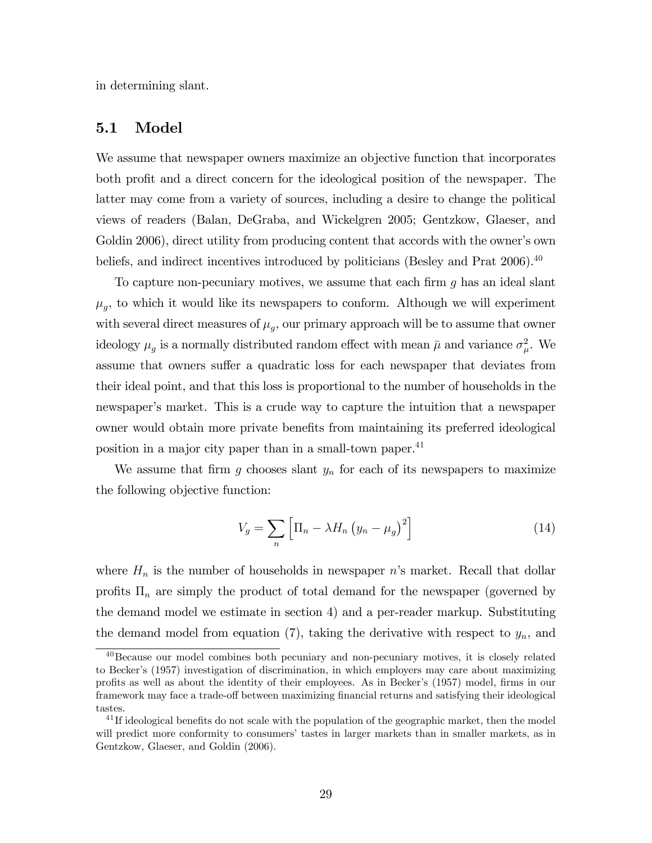in determining slant.

## 5.1 Model

We assume that newspaper owners maximize an objective function that incorporates both profit and a direct concern for the ideological position of the newspaper. The latter may come from a variety of sources, including a desire to change the political views of readers (Balan, DeGraba, and Wickelgren 2005; Gentzkow, Glaeser, and Goldin 2006), direct utility from producing content that accords with the owner's own beliefs, and indirect incentives introduced by politicians (Besley and Prat 2006).<sup>40</sup>

To capture non-pecuniary motives, we assume that each firm  $g$  has an ideal slant  $\mu_g$ , to which it would like its newspapers to conform. Although we will experiment with several direct measures of  $\mu_g$ , our primary approach will be to assume that owner ideology  $\mu_g$  is a normally distributed random effect with mean  $\bar{\mu}$  and variance  $\sigma_{\mu}^2$ . We assume that owners suffer a quadratic loss for each newspaper that deviates from their ideal point, and that this loss is proportional to the number of households in the newspaper's market. This is a crude way to capture the intuition that a newspaper owner would obtain more private benefits from maintaining its preferred ideological position in a major city paper than in a small-town paper.<sup>41</sup>

We assume that firm g chooses slant  $y_n$  for each of its newspapers to maximize the following objective function:

$$
V_g = \sum_{n} \left[ \Pi_n - \lambda H_n \left( y_n - \mu_g \right)^2 \right] \tag{14}
$$

where  $H_n$  is the number of households in newspaper n's market. Recall that dollar profits  $\Pi_n$  are simply the product of total demand for the newspaper (governed by the demand model we estimate in section 4) and a per-reader markup. Substituting the demand model from equation  $(7)$ , taking the derivative with respect to  $y_n$ , and

<sup>40</sup>Because our model combines both pecuniary and non-pecuniary motives, it is closely related to Beckerís (1957) investigation of discrimination, in which employers may care about maximizing profits as well as about the identity of their employees. As in Becker's (1957) model, firms in our framework may face a trade-off between maximizing financial returns and satisfying their ideological tastes.

 $^{41}$ If ideological benefits do not scale with the population of the geographic market, then the model will predict more conformity to consumers' tastes in larger markets than in smaller markets, as in Gentzkow, Glaeser, and Goldin (2006).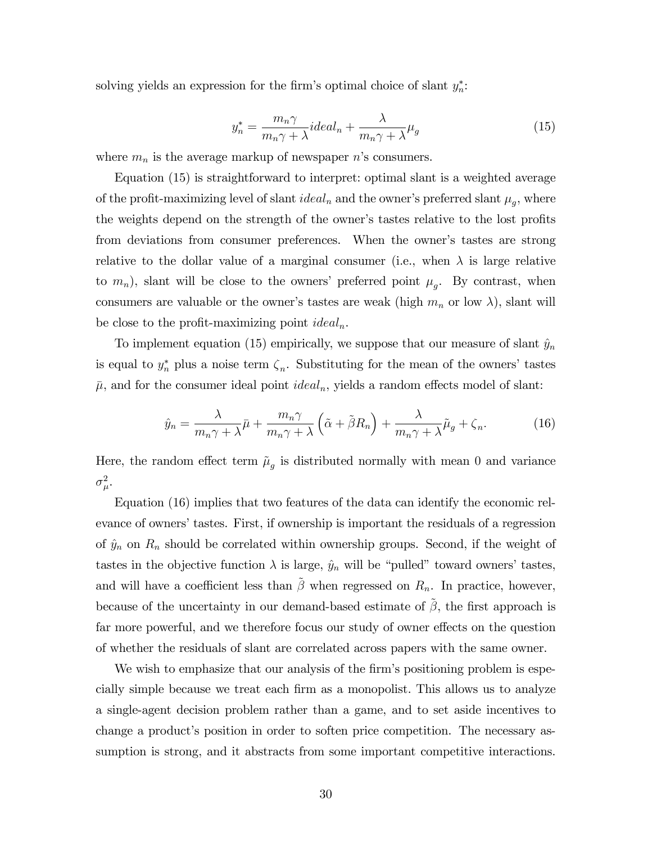solving yields an expression for the firm's optimal choice of slant  $y_n^*$ :

$$
y_n^* = \frac{m_n \gamma}{m_n \gamma + \lambda} ideal_n + \frac{\lambda}{m_n \gamma + \lambda} \mu_g \tag{15}
$$

where  $m_n$  is the average markup of newspaper n's consumers.

Equation (15) is straightforward to interpret: optimal slant is a weighted average of the profit-maximizing level of slant  $ideal_n$  and the owner's preferred slant  $\mu_g$ , where the weights depend on the strength of the owner's tastes relative to the lost profits from deviations from consumer preferences. When the owner's tastes are strong relative to the dollar value of a marginal consumer (i.e., when  $\lambda$  is large relative to  $m_n$ ), slant will be close to the owners' preferred point  $\mu_g$ . By contrast, when consumers are valuable or the owner's tastes are weak (high  $m_n$  or low  $\lambda$ ), slant will be close to the profit-maximizing point  $ideal_n$ .

To implement equation (15) empirically, we suppose that our measure of slant  $\hat{y}_n$ is equal to  $y_n^*$  plus a noise term  $\zeta_n$ . Substituting for the mean of the owners' tastes  $\bar{\mu}$ , and for the consumer ideal point *ideal<sub>n</sub>*, yields a random effects model of slant:

$$
\hat{y}_n = \frac{\lambda}{m_n \gamma + \lambda} \bar{\mu} + \frac{m_n \gamma}{m_n \gamma + \lambda} \left( \tilde{\alpha} + \tilde{\beta} R_n \right) + \frac{\lambda}{m_n \gamma + \lambda} \tilde{\mu}_g + \zeta_n.
$$
 (16)

Here, the random effect term  $\tilde{\mu}_g$  is distributed normally with mean 0 and variance  $\sigma^2_\mu$ .

Equation (16) implies that two features of the data can identify the economic relevance of owners' tastes. First, if ownership is important the residuals of a regression of  $\hat{y}_n$  on  $R_n$  should be correlated within ownership groups. Second, if the weight of tastes in the objective function  $\lambda$  is large,  $\hat{y}_n$  will be "pulled" toward owners' tastes, and will have a coefficient less than  $\tilde{\beta}$  when regressed on  $R_n$ . In practice, however, because of the uncertainty in our demand-based estimate of  $\beta$ , the first approach is far more powerful, and we therefore focus our study of owner effects on the question of whether the residuals of slant are correlated across papers with the same owner.

We wish to emphasize that our analysis of the firm's positioning problem is especially simple because we treat each Örm as a monopolist. This allows us to analyze a single-agent decision problem rather than a game, and to set aside incentives to change a product's position in order to soften price competition. The necessary assumption is strong, and it abstracts from some important competitive interactions.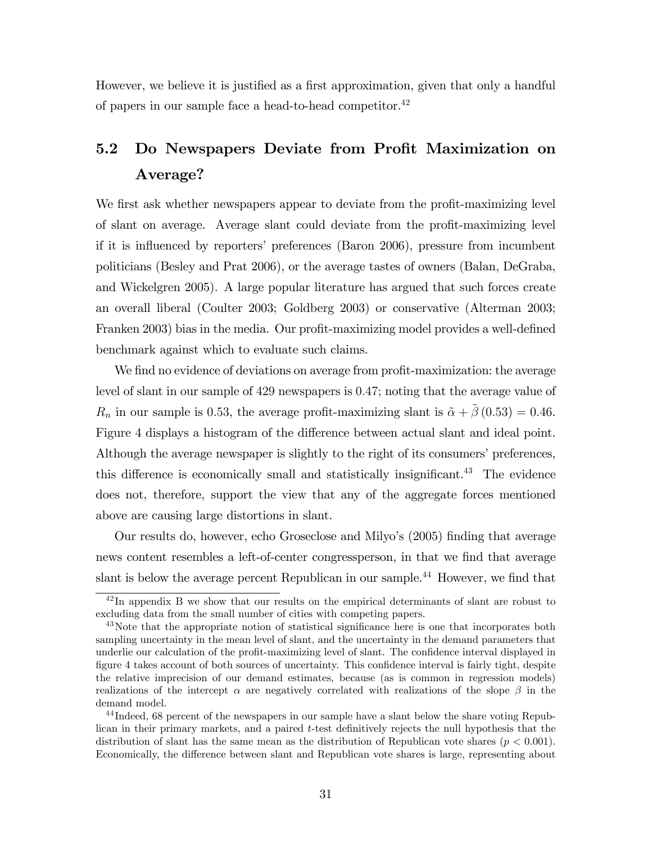However, we believe it is justified as a first approximation, given that only a handful of papers in our sample face a head-to-head competitor. $42$ 

# 5.2 Do Newspapers Deviate from Profit Maximization on Average?

We first ask whether newspapers appear to deviate from the profit-maximizing level of slant on average. Average slant could deviate from the profit-maximizing level if it is influenced by reporters' preferences (Baron 2006), pressure from incumbent politicians (Besley and Prat 2006), or the average tastes of owners (Balan, DeGraba, and Wickelgren 2005). A large popular literature has argued that such forces create an overall liberal (Coulter 2003; Goldberg 2003) or conservative (Alterman 2003; Franken 2003) bias in the media. Our profit-maximizing model provides a well-defined benchmark against which to evaluate such claims.

We find no evidence of deviations on average from profit-maximization: the average level of slant in our sample of 429 newspapers is 0:47; noting that the average value of  $R_n$  in our sample is 0.53, the average profit-maximizing slant is  $\tilde{\alpha} + \tilde{\beta}$  (0.53) = 0.46. Figure 4 displays a histogram of the difference between actual slant and ideal point. Although the average newspaper is slightly to the right of its consumers' preferences, this difference is economically small and statistically insignificant.<sup>43</sup> The evidence does not, therefore, support the view that any of the aggregate forces mentioned above are causing large distortions in slant.

Our results do, however, echo Groseclose and Milyo's (2005) finding that average news content resembles a left-of-center congressperson, in that we find that average slant is below the average percent Republican in our sample.<sup>44</sup> However, we find that

 $42 \text{In appendix B we show that our results on the empirical determinants of slant are robust to }$ excluding data from the small number of cities with competing papers.

<sup>&</sup>lt;sup>43</sup>Note that the appropriate notion of statistical significance here is one that incorporates both sampling uncertainty in the mean level of slant, and the uncertainty in the demand parameters that underlie our calculation of the profit-maximizing level of slant. The confidence interval displayed in figure 4 takes account of both sources of uncertainty. This confidence interval is fairly tight, despite the relative imprecision of our demand estimates, because (as is common in regression models) realizations of the intercept  $\alpha$  are negatively correlated with realizations of the slope  $\beta$  in the demand model.

<sup>44</sup> Indeed, 68 percent of the newspapers in our sample have a slant below the share voting Republican in their primary markets, and a paired t-test definitively rejects the null hypothesis that the distribution of slant has the same mean as the distribution of Republican vote shares ( $p < 0.001$ ). Economically, the difference between slant and Republican vote shares is large, representing about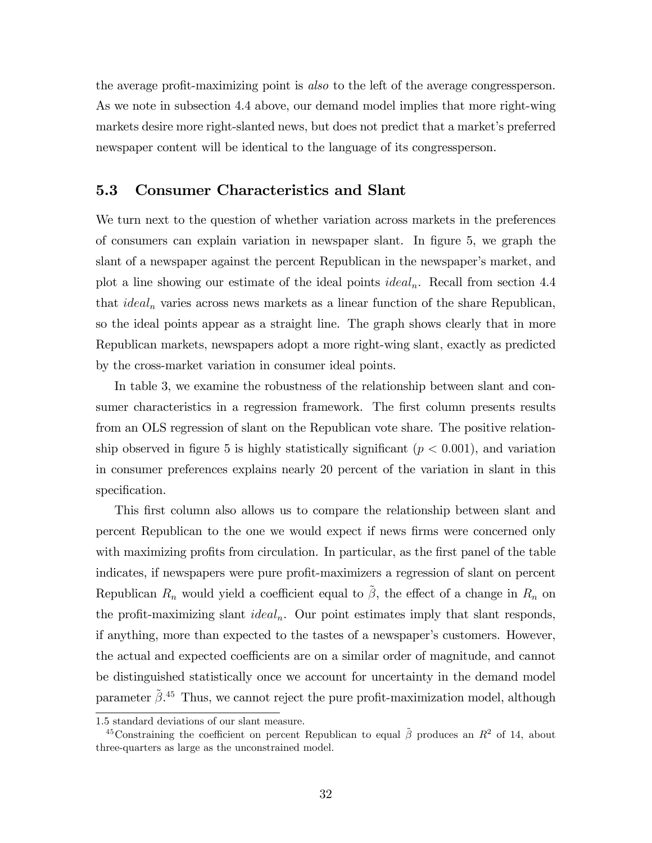the average profit-maximizing point is also to the left of the average congressperson. As we note in subsection 4.4 above, our demand model implies that more right-wing markets desire more right-slanted news, but does not predict that a market's preferred newspaper content will be identical to the language of its congressperson.

## 5.3 Consumer Characteristics and Slant

We turn next to the question of whether variation across markets in the preferences of consumers can explain variation in newspaper slant. In Ögure 5, we graph the slant of a newspaper against the percent Republican in the newspaper's market, and plot a line showing our estimate of the ideal points *ideal<sub>n</sub>*. Recall from section 4.4 that  $ideal_n$  varies across news markets as a linear function of the share Republican, so the ideal points appear as a straight line. The graph shows clearly that in more Republican markets, newspapers adopt a more right-wing slant, exactly as predicted by the cross-market variation in consumer ideal points.

In table 3, we examine the robustness of the relationship between slant and consumer characteristics in a regression framework. The first column presents results from an OLS regression of slant on the Republican vote share. The positive relationship observed in figure 5 is highly statistically significant  $(p < 0.001)$ , and variation in consumer preferences explains nearly 20 percent of the variation in slant in this specification.

This first column also allows us to compare the relationship between slant and percent Republican to the one we would expect if news Örms were concerned only with maximizing profits from circulation. In particular, as the first panel of the table indicates, if newspapers were pure profit-maximizers a regression of slant on percent Republican  $R_n$  would yield a coefficient equal to  $\tilde{\beta}$ , the effect of a change in  $R_n$  on the profit-maximizing slant  $ideal_n$ . Our point estimates imply that slant responds, if anything, more than expected to the tastes of a newspaper's customers. However, the actual and expected coefficients are on a similar order of magnitude, and cannot be distinguished statistically once we account for uncertainty in the demand model parameter  $\tilde{\beta}.^{45}$  Thus, we cannot reject the pure profit-maximization model, although

<sup>1</sup>:5 standard deviations of our slant measure.

<sup>&</sup>lt;sup>45</sup>Constraining the coefficient on percent Republican to equal  $\tilde{\beta}$  produces an  $R^2$  of 14, about three-quarters as large as the unconstrained model.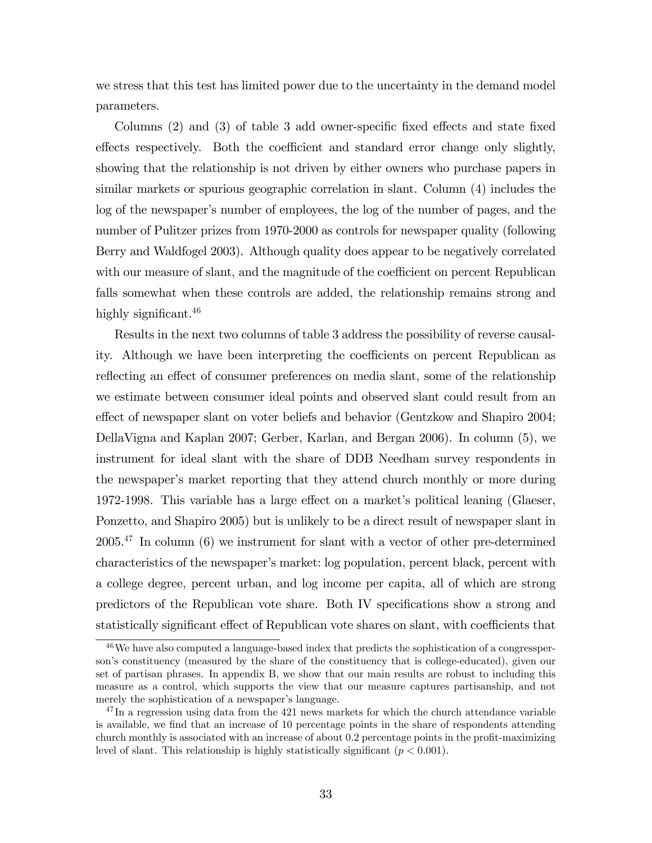we stress that this test has limited power due to the uncertainty in the demand model parameters.

Columns  $(2)$  and  $(3)$  of table 3 add owner-specific fixed effects and state fixed effects respectively. Both the coefficient and standard error change only slightly, showing that the relationship is not driven by either owners who purchase papers in similar markets or spurious geographic correlation in slant. Column (4) includes the log of the newspaper's number of employees, the log of the number of pages, and the number of Pulitzer prizes from 1970-2000 as controls for newspaper quality (following Berry and Waldfogel 2003). Although quality does appear to be negatively correlated with our measure of slant, and the magnitude of the coefficient on percent Republican falls somewhat when these controls are added, the relationship remains strong and highly significant.  $46$ 

Results in the next two columns of table 3 address the possibility of reverse causality. Although we have been interpreting the coefficients on percent Republican as reflecting an effect of consumer preferences on media slant, some of the relationship we estimate between consumer ideal points and observed slant could result from an effect of newspaper slant on voter beliefs and behavior (Gentzkow and Shapiro 2004; DellaVigna and Kaplan 2007; Gerber, Karlan, and Bergan 2006). In column (5), we instrument for ideal slant with the share of DDB Needham survey respondents in the newspaper's market reporting that they attend church monthly or more during 1972-1998. This variable has a large effect on a market's political leaning (Glaeser, Ponzetto, and Shapiro 2005) but is unlikely to be a direct result of newspaper slant in 2005.<sup>47</sup> In column (6) we instrument for slant with a vector of other pre-determined characteristics of the newspaper's market: log population, percent black, percent with a college degree, percent urban, and log income per capita, all of which are strong predictors of the Republican vote share. Both IV specifications show a strong and statistically significant effect of Republican vote shares on slant, with coefficients that

<sup>46</sup>We have also computed a language-based index that predicts the sophistication of a congressperson's constituency (measured by the share of the constituency that is college-educated), given our set of partisan phrases. In appendix B, we show that our main results are robust to including this measure as a control, which supports the view that our measure captures partisanship, and not merely the sophistication of a newspaper's language.

 $^{47}$ In a regression using data from the 421 news markets for which the church attendance variable is available, we find that an increase of 10 percentage points in the share of respondents attending church monthly is associated with an increase of about 0.2 percentage points in the profit-maximizing level of slant. This relationship is highly statistically significant  $(p < 0.001)$ .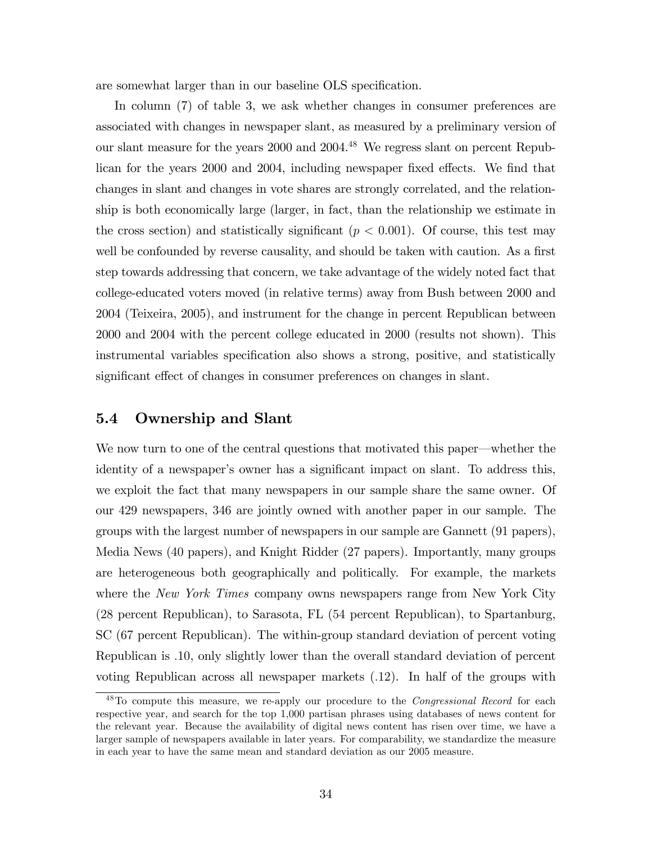are somewhat larger than in our baseline OLS specification.

In column (7) of table 3, we ask whether changes in consumer preferences are associated with changes in newspaper slant, as measured by a preliminary version of our slant measure for the years 2000 and 2004.<sup>48</sup> We regress slant on percent Republican for the years 2000 and 2004, including newspaper fixed effects. We find that changes in slant and changes in vote shares are strongly correlated, and the relationship is both economically large (larger, in fact, than the relationship we estimate in the cross section) and statistically significant ( $p < 0.001$ ). Of course, this test may well be confounded by reverse causality, and should be taken with caution. As a first step towards addressing that concern, we take advantage of the widely noted fact that college-educated voters moved (in relative terms) away from Bush between 2000 and 2004 (Teixeira, 2005), and instrument for the change in percent Republican between 2000 and 2004 with the percent college educated in 2000 (results not shown). This instrumental variables specification also shows a strong, positive, and statistically significant effect of changes in consumer preferences on changes in slant.

## 5.4 Ownership and Slant

We now turn to one of the central questions that motivated this paper—whether the identity of a newspaper's owner has a significant impact on slant. To address this, we exploit the fact that many newspapers in our sample share the same owner. Of our 429 newspapers, 346 are jointly owned with another paper in our sample. The groups with the largest number of newspapers in our sample are Gannett (91 papers), Media News (40 papers), and Knight Ridder (27 papers). Importantly, many groups are heterogeneous both geographically and politically. For example, the markets where the New York Times company owns newspapers range from New York City (28 percent Republican), to Sarasota, FL (54 percent Republican), to Spartanburg, SC (67 percent Republican). The within-group standard deviation of percent voting Republican is :10, only slightly lower than the overall standard deviation of percent voting Republican across all newspaper markets (:12). In half of the groups with

<sup>&</sup>lt;sup>48</sup>To compute this measure, we re-apply our procedure to the *Congressional Record* for each respective year, and search for the top 1,000 partisan phrases using databases of news content for the relevant year. Because the availability of digital news content has risen over time, we have a larger sample of newspapers available in later years. For comparability, we standardize the measure in each year to have the same mean and standard deviation as our 2005 measure.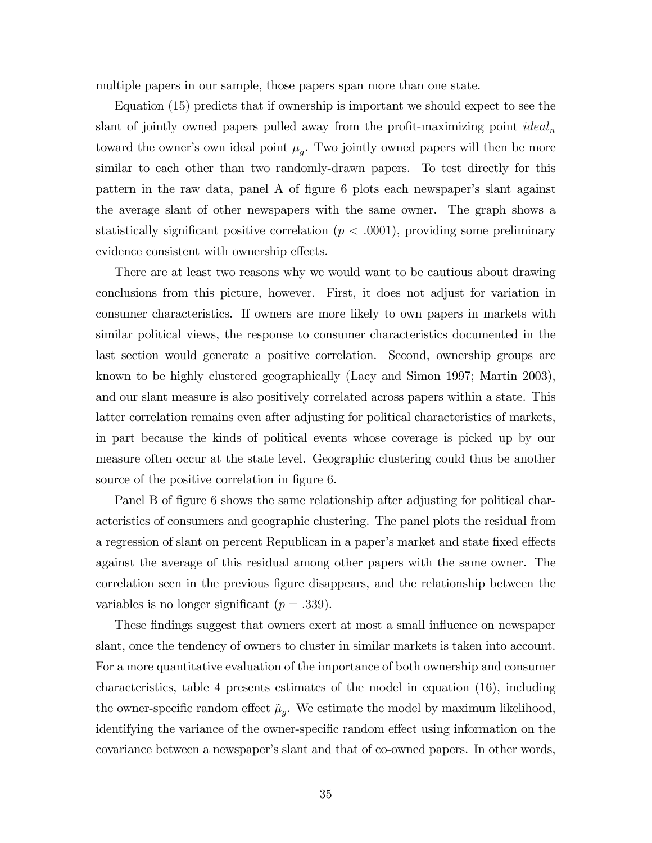multiple papers in our sample, those papers span more than one state.

Equation (15) predicts that if ownership is important we should expect to see the slant of jointly owned papers pulled away from the profit-maximizing point  $ideal_n$ toward the owner's own ideal point  $\mu_g$ . Two jointly owned papers will then be more similar to each other than two randomly-drawn papers. To test directly for this pattern in the raw data, panel A of figure 6 plots each newspaper's slant against the average slant of other newspapers with the same owner. The graph shows a statistically significant positive correlation  $(p < .0001)$ , providing some preliminary evidence consistent with ownership effects.

There are at least two reasons why we would want to be cautious about drawing conclusions from this picture, however. First, it does not adjust for variation in consumer characteristics. If owners are more likely to own papers in markets with similar political views, the response to consumer characteristics documented in the last section would generate a positive correlation. Second, ownership groups are known to be highly clustered geographically (Lacy and Simon 1997; Martin 2003), and our slant measure is also positively correlated across papers within a state. This latter correlation remains even after adjusting for political characteristics of markets, in part because the kinds of political events whose coverage is picked up by our measure often occur at the state level. Geographic clustering could thus be another source of the positive correlation in figure 6.

Panel B of figure 6 shows the same relationship after adjusting for political characteristics of consumers and geographic clustering. The panel plots the residual from a regression of slant on percent Republican in a paper's market and state fixed effects against the average of this residual among other papers with the same owner. The correlation seen in the previous figure disappears, and the relationship between the variables is no longer significant ( $p = .339$ ).

These findings suggest that owners exert at most a small influence on newspaper slant, once the tendency of owners to cluster in similar markets is taken into account. For a more quantitative evaluation of the importance of both ownership and consumer characteristics, table 4 presents estimates of the model in equation (16), including the owner-specific random effect  $\tilde{\mu}_g$ . We estimate the model by maximum likelihood, identifying the variance of the owner-specific random effect using information on the covariance between a newspaper's slant and that of co-owned papers. In other words,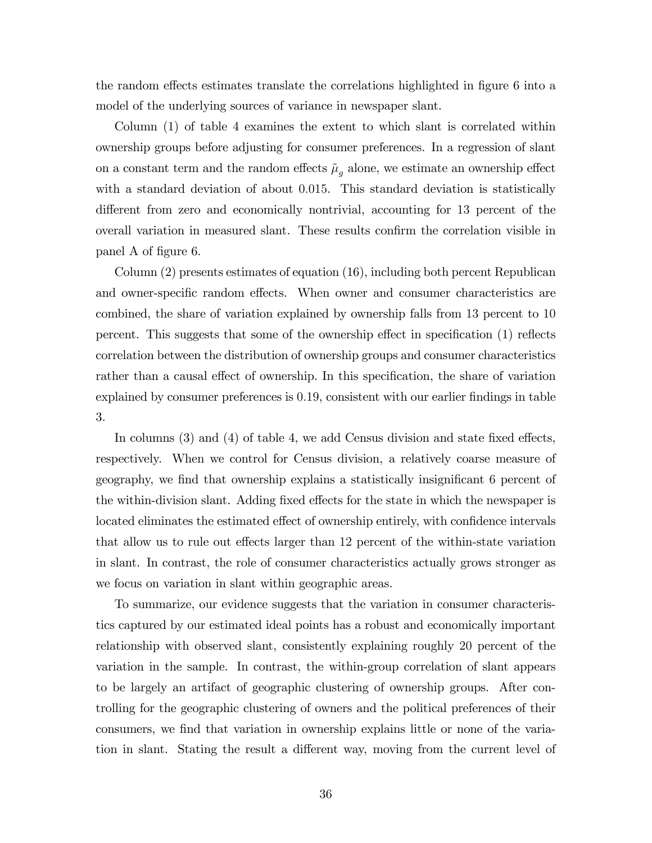the random effects estimates translate the correlations highlighted in figure 6 into a model of the underlying sources of variance in newspaper slant.

Column (1) of table 4 examines the extent to which slant is correlated within ownership groups before adjusting for consumer preferences. In a regression of slant on a constant term and the random effects  $\tilde{\mu}_q$  alone, we estimate an ownership effect with a standard deviation of about 0.015. This standard deviation is statistically different from zero and economically nontrivial, accounting for 13 percent of the overall variation in measured slant. These results confirm the correlation visible in panel A of figure 6.

Column (2) presents estimates of equation (16), including both percent Republican and owner-specific random effects. When owner and consumer characteristics are combined, the share of variation explained by ownership falls from 13 percent to 10 percent. This suggests that some of the ownership effect in specification  $(1)$  reflects correlation between the distribution of ownership groups and consumer characteristics rather than a causal effect of ownership. In this specification, the share of variation explained by consumer preferences is 0.19, consistent with our earlier findings in table 3.

In columns  $(3)$  and  $(4)$  of table 4, we add Census division and state fixed effects, respectively. When we control for Census division, a relatively coarse measure of geography, we find that ownership explains a statistically insignificant 6 percent of the within-division slant. Adding fixed effects for the state in which the newspaper is located eliminates the estimated effect of ownership entirely, with confidence intervals that allow us to rule out effects larger than 12 percent of the within-state variation in slant. In contrast, the role of consumer characteristics actually grows stronger as we focus on variation in slant within geographic areas.

To summarize, our evidence suggests that the variation in consumer characteristics captured by our estimated ideal points has a robust and economically important relationship with observed slant, consistently explaining roughly 20 percent of the variation in the sample. In contrast, the within-group correlation of slant appears to be largely an artifact of geographic clustering of ownership groups. After controlling for the geographic clustering of owners and the political preferences of their consumers, we find that variation in ownership explains little or none of the variation in slant. Stating the result a different way, moving from the current level of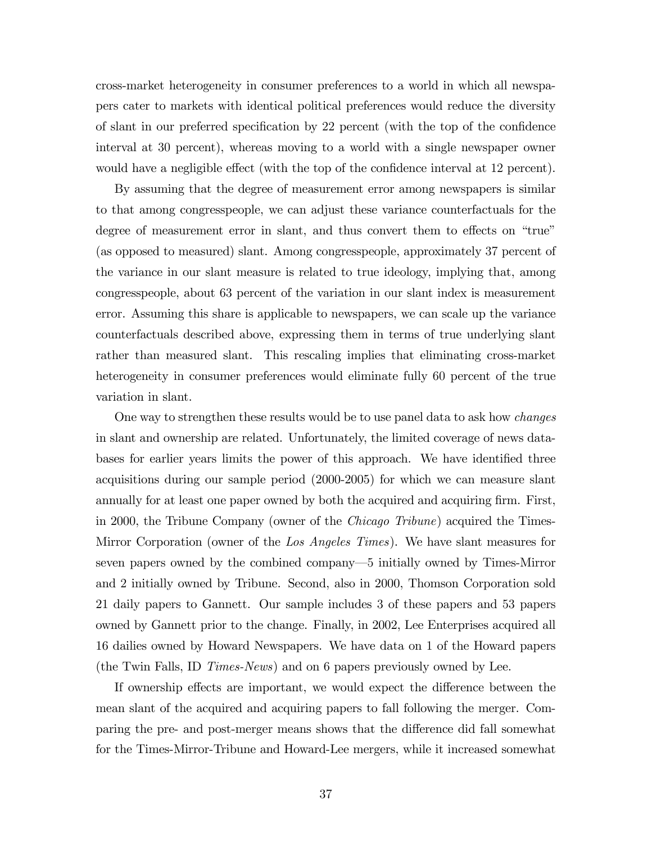cross-market heterogeneity in consumer preferences to a world in which all newspapers cater to markets with identical political preferences would reduce the diversity of slant in our preferred specification by 22 percent (with the top of the confidence interval at 30 percent), whereas moving to a world with a single newspaper owner would have a negligible effect (with the top of the confidence interval at 12 percent).

By assuming that the degree of measurement error among newspapers is similar to that among congresspeople, we can adjust these variance counterfactuals for the degree of measurement error in slant, and thus convert them to effects on "true" (as opposed to measured) slant. Among congresspeople, approximately 37 percent of the variance in our slant measure is related to true ideology, implying that, among congresspeople, about 63 percent of the variation in our slant index is measurement error. Assuming this share is applicable to newspapers, we can scale up the variance counterfactuals described above, expressing them in terms of true underlying slant rather than measured slant. This rescaling implies that eliminating cross-market heterogeneity in consumer preferences would eliminate fully 60 percent of the true variation in slant.

One way to strengthen these results would be to use panel data to ask how changes in slant and ownership are related. Unfortunately, the limited coverage of news databases for earlier years limits the power of this approach. We have identified three acquisitions during our sample period (2000-2005) for which we can measure slant annually for at least one paper owned by both the acquired and acquiring firm. First, in 2000, the Tribune Company (owner of the Chicago Tribune) acquired the Times-Mirror Corporation (owner of the Los Angeles Times). We have slant measures for seven papers owned by the combined company—5 initially owned by Times-Mirror and 2 initially owned by Tribune. Second, also in 2000, Thomson Corporation sold 21 daily papers to Gannett. Our sample includes 3 of these papers and 53 papers owned by Gannett prior to the change. Finally, in 2002, Lee Enterprises acquired all 16 dailies owned by Howard Newspapers. We have data on 1 of the Howard papers (the Twin Falls, ID Times-News) and on 6 papers previously owned by Lee.

If ownership effects are important, we would expect the difference between the mean slant of the acquired and acquiring papers to fall following the merger. Comparing the pre- and post-merger means shows that the difference did fall somewhat for the Times-Mirror-Tribune and Howard-Lee mergers, while it increased somewhat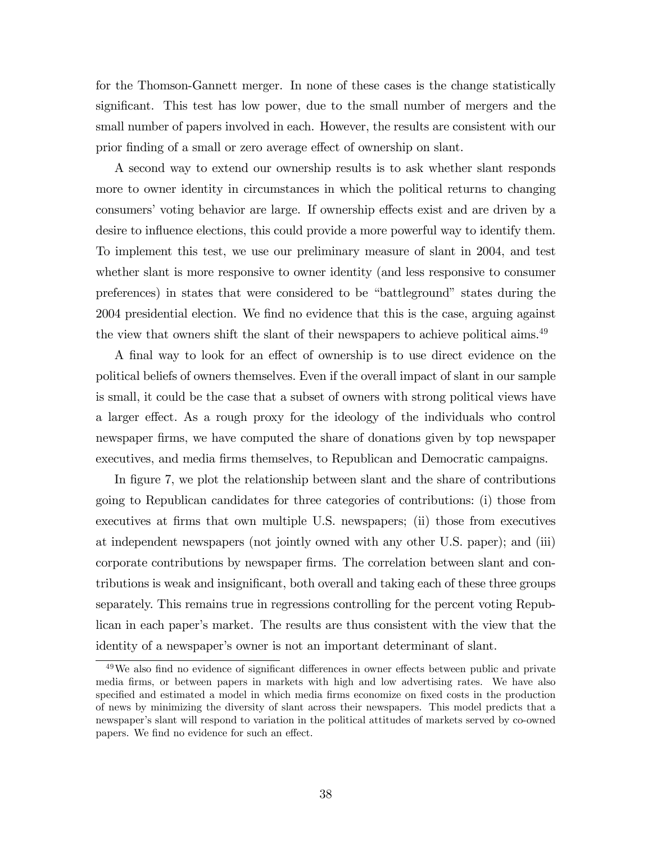for the Thomson-Gannett merger. In none of these cases is the change statistically significant. This test has low power, due to the small number of mergers and the small number of papers involved in each. However, the results are consistent with our prior finding of a small or zero average effect of ownership on slant.

A second way to extend our ownership results is to ask whether slant responds more to owner identity in circumstances in which the political returns to changing consumers' voting behavior are large. If ownership effects exist and are driven by a desire to influence elections, this could provide a more powerful way to identify them. To implement this test, we use our preliminary measure of slant in 2004, and test whether slant is more responsive to owner identity (and less responsive to consumer preferences) in states that were considered to be "battleground" states during the 2004 presidential election. We find no evidence that this is the case, arguing against the view that owners shift the slant of their newspapers to achieve political aims.<sup>49</sup>

A final way to look for an effect of ownership is to use direct evidence on the political beliefs of owners themselves. Even if the overall impact of slant in our sample is small, it could be the case that a subset of owners with strong political views have a larger effect. As a rough proxy for the ideology of the individuals who control newspaper Örms, we have computed the share of donations given by top newspaper executives, and media firms themselves, to Republican and Democratic campaigns.

In figure 7, we plot the relationship between slant and the share of contributions going to Republican candidates for three categories of contributions: (i) those from executives at firms that own multiple U.S. newspapers; (ii) those from executives at independent newspapers (not jointly owned with any other U.S. paper); and (iii) corporate contributions by newspaper Örms. The correlation between slant and contributions is weak and insignificant, both overall and taking each of these three groups separately. This remains true in regressions controlling for the percent voting Republican in each paper's market. The results are thus consistent with the view that the identity of a newspaper's owner is not an important determinant of slant.

 $49$ We also find no evidence of significant differences in owner effects between public and private media Örms, or between papers in markets with high and low advertising rates. We have also specified and estimated a model in which media firms economize on fixed costs in the production of news by minimizing the diversity of slant across their newspapers. This model predicts that a newspaper's slant will respond to variation in the political attitudes of markets served by co-owned papers. We find no evidence for such an effect.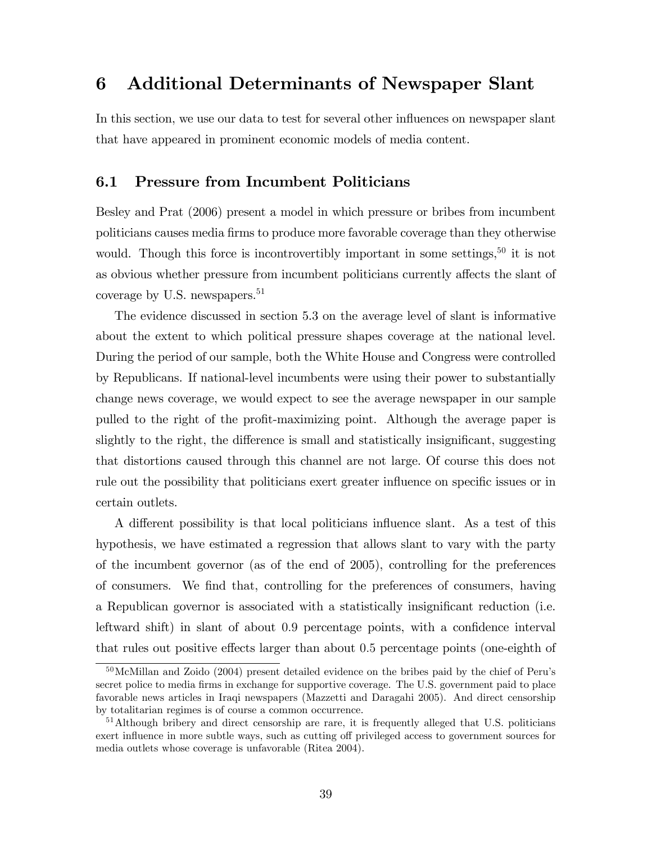# 6 Additional Determinants of Newspaper Slant

In this section, we use our data to test for several other influences on newspaper slant that have appeared in prominent economic models of media content.

## 6.1 Pressure from Incumbent Politicians

Besley and Prat (2006) present a model in which pressure or bribes from incumbent politicians causes media Örms to produce more favorable coverage than they otherwise would. Though this force is incontrovertibly important in some settings,<sup>50</sup> it is not as obvious whether pressure from incumbent politicians currently affects the slant of coverage by U.S. newspapers.<sup>51</sup>

The evidence discussed in section 5.3 on the average level of slant is informative about the extent to which political pressure shapes coverage at the national level. During the period of our sample, both the White House and Congress were controlled by Republicans. If national-level incumbents were using their power to substantially change news coverage, we would expect to see the average newspaper in our sample pulled to the right of the profit-maximizing point. Although the average paper is slightly to the right, the difference is small and statistically insignificant, suggesting that distortions caused through this channel are not large. Of course this does not rule out the possibility that politicians exert greater influence on specific issues or in certain outlets.

A different possibility is that local politicians influence slant. As a test of this hypothesis, we have estimated a regression that allows slant to vary with the party of the incumbent governor (as of the end of 2005), controlling for the preferences of consumers. We Önd that, controlling for the preferences of consumers, having a Republican governor is associated with a statistically insignificant reduction (i.e. leftward shift) in slant of about  $0.9$  percentage points, with a confidence interval that rules out positive effects larger than about 0.5 percentage points (one-eighth of

<sup>&</sup>lt;sup>50</sup>McMillan and Zoido (2004) present detailed evidence on the bribes paid by the chief of Peru's secret police to media firms in exchange for supportive coverage. The U.S. government paid to place favorable news articles in Iraqi newspapers (Mazzetti and Daragahi 2005). And direct censorship by totalitarian regimes is of course a common occurrence.

<sup>&</sup>lt;sup>51</sup>Although bribery and direct censorship are rare, it is frequently alleged that U.S. politicians exert influence in more subtle ways, such as cutting off privileged access to government sources for media outlets whose coverage is unfavorable (Ritea 2004).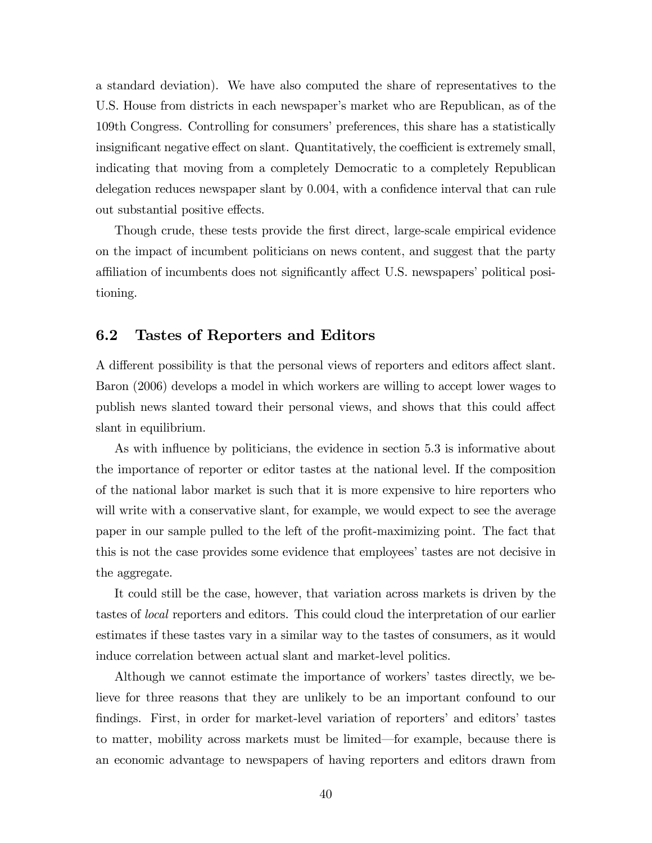a standard deviation). We have also computed the share of representatives to the U.S. House from districts in each newspaper's market who are Republican, as of the 109th Congress. Controlling for consumersípreferences, this share has a statistically insignificant negative effect on slant. Quantitatively, the coefficient is extremely small, indicating that moving from a completely Democratic to a completely Republican delegation reduces newspaper slant by  $0.004$ , with a confidence interval that can rule out substantial positive effects.

Though crude, these tests provide the first direct, large-scale empirical evidence on the impact of incumbent politicians on news content, and suggest that the party affiliation of incumbents does not significantly affect U.S. newspapers' political positioning.

## 6.2 Tastes of Reporters and Editors

A different possibility is that the personal views of reporters and editors affect slant. Baron (2006) develops a model in which workers are willing to accept lower wages to publish news slanted toward their personal views, and shows that this could affect slant in equilibrium.

As with influence by politicians, the evidence in section 5.3 is informative about the importance of reporter or editor tastes at the national level. If the composition of the national labor market is such that it is more expensive to hire reporters who will write with a conservative slant, for example, we would expect to see the average paper in our sample pulled to the left of the profit-maximizing point. The fact that this is not the case provides some evidence that employees' tastes are not decisive in the aggregate.

It could still be the case, however, that variation across markets is driven by the tastes of local reporters and editors. This could cloud the interpretation of our earlier estimates if these tastes vary in a similar way to the tastes of consumers, as it would induce correlation between actual slant and market-level politics.

Although we cannot estimate the importance of workers' tastes directly, we believe for three reasons that they are unlikely to be an important confound to our findings. First, in order for market-level variation of reporters' and editors' tastes to matter, mobility across markets must be limited—for example, because there is an economic advantage to newspapers of having reporters and editors drawn from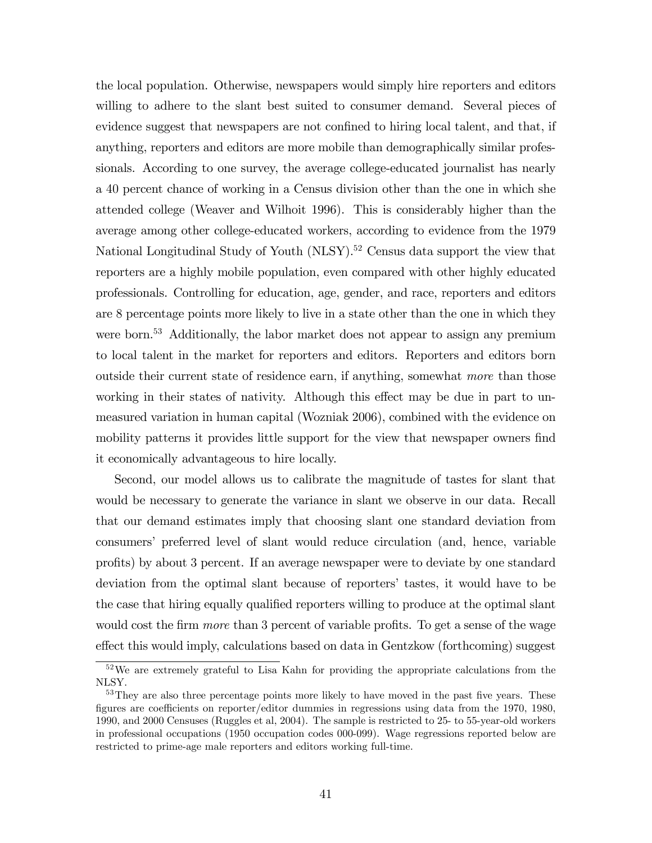the local population. Otherwise, newspapers would simply hire reporters and editors willing to adhere to the slant best suited to consumer demand. Several pieces of evidence suggest that newspapers are not confined to hiring local talent, and that, if anything, reporters and editors are more mobile than demographically similar professionals. According to one survey, the average college-educated journalist has nearly a 40 percent chance of working in a Census division other than the one in which she attended college (Weaver and Wilhoit 1996). This is considerably higher than the average among other college-educated workers, according to evidence from the 1979 National Longitudinal Study of Youth (NLSY).<sup>52</sup> Census data support the view that reporters are a highly mobile population, even compared with other highly educated professionals. Controlling for education, age, gender, and race, reporters and editors are 8 percentage points more likely to live in a state other than the one in which they were born.<sup>53</sup> Additionally, the labor market does not appear to assign any premium to local talent in the market for reporters and editors. Reporters and editors born outside their current state of residence earn, if anything, somewhat more than those working in their states of nativity. Although this effect may be due in part to unmeasured variation in human capital (Wozniak 2006), combined with the evidence on mobility patterns it provides little support for the view that newspaper owners find it economically advantageous to hire locally.

Second, our model allows us to calibrate the magnitude of tastes for slant that would be necessary to generate the variance in slant we observe in our data. Recall that our demand estimates imply that choosing slant one standard deviation from consumersí preferred level of slant would reduce circulation (and, hence, variable profits) by about 3 percent. If an average newspaper were to deviate by one standard deviation from the optimal slant because of reportersí tastes, it would have to be the case that hiring equally qualified reporters willing to produce at the optimal slant would cost the firm *more* than 3 percent of variable profits. To get a sense of the wage effect this would imply, calculations based on data in Gentzkow (forthcoming) suggest

<sup>&</sup>lt;sup>52</sup>We are extremely grateful to Lisa Kahn for providing the appropriate calculations from the NLSY.

<sup>&</sup>lt;sup>53</sup>They are also three percentage points more likely to have moved in the past five years. These figures are coefficients on reporter/editor dummies in regressions using data from the 1970, 1980, 1990, and 2000 Censuses (Ruggles et al, 2004). The sample is restricted to 25- to 55-year-old workers in professional occupations (1950 occupation codes 000-099). Wage regressions reported below are restricted to prime-age male reporters and editors working full-time.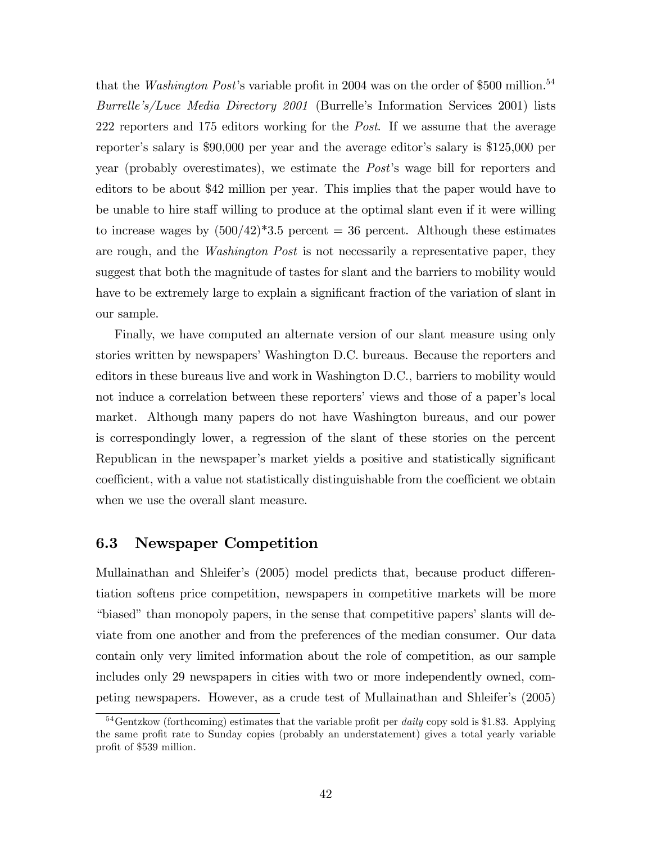that the *Washington Post*'s variable profit in 2004 was on the order of \$500 million.<sup>54</sup> Burrelle's/Luce Media Directory 2001 (Burrelle's Information Services 2001) lists 222 reporters and 175 editors working for the Post. If we assume that the average reporter's salary is \$90,000 per year and the average editor's salary is \$125,000 per year (probably overestimates), we estimate the *Post*'s wage bill for reporters and editors to be about \$42 million per year. This implies that the paper would have to be unable to hire staff willing to produce at the optimal slant even if it were willing to increase wages by  $(500/42)^*3.5$  percent = 36 percent. Although these estimates are rough, and the Washington Post is not necessarily a representative paper, they suggest that both the magnitude of tastes for slant and the barriers to mobility would have to be extremely large to explain a significant fraction of the variation of slant in our sample.

Finally, we have computed an alternate version of our slant measure using only stories written by newspapers' Washington D.C. bureaus. Because the reporters and editors in these bureaus live and work in Washington D.C., barriers to mobility would not induce a correlation between these reporters' views and those of a paper's local market. Although many papers do not have Washington bureaus, and our power is correspondingly lower, a regression of the slant of these stories on the percent Republican in the newspaper's market yields a positive and statistically significant coefficient, with a value not statistically distinguishable from the coefficient we obtain when we use the overall slant measure.

## 6.3 Newspaper Competition

Mullainathan and Shleifer's (2005) model predicts that, because product differentiation softens price competition, newspapers in competitive markets will be more "biased" than monopoly papers, in the sense that competitive papers' slants will deviate from one another and from the preferences of the median consumer. Our data contain only very limited information about the role of competition, as our sample includes only 29 newspapers in cities with two or more independently owned, competing newspapers. However, as a crude test of Mullainathan and Shleifer's (2005)

 $54$ Gentzkow (forthcoming) estimates that the variable profit per *daily* copy sold is \$1.83. Applying the same profit rate to Sunday copies (probably an understatement) gives a total yearly variable profit of \$539 million.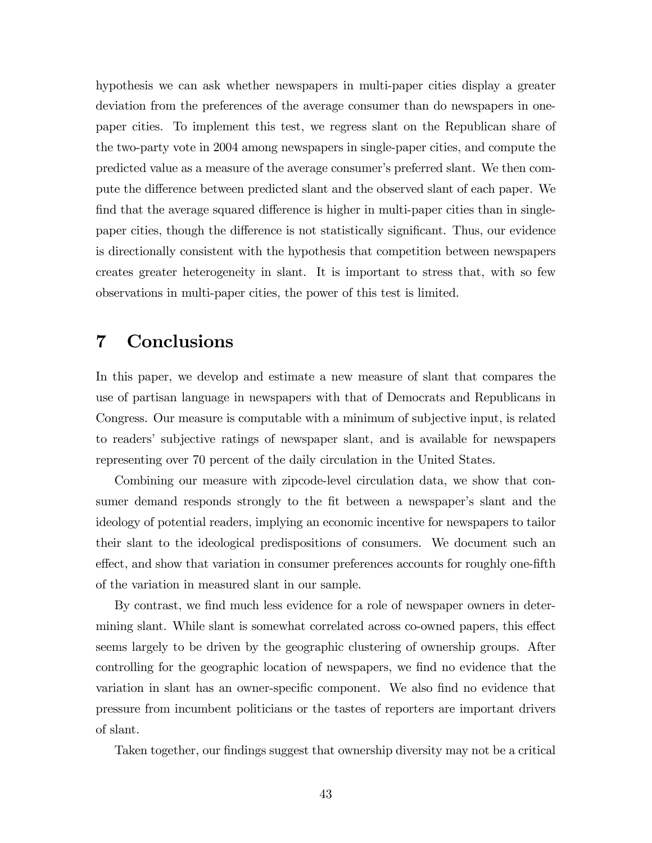hypothesis we can ask whether newspapers in multi-paper cities display a greater deviation from the preferences of the average consumer than do newspapers in onepaper cities. To implement this test, we regress slant on the Republican share of the two-party vote in 2004 among newspapers in single-paper cities, and compute the predicted value as a measure of the average consumerís preferred slant. We then compute the difference between predicted slant and the observed slant of each paper. We find that the average squared difference is higher in multi-paper cities than in singlepaper cities, though the difference is not statistically significant. Thus, our evidence is directionally consistent with the hypothesis that competition between newspapers creates greater heterogeneity in slant. It is important to stress that, with so few observations in multi-paper cities, the power of this test is limited.

# 7 Conclusions

In this paper, we develop and estimate a new measure of slant that compares the use of partisan language in newspapers with that of Democrats and Republicans in Congress. Our measure is computable with a minimum of subjective input, is related to readersí subjective ratings of newspaper slant, and is available for newspapers representing over 70 percent of the daily circulation in the United States.

Combining our measure with zipcode-level circulation data, we show that consumer demand responds strongly to the fit between a newspaper's slant and the ideology of potential readers, implying an economic incentive for newspapers to tailor their slant to the ideological predispositions of consumers. We document such an effect, and show that variation in consumer preferences accounts for roughly one-fifth of the variation in measured slant in our sample.

By contrast, we find much less evidence for a role of newspaper owners in determining slant. While slant is somewhat correlated across co-owned papers, this effect seems largely to be driven by the geographic clustering of ownership groups. After controlling for the geographic location of newspapers, we find no evidence that the variation in slant has an owner-specific component. We also find no evidence that pressure from incumbent politicians or the tastes of reporters are important drivers of slant.

Taken together, our findings suggest that ownership diversity may not be a critical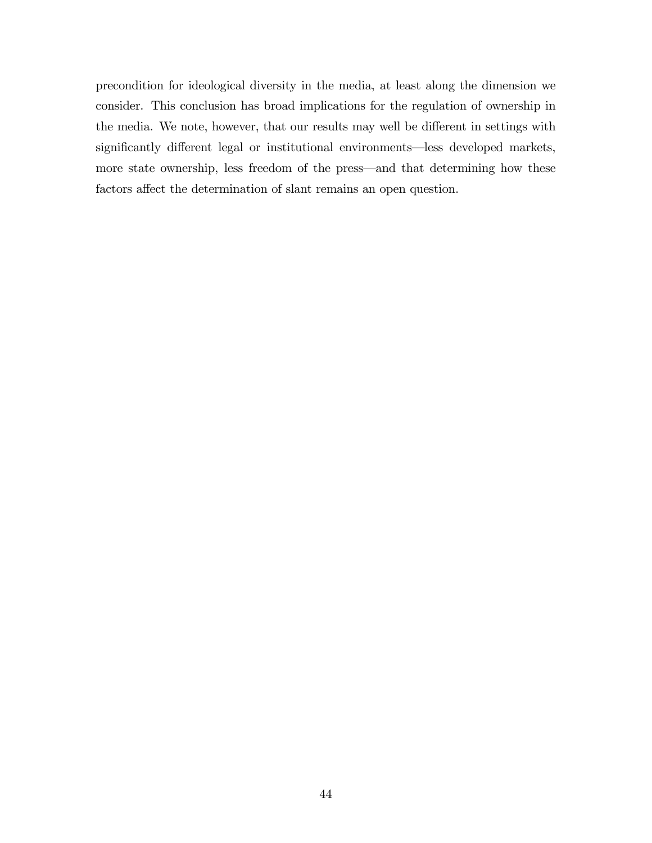precondition for ideological diversity in the media, at least along the dimension we consider. This conclusion has broad implications for the regulation of ownership in the media. We note, however, that our results may well be different in settings with significantly different legal or institutional environments—less developed markets, more state ownership, less freedom of the press—and that determining how these factors affect the determination of slant remains an open question.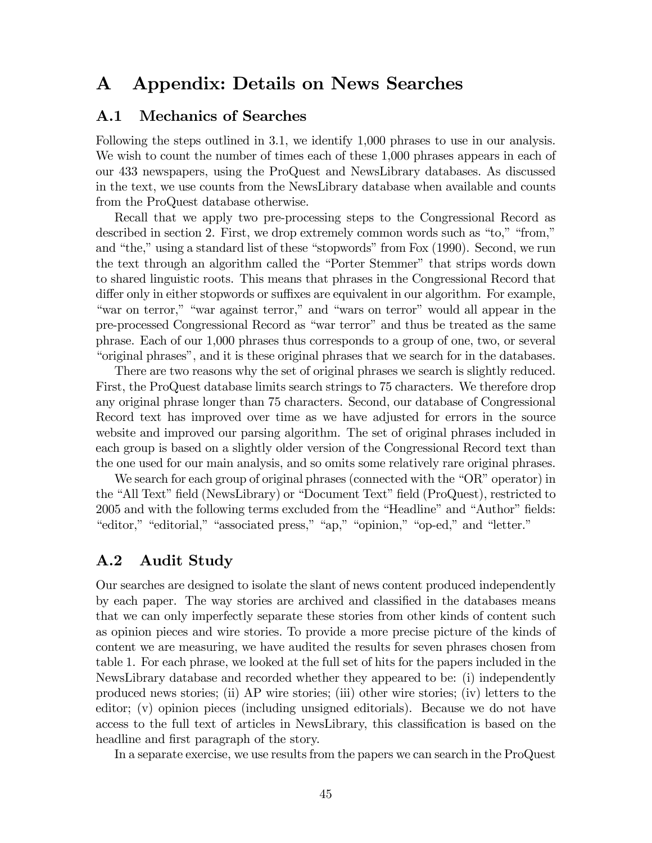# A Appendix: Details on News Searches

## A.1 Mechanics of Searches

Following the steps outlined in 3.1, we identify 1,000 phrases to use in our analysis. We wish to count the number of times each of these 1,000 phrases appears in each of our 433 newspapers, using the ProQuest and NewsLibrary databases. As discussed in the text, we use counts from the NewsLibrary database when available and counts from the ProQuest database otherwise.

Recall that we apply two pre-processing steps to the Congressional Record as described in section 2. First, we drop extremely common words such as "to," "from," and "the," using a standard list of these "stopwords" from Fox  $(1990)$ . Second, we run the text through an algorithm called the "Porter Stemmer" that strips words down to shared linguistic roots. This means that phrases in the Congressional Record that differ only in either stopwords or suffixes are equivalent in our algorithm. For example, "war on terror," "war against terror," and "wars on terror" would all appear in the pre-processed Congressional Record as "war terror" and thus be treated as the same phrase. Each of our 1,000 phrases thus corresponds to a group of one, two, or several ìoriginal phrasesî, and it is these original phrases that we search for in the databases.

There are two reasons why the set of original phrases we search is slightly reduced. First, the ProQuest database limits search strings to 75 characters. We therefore drop any original phrase longer than 75 characters. Second, our database of Congressional Record text has improved over time as we have adjusted for errors in the source website and improved our parsing algorithm. The set of original phrases included in each group is based on a slightly older version of the Congressional Record text than the one used for our main analysis, and so omits some relatively rare original phrases.

We search for each group of original phrases (connected with the " $OR$ " operator) in the "All Text" field (NewsLibrary) or "Document Text" field (ProQuest), restricted to 2005 and with the following terms excluded from the "Headline" and "Author" fields: "editor," "editorial," "associated press," "ap," "opinion," "op-ed," and "letter."

## A.2 Audit Study

Our searches are designed to isolate the slant of news content produced independently by each paper. The way stories are archived and classified in the databases means that we can only imperfectly separate these stories from other kinds of content such as opinion pieces and wire stories. To provide a more precise picture of the kinds of content we are measuring, we have audited the results for seven phrases chosen from table 1. For each phrase, we looked at the full set of hits for the papers included in the NewsLibrary database and recorded whether they appeared to be: (i) independently produced news stories; (ii) AP wire stories; (iii) other wire stories; (iv) letters to the editor; (v) opinion pieces (including unsigned editorials). Because we do not have access to the full text of articles in NewsLibrary, this classification is based on the headline and first paragraph of the story.

In a separate exercise, we use results from the papers we can search in the ProQuest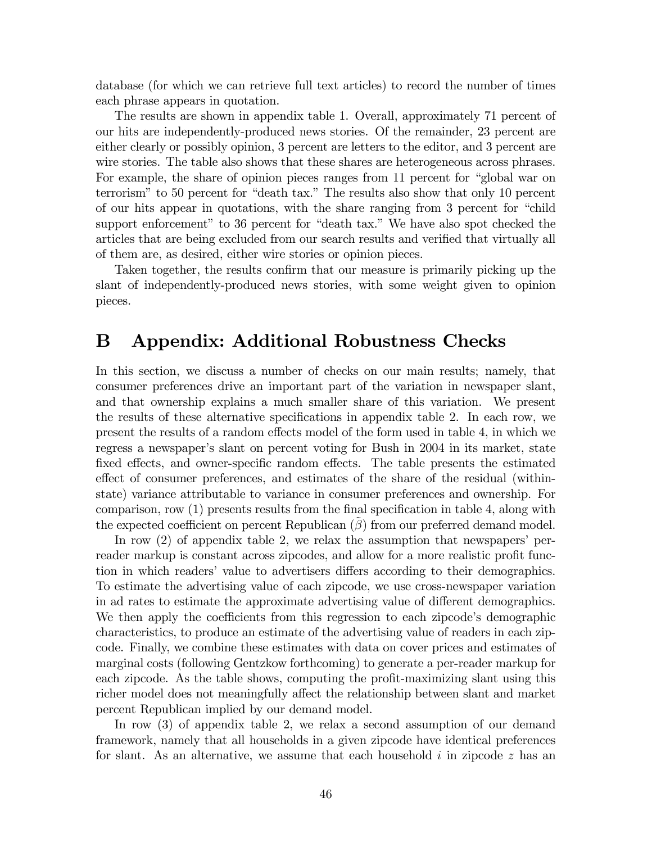database (for which we can retrieve full text articles) to record the number of times each phrase appears in quotation.

The results are shown in appendix table 1. Overall, approximately 71 percent of our hits are independently-produced news stories. Of the remainder, 23 percent are either clearly or possibly opinion, 3 percent are letters to the editor, and 3 percent are wire stories. The table also shows that these shares are heterogeneous across phrases. For example, the share of opinion pieces ranges from 11 percent for "global war on terrorism" to 50 percent for "death tax." The results also show that only 10 percent of our hits appear in quotations, with the share ranging from 3 percent for "child" support enforcement" to 36 percent for "death tax." We have also spot checked the articles that are being excluded from our search results and verified that virtually all of them are, as desired, either wire stories or opinion pieces.

Taken together, the results confirm that our measure is primarily picking up the slant of independently-produced news stories, with some weight given to opinion pieces.

## B Appendix: Additional Robustness Checks

In this section, we discuss a number of checks on our main results; namely, that consumer preferences drive an important part of the variation in newspaper slant, and that ownership explains a much smaller share of this variation. We present the results of these alternative specifications in appendix table 2. In each row, we present the results of a random effects model of the form used in table 4, in which we regress a newspaper's slant on percent voting for Bush in 2004 in its market, state fixed effects, and owner-specific random effects. The table presents the estimated effect of consumer preferences, and estimates of the share of the residual (withinstate) variance attributable to variance in consumer preferences and ownership. For comparison, row  $(1)$  presents results from the final specification in table 4, along with the expected coefficient on percent Republican  $(\beta)$  from our preferred demand model.

In row  $(2)$  of appendix table 2, we relax the assumption that newspapers' perreader markup is constant across zipcodes, and allow for a more realistic profit function in which readers' value to advertisers differs according to their demographics. To estimate the advertising value of each zipcode, we use cross-newspaper variation in ad rates to estimate the approximate advertising value of different demographics. We then apply the coefficients from this regression to each zipcode's demographic characteristics, to produce an estimate of the advertising value of readers in each zipcode. Finally, we combine these estimates with data on cover prices and estimates of marginal costs (following Gentzkow forthcoming) to generate a per-reader markup for each zipcode. As the table shows, computing the profit-maximizing slant using this richer model does not meaningfully affect the relationship between slant and market percent Republican implied by our demand model.

In row (3) of appendix table 2, we relax a second assumption of our demand framework, namely that all households in a given zipcode have identical preferences for slant. As an alternative, we assume that each household  $i$  in zipcode  $z$  has an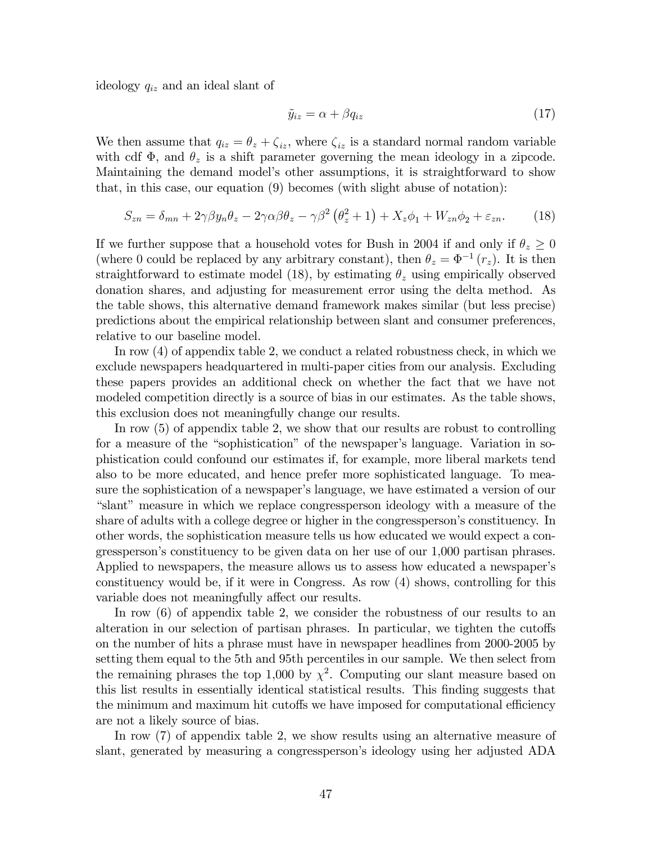ideology  $q_{iz}$  and an ideal slant of

$$
\tilde{y}_{iz} = \alpha + \beta q_{iz} \tag{17}
$$

We then assume that  $q_{iz} = \theta_z + \zeta_{iz}$ , where  $\zeta_{iz}$  is a standard normal random variable with cdf  $\Phi$ , and  $\theta_z$  is a shift parameter governing the mean ideology in a zipcode. Maintaining the demand modelís other assumptions, it is straightforward to show that, in this case, our equation (9) becomes (with slight abuse of notation):

$$
S_{zn} = \delta_{mn} + 2\gamma\beta y_n \theta_z - 2\gamma\alpha\beta\theta_z - \gamma\beta^2 \left(\theta_z^2 + 1\right) + X_z \phi_1 + W_{zn} \phi_2 + \varepsilon_{zn}.
$$
 (18)

If we further suppose that a household votes for Bush in 2004 if and only if  $\theta_z \geq 0$ (where 0 could be replaced by any arbitrary constant), then  $\theta_z = \Phi^{-1}(r_z)$ . It is then straightforward to estimate model (18), by estimating  $\theta_z$  using empirically observed donation shares, and adjusting for measurement error using the delta method. As the table shows, this alternative demand framework makes similar (but less precise) predictions about the empirical relationship between slant and consumer preferences, relative to our baseline model.

In row (4) of appendix table 2, we conduct a related robustness check, in which we exclude newspapers headquartered in multi-paper cities from our analysis. Excluding these papers provides an additional check on whether the fact that we have not modeled competition directly is a source of bias in our estimates. As the table shows, this exclusion does not meaningfully change our results.

In row (5) of appendix table 2, we show that our results are robust to controlling for a measure of the "sophistication" of the newspaper's language. Variation in sophistication could confound our estimates if, for example, more liberal markets tend also to be more educated, and hence prefer more sophisticated language. To measure the sophistication of a newspaper's language, we have estimated a version of our "slant" measure in which we replace congressperson ideology with a measure of the share of adults with a college degree or higher in the congressperson's constituency. In other words, the sophistication measure tells us how educated we would expect a congresspersonís constituency to be given data on her use of our 1,000 partisan phrases. Applied to newspapers, the measure allows us to assess how educated a newspaper's constituency would be, if it were in Congress. As row (4) shows, controlling for this variable does not meaningfully affect our results.

In row (6) of appendix table 2, we consider the robustness of our results to an alteration in our selection of partisan phrases. In particular, we tighten the cutoffs on the number of hits a phrase must have in newspaper headlines from 2000-2005 by setting them equal to the 5th and 95th percentiles in our sample. We then select from the remaining phrases the top 1,000 by  $\chi^2$ . Computing our slant measure based on this list results in essentially identical statistical results. This Önding suggests that the minimum and maximum hit cutoffs we have imposed for computational efficiency are not a likely source of bias.

In row (7) of appendix table 2, we show results using an alternative measure of slant, generated by measuring a congressperson's ideology using her adjusted ADA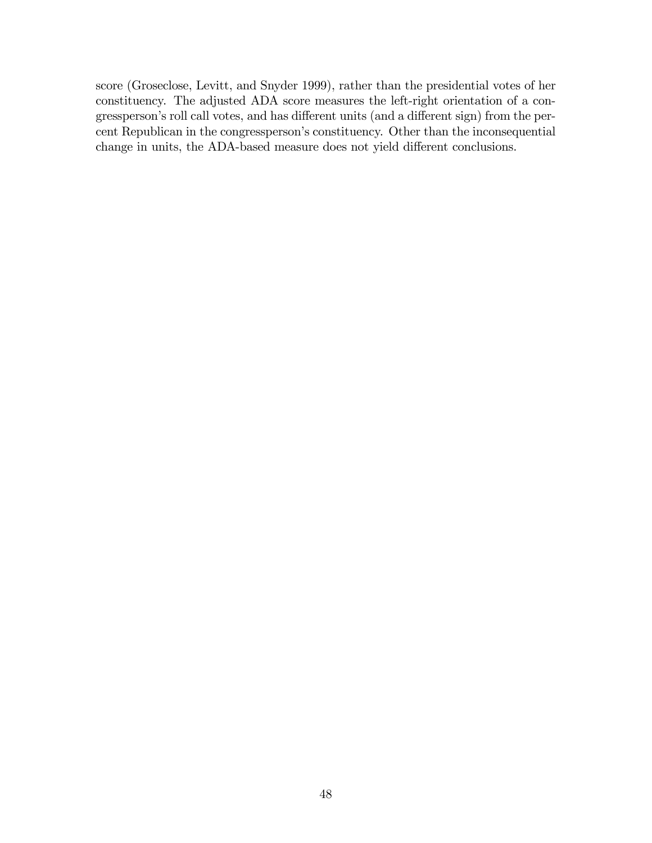score (Groseclose, Levitt, and Snyder 1999), rather than the presidential votes of her constituency. The adjusted ADA score measures the left-right orientation of a congressperson's roll call votes, and has different units (and a different sign) from the percent Republican in the congressperson's constituency. Other than the inconsequential change in units, the ADA-based measure does not yield different conclusions.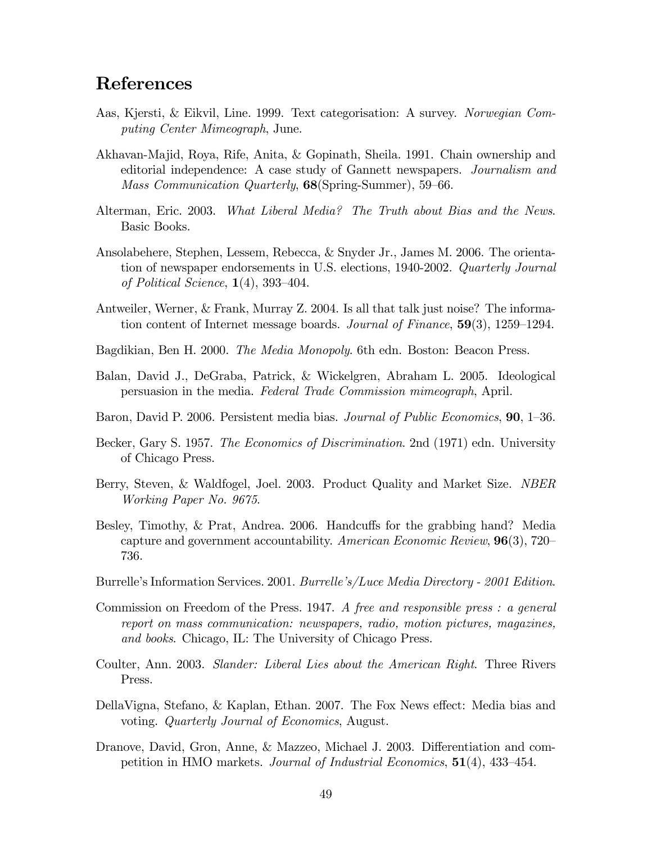# References

- Aas, Kjersti, & Eikvil, Line. 1999. Text categorisation: A survey. Norwegian Computing Center Mimeograph, June.
- Akhavan-Majid, Roya, Rife, Anita, & Gopinath, Sheila. 1991. Chain ownership and editorial independence: A case study of Gannett newspapers. Journalism and Mass Communication Quarterly, 68(Spring-Summer), 59–66.
- Alterman, Eric. 2003. What Liberal Media? The Truth about Bias and the News. Basic Books.
- Ansolabehere, Stephen, Lessem, Rebecca, & Snyder Jr., James M. 2006. The orientation of newspaper endorsements in U.S. elections, 1940-2002. Quarterly Journal of Political Science,  $1(4)$ , 393-404.
- Antweiler, Werner, & Frank, Murray Z. 2004. Is all that talk just noise? The information content of Internet message boards. Journal of Finance,  $59(3)$ ,  $1259-1294$ .
- Bagdikian, Ben H. 2000. The Media Monopoly. 6th edn. Boston: Beacon Press.
- Balan, David J., DeGraba, Patrick, & Wickelgren, Abraham L. 2005. Ideological persuasion in the media. Federal Trade Commission mimeograph, April.
- Baron, David P. 2006. Persistent media bias. Journal of Public Economics, 90, 1–36.
- Becker, Gary S. 1957. *The Economics of Discrimination*. 2nd (1971) edn. University of Chicago Press.
- Berry, Steven, & Waldfogel, Joel. 2003. Product Quality and Market Size. NBER Working Paper No. 9675.
- Besley, Timothy, & Prat, Andrea. 2006. Handcuffs for the grabbing hand? Media capture and government accountability. American Economic Review,  $96(3)$ , 720– 736.
- Burrelle's Information Services. 2001. Burrelle's/Luce Media Directory 2001 Edition.
- Commission on Freedom of the Press. 1947. A free and responsible press : a general report on mass communication: newspapers, radio, motion pictures, magazines, and books. Chicago, IL: The University of Chicago Press.
- Coulter, Ann. 2003. Slander: Liberal Lies about the American Right. Three Rivers Press.
- DellaVigna, Stefano, & Kaplan, Ethan. 2007. The Fox News effect: Media bias and voting. Quarterly Journal of Economics, August.
- Dranove, David, Gron, Anne, & Mazzeo, Michael J. 2003. Differentiation and competition in HMO markets. Journal of Industrial Economics,  $51(4)$ ,  $433-454$ .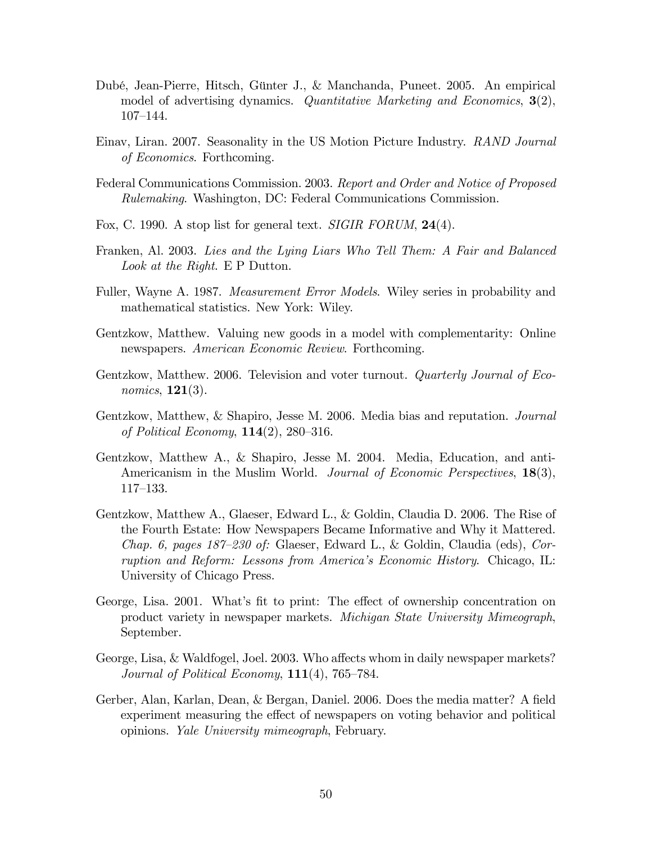- Dubé, Jean-Pierre, Hitsch, Günter J., & Manchanda, Puneet. 2005. An empirical model of advertising dynamics. Quantitative Marketing and Economics,  $3(2)$ , 107-144.
- Einav, Liran. 2007. Seasonality in the US Motion Picture Industry. RAND Journal of Economics. Forthcoming.
- Federal Communications Commission. 2003. Report and Order and Notice of Proposed Rulemaking. Washington, DC: Federal Communications Commission.
- Fox, C. 1990. A stop list for general text. *SIGIR FORUM*, **24**(4).
- Franken, Al. 2003. Lies and the Lying Liars Who Tell Them: A Fair and Balanced Look at the Right. E P Dutton.
- Fuller, Wayne A. 1987. *Measurement Error Models*. Wiley series in probability and mathematical statistics. New York: Wiley.
- Gentzkow, Matthew. Valuing new goods in a model with complementarity: Online newspapers. American Economic Review. Forthcoming.
- Gentzkow, Matthew. 2006. Television and voter turnout. *Quarterly Journal of Eco*nomics, **121**(3).
- Gentzkow, Matthew, & Shapiro, Jesse M. 2006. Media bias and reputation. Journal of Political Economy,  $114(2)$ , 280–316.
- Gentzkow, Matthew A., & Shapiro, Jesse M. 2004. Media, Education, and anti-Americanism in the Muslim World. *Journal of Economic Perspectives*, 18(3),  $117 - 133.$
- Gentzkow, Matthew A., Glaeser, Edward L., & Goldin, Claudia D. 2006. The Rise of the Fourth Estate: How Newspapers Became Informative and Why it Mattered. Chap. 6, pages  $187-230$  of: Glaeser, Edward L., & Goldin, Claudia (eds), Corruption and Reform: Lessons from Americaís Economic History. Chicago, IL: University of Chicago Press.
- George, Lisa. 2001. What's fit to print: The effect of ownership concentration on product variety in newspaper markets. Michigan State University Mimeograph, September.
- George, Lisa, & Waldfogel, Joel. 2003. Who affects whom in daily newspaper markets? Journal of Political Economy,  $111(4)$ , 765–784.
- Gerber, Alan, Karlan, Dean, & Bergan, Daniel. 2006. Does the media matter? A field experiment measuring the effect of newspapers on voting behavior and political opinions. Yale University mimeograph, February.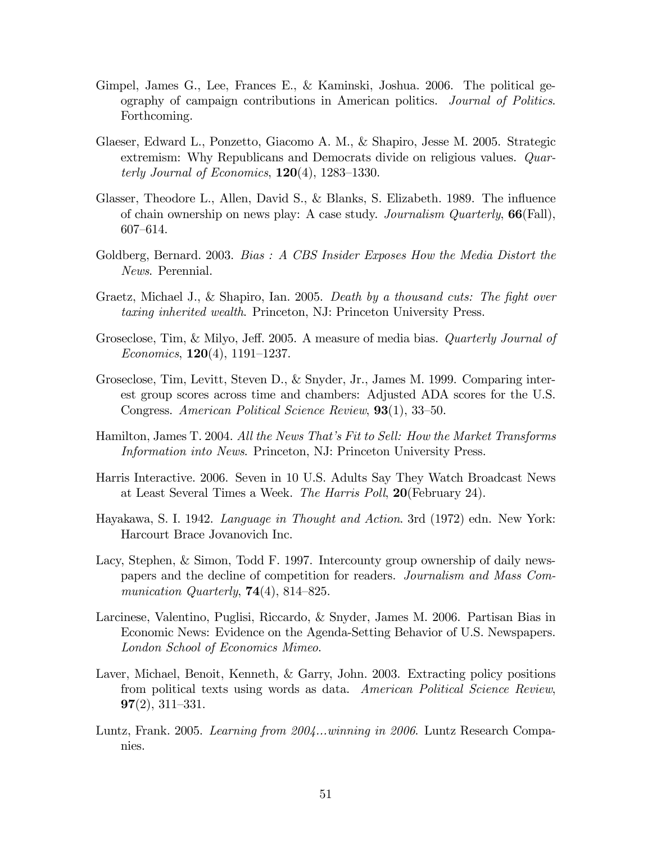- Gimpel, James G., Lee, Frances E., & Kaminski, Joshua. 2006. The political geography of campaign contributions in American politics. Journal of Politics. Forthcoming.
- Glaeser, Edward L., Ponzetto, Giacomo A. M., & Shapiro, Jesse M. 2005. Strategic extremism: Why Republicans and Democrats divide on religious values. Quarterly Journal of Economics,  $120(4)$ ,  $1283-1330$ .
- Glasser, Theodore L., Allen, David S., & Blanks, S. Elizabeth. 1989. The influence of chain ownership on news play: A case study. Journalism Quarterly, 66(Fall), 607–614.
- Goldberg, Bernard. 2003. Bias: A CBS Insider Exposes How the Media Distort the News. Perennial.
- Graetz, Michael J., & Shapiro, Ian. 2005. Death by a thousand cuts: The fight over taxing inherited wealth. Princeton, NJ: Princeton University Press.
- Groseclose, Tim, & Milyo, Jeff. 2005. A measure of media bias. *Quarterly Journal of* Economics,  $120(4)$ ,  $1191-1237$ .
- Groseclose, Tim, Levitt, Steven D., & Snyder, Jr., James M. 1999. Comparing interest group scores across time and chambers: Adjusted ADA scores for the U.S. Congress. American Political Science Review,  $93(1)$ ,  $33-50$ .
- Hamilton, James T. 2004. All the News That's Fit to Sell: How the Market Transforms Information into News. Princeton, NJ: Princeton University Press.
- Harris Interactive. 2006. Seven in 10 U.S. Adults Say They Watch Broadcast News at Least Several Times a Week. The Harris Poll, 20(February 24).
- Hayakawa, S. I. 1942. Language in Thought and Action. 3rd (1972) edn. New York: Harcourt Brace Jovanovich Inc.
- Lacy, Stephen, & Simon, Todd F. 1997. Intercounty group ownership of daily newspapers and the decline of competition for readers. Journalism and Mass Communication Quarterly,  $74(4)$ , 814–825.
- Larcinese, Valentino, Puglisi, Riccardo, & Snyder, James M. 2006. Partisan Bias in Economic News: Evidence on the Agenda-Setting Behavior of U.S. Newspapers. London School of Economics Mimeo.
- Laver, Michael, Benoit, Kenneth, & Garry, John. 2003. Extracting policy positions from political texts using words as data. American Political Science Review,  $97(2), 311-331.$
- Luntz, Frank. 2005. Learning from 2004...winning in 2006. Luntz Research Companies.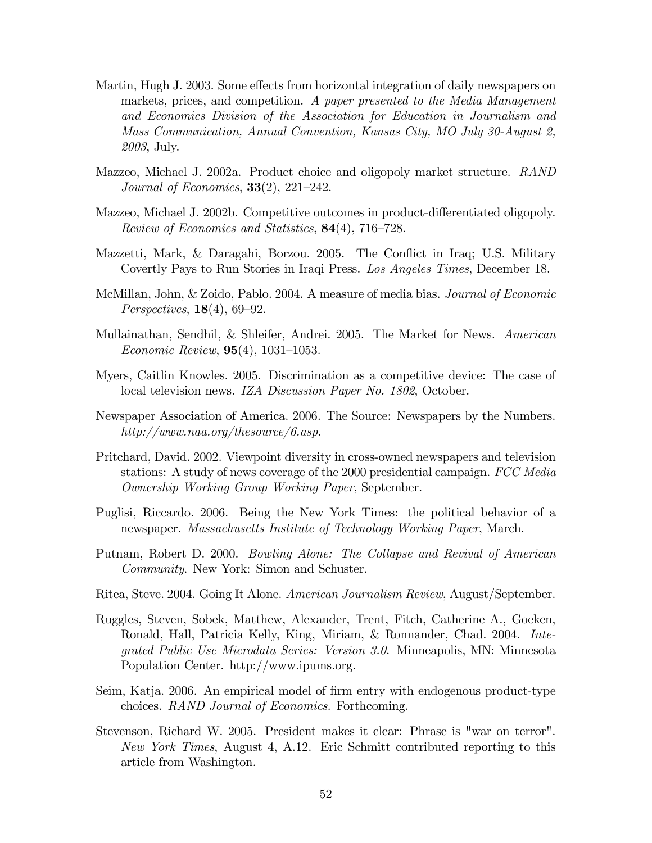- Martin, Hugh J. 2003. Some effects from horizontal integration of daily newspapers on markets, prices, and competition. A paper presented to the Media Management and Economics Division of the Association for Education in Journalism and Mass Communication, Annual Convention, Kansas City, MO July 30-August 2, 2003, July.
- Mazzeo, Michael J. 2002a. Product choice and oligopoly market structure. RAND Journal of Economics,  $33(2)$ ,  $221-242$ .
- Mazzeo, Michael J. 2002b. Competitive outcomes in product-differentiated oligopoly. Review of Economics and Statistics,  $84(4)$ , 716–728.
- Mazzetti, Mark, & Daragahi, Borzou. 2005. The Conáict in Iraq; U.S. Military Covertly Pays to Run Stories in Iraqi Press. Los Angeles Times, December 18.
- McMillan, John, & Zoido, Pablo. 2004. A measure of media bias. *Journal of Economic* Perspectives,  $18(4)$ , 69–92.
- Mullainathan, Sendhil, & Shleifer, Andrei. 2005. The Market for News. American Economic Review,  $95(4)$ , 1031-1053.
- Myers, Caitlin Knowles. 2005. Discrimination as a competitive device: The case of local television news. IZA Discussion Paper No. 1802, October.
- Newspaper Association of America. 2006. The Source: Newspapers by the Numbers. http://www.naa.org/thesource/6.asp.
- Pritchard, David. 2002. Viewpoint diversity in cross-owned newspapers and television stations: A study of news coverage of the 2000 presidential campaign. FCC Media Ownership Working Group Working Paper, September.
- Puglisi, Riccardo. 2006. Being the New York Times: the political behavior of a newspaper. Massachusetts Institute of Technology Working Paper, March.
- Putnam, Robert D. 2000. Bowling Alone: The Collapse and Revival of American Community. New York: Simon and Schuster.
- Ritea, Steve. 2004. Going It Alone. American Journalism Review, August/September.
- Ruggles, Steven, Sobek, Matthew, Alexander, Trent, Fitch, Catherine A., Goeken, Ronald, Hall, Patricia Kelly, King, Miriam, & Ronnander, Chad. 2004. Integrated Public Use Microdata Series: Version 3.0. Minneapolis, MN: Minnesota Population Center. http://www.ipums.org.
- Seim, Katja. 2006. An empirical model of firm entry with endogenous product-type choices. RAND Journal of Economics. Forthcoming.
- Stevenson, Richard W. 2005. President makes it clear: Phrase is "war on terror". New York Times, August 4, A.12. Eric Schmitt contributed reporting to this article from Washington.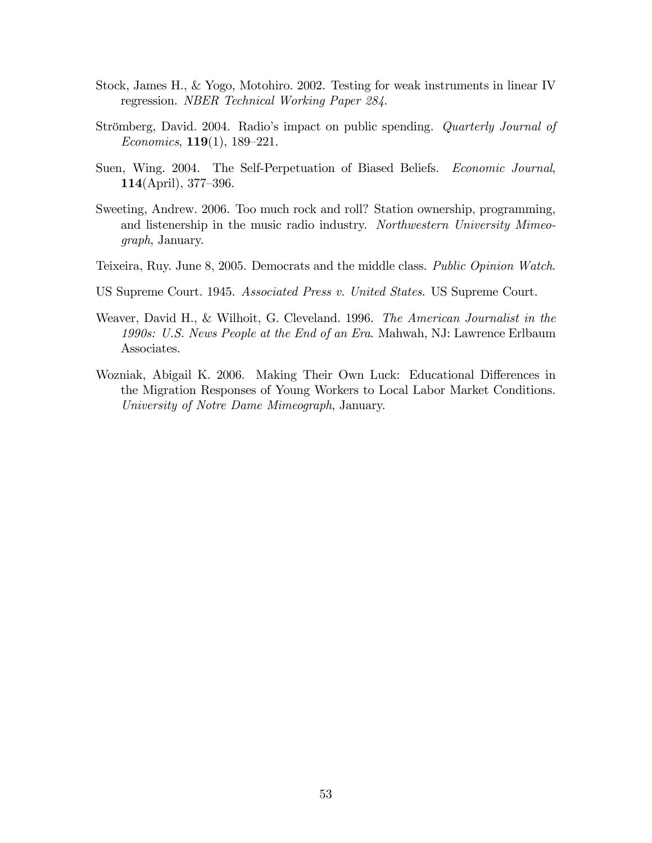- Stock, James H., & Yogo, Motohiro. 2002. Testing for weak instruments in linear IV regression. NBER Technical Working Paper 284.
- Strömberg, David. 2004. Radio's impact on public spending. *Quarterly Journal of* Economics,  $119(1)$ ,  $189-221$ .
- Suen, Wing. 2004. The Self-Perpetuation of Biased Beliefs. *Economic Journal*, 114(April),  $377-396$ .
- Sweeting, Andrew. 2006. Too much rock and roll? Station ownership, programming, and listenership in the music radio industry. Northwestern University Mimeograph, January.
- Teixeira, Ruy. June 8, 2005. Democrats and the middle class. Public Opinion Watch.
- US Supreme Court. 1945. Associated Press v. United States. US Supreme Court.
- Weaver, David H., & Wilhoit, G. Cleveland. 1996. The American Journalist in the 1990s: U.S. News People at the End of an Era. Mahwah, NJ: Lawrence Erlbaum Associates.
- Wozniak, Abigail K. 2006. Making Their Own Luck: Educational Differences in the Migration Responses of Young Workers to Local Labor Market Conditions. University of Notre Dame Mimeograph, January.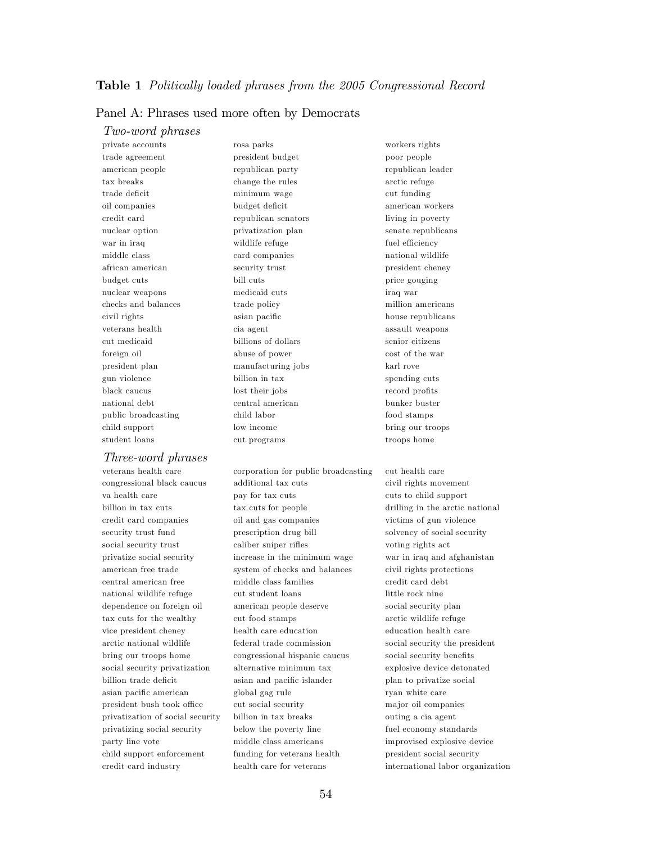#### Panel A: Phrases used more often by Democrats

#### Two-word phrases

private accounts rosa parks workers rights trade agreement president budget poor people american people republican party republican cader tax breaks change the rules arctic refuge trade deficit minimum wage cut funding oil companies budget deficit american workers american workers credit card republican senators living in poverty nuclear option privatization plan senate republicans war in iraq wildlife refuge fuel efficiency middle class card companies national wildlife african american security trust president cheney budget cuts bill cuts bill cuts price gouging nuclear weapons medicaid cuts iraq war checks and balances trade policy million americans civil rights asian pacific house republicans veterans health cia agent assault weapons cut medicaid billions of dollars senior citizens foreign oil abuse of power cost of the war president plan manufacturing jobs karl rove gun violence billion in tax spending cuts black caucus and lost their jobs record profits record profits national debt central american bunker buster public broadcasting child labor food stamps child support low income bring our troops student loans cut programs troops home

#### Three-word phrases

veterans health care corporation for public broadcasting cut health care congressional black caucus additional tax cuts civil rights movement va health care **pay** for tax cuts cuts cuts cuts to child support billion in tax cuts tax cuts for people drilling in the arctic national credit card companies oil and gas companies victims of gun violence security trust fund prescription drug bill solvency of social security social security trust caliber sniper rifles voting rights act privatize social security increase in the minimum wage war in iraq and afghanistan american free trade system of checks and balances civil rights protections central american free middle class families credit card debt national wildlife refuge cut student loans little rock nine dependence on foreign oil american people deserve social security plan tax cuts for the wealthy cut food stamps arctic wildlife refuge vice president cheney health care education education health care arctic national wildlife federal trade commission social security the president bring our troops home congressional hispanic caucus social security benefits social security privatization alternative minimum tax explosive device detonated billion trade deficit asian and pacific islander plan to privatize social asian pacific american global gag rule ryan white care president bush took office cut social security major oil companies privatization of social security billion in tax breaks outing a cia agent privatizing social security below the poverty line fuel economy standards party line vote middle class americans improvised explosive device child support enforcement funding for veterans health president social security credit card industry health care for veterans international labor organization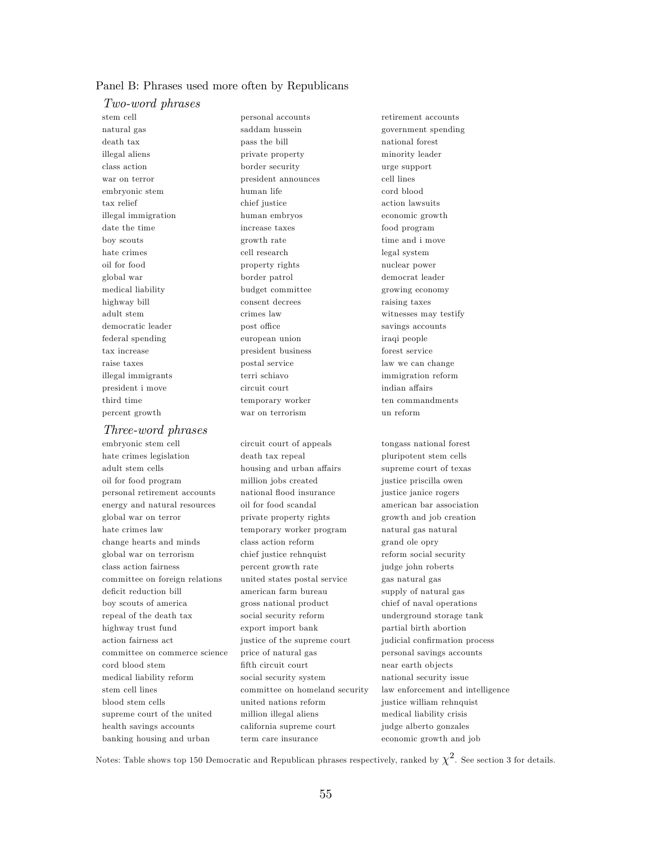#### Panel B: Phrases used more often by Republicans

#### Two-word phrases

stem cell personal accounts retirement accounts death tax pass the bill national forest illegal aliens private property minority leader class action border security urge support war on terror **president announces** cell lines embryonic stem human life cord blood tax relief chief justice action lawsuits illegal immigration human embryos economic growth date the time increase taxes food program boy scouts growth rate time and i move hate crimes cell research legal system oil for food property rights nuclear power global war border patrol democrat leader medical liability budget committee growing economy highway bill consent decrees raising taxes adult stem crimes law crimes law witnesses may testify democratic leader **post office** savings accounts federal spending european union iraqi people tax increase president business forest service raise taxes postal service law we can change illegal immigrants terri schiavo immigration reform president i move circuit court indian affairs third time temporary worker ten commandments

#### Three-word phrases

hate crimes legislation death tax repeal pluripotent stem cells adult stem cells housing and urban affairs supreme court of texas oil for food program million jobs created justice priscilla owen personal retirement accounts national áood insurance justice janice rogers energy and natural resources oil for food scandal american bar association global war on terror private property rights growth and job creation hate crimes law temporary worker program natural gas natural change hearts and minds class action reform grand ole opry global war on terrorism chief justice rehnquist reform social security class action fairness percent growth rate judge john roberts committee on foreign relations united states postal service gas natural gas deficit reduction bill american farm bureau supply of natural gas boy scouts of america gross national product chief of naval operations repeal of the death tax social security reform underground storage tank highway trust fund export import bank partial birth abortion action fairness act justice of the supreme court judicial confirmation process committee on commerce science price of natural gas personal savings accounts cord blood stem Öfth circuit court near earth ob jects medical liability reform social security system national security issue blood stem cells united nations reform justice william rehnquist supreme court of the united million illegal aliens medical liability crisis health savings accounts california supreme court judge alberto gonzales

percent growth war on terrorism un reform

banking housing and urban term care insurance economic growth and job

natural gas saddam hussein government spending

embryonic stem cell circuit court of appeals tongass national forest stem cell lines committee on homeland security law enforcement and intelligence

Notes: Table shows top 150 Democratic and Republican phrases respectively, ranked by  $\chi^2$ . See section 3 for details.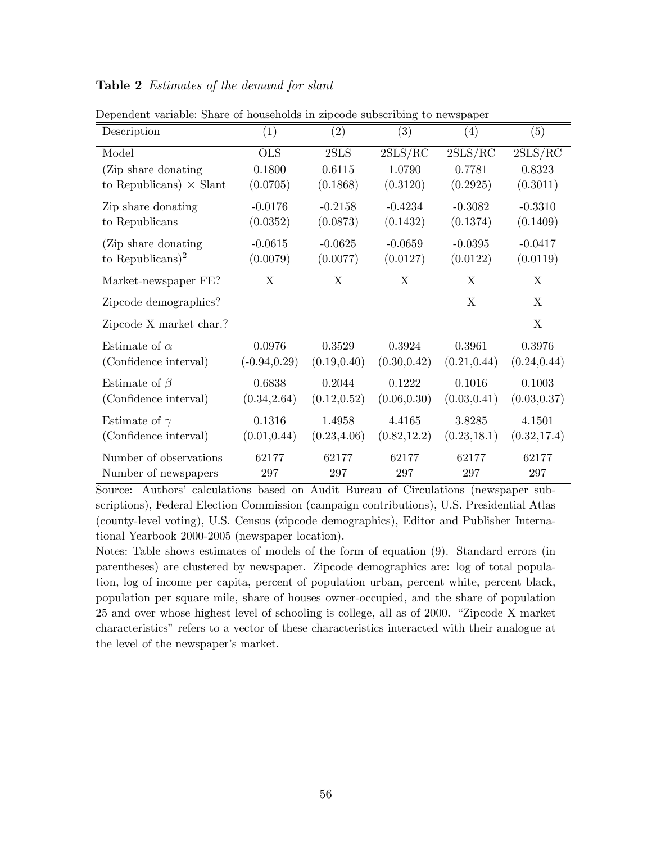### Table 2 Estimates of the demand for slant

| Description                    | (1)             | (2)          | (3)          | (4)          | (5)          |
|--------------------------------|-----------------|--------------|--------------|--------------|--------------|
| Model                          | <b>OLS</b>      | 2SLS         | 2SLS/RC      | 2SLS/RC      | 2SLS/RC      |
| (Zip share donating)           | 0.1800          | 0.6115       | 1.0790       | 0.7781       | 0.8323       |
| to Republicans) $\times$ Slant | (0.0705)        | (0.1868)     | (0.3120)     | (0.2925)     | (0.3011)     |
| Zip share donating             | $-0.0176$       | $-0.2158$    | $-0.4234$    | $-0.3082$    | $-0.3310$    |
| to Republicans                 | (0.0352)        | (0.0873)     | (0.1432)     | (0.1374)     | (0.1409)     |
| (Zip share donating)           | $-0.0615$       | $-0.0625$    | $-0.0659$    | $-0.0395$    | $-0.0417$    |
| to Republicans) <sup>2</sup>   | (0.0079)        | (0.0077)     | (0.0127)     | (0.0122)     | (0.0119)     |
| Market-newspaper FE?           | X               | X            | X            | X            | X            |
| Zipcode demographics?          |                 |              |              | X            | X            |
| Zipcode X market char.?        |                 |              |              |              | X            |
| Estimate of $\alpha$           | 0.0976          | 0.3529       | 0.3924       | 0.3961       | 0.3976       |
| (Confidence interval)          | $(-0.94, 0.29)$ | (0.19, 0.40) | (0.30, 0.42) | (0.21, 0.44) | (0.24, 0.44) |
| Estimate of $\beta$            | 0.6838          | 0.2044       | 0.1222       | 0.1016       | 0.1003       |
| (Confidence interval)          | (0.34, 2.64)    | (0.12, 0.52) | (0.06, 0.30) | (0.03, 0.41) | (0.03, 0.37) |
| Estimate of $\gamma$           | 0.1316          | 1.4958       | 4.4165       | 3.8285       | 4.1501       |
| (Confidence interval)          | (0.01, 0.44)    | (0.23, 4.06) | (0.82, 12.2) | (0.23, 18.1) | (0.32, 17.4) |
| Number of observations         | 62177           | 62177        | 62177        | 62177        | 62177        |
| Number of newspapers           | 297             | 297          | 297          | 297          | 297          |

Dependent variable: Share of households in zipcode subscribing to newspaper

Source: Authors' calculations based on Audit Bureau of Circulations (newspaper subscriptions), Federal Election Commission (campaign contributions), U.S. Presidential Atlas (county-level voting), U.S. Census (zipcode demographics), Editor and Publisher International Yearbook 2000-2005 (newspaper location).

Notes: Table shows estimates of models of the form of equation (9). Standard errors (in parentheses) are clustered by newspaper. Zipcode demographics are: log of total population, log of income per capita, percent of population urban, percent white, percent black, population per square mile, share of houses owner-occupied, and the share of population  $25$  and over whose highest level of schooling is college, all as of  $2000$ . "Zipcode X market characteristicsî refers to a vector of these characteristics interacted with their analogue at the level of the newspaper's market.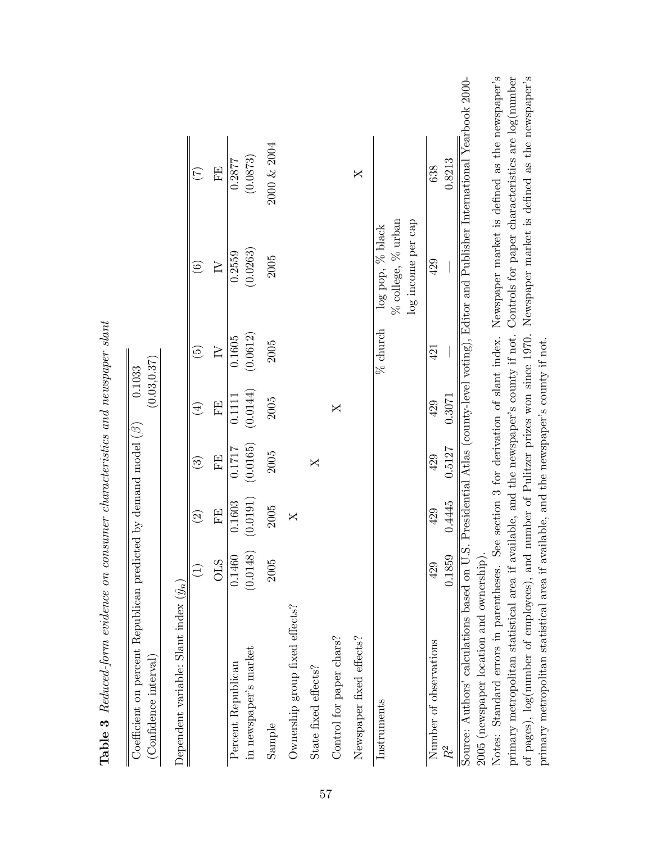| Coefficient on percent Republican predicted by demand model $(\beta)$<br>(Confidence interval)                                                                                      |                    |                    |                          | (0.03, 0.37)<br>0.1033 |                          |                                                                          |                    |  |
|-------------------------------------------------------------------------------------------------------------------------------------------------------------------------------------|--------------------|--------------------|--------------------------|------------------------|--------------------------|--------------------------------------------------------------------------|--------------------|--|
| Dependent variable: Slant index $(\hat{y}_n)$                                                                                                                                       |                    |                    |                          |                        |                          |                                                                          |                    |  |
|                                                                                                                                                                                     |                    | $\widehat{\infty}$ | $\widehat{\mathfrak{S}}$ | $\widehat{\mathbb{F}}$ | $\widetilde{\mathbb{G}}$ | $\widehat{\odot}$                                                        |                    |  |
|                                                                                                                                                                                     | <b>OLS</b>         | FE                 | FE                       | FE                     | $\sum$                   | $\geq$                                                                   | FE                 |  |
| in newspaper's market<br>Percent Republican                                                                                                                                         | 0.1460<br>(0.0148) | (0.0191)<br>0.1603 | (0.0165)<br>0.1717       | (0.0144)<br>0.1111     | (0.0612)<br>0.1605       | (0.0263)<br>0.2559                                                       | (0.0873)<br>0.2877 |  |
| Sample                                                                                                                                                                              | 2005               | 2005               | 2005                     | 2005                   | 2005                     | 2005                                                                     | 2000 & 2004        |  |
| Ownership group fixed effects?                                                                                                                                                      |                    | X                  |                          |                        |                          |                                                                          |                    |  |
| State fixed effects?                                                                                                                                                                |                    |                    | X                        |                        |                          |                                                                          |                    |  |
| Control for paper chars?                                                                                                                                                            |                    |                    |                          | X                      |                          |                                                                          |                    |  |
| Newspaper fixed effects?                                                                                                                                                            |                    |                    |                          |                        |                          |                                                                          | X                  |  |
| Instruments                                                                                                                                                                         |                    |                    |                          |                        | $%$ church               | $\%$ college, $\%$ urban<br>log income per cap<br>$\log$ pop, $\%$ black |                    |  |
| Number of observations                                                                                                                                                              | 429                | 429                | 429                      | 429                    | 421                      | 429                                                                      | 638                |  |
| $R^\mathrm{2}$                                                                                                                                                                      | 0.1859             | 0.4445             | 0.5127                   | 0.3071                 |                          |                                                                          | 0.8213             |  |
| Source: Authors' calculations based on U.S. Presidential Atlas (county-level voting), Editor and Publisher International Yearbook 2000-<br>2005 (newspaper location and ownership). |                    |                    |                          |                        |                          |                                                                          |                    |  |

Notes: Standard errors in parentheses. See section 3 for derivation of slant index. Newspaper market is defined as the newspaper's primary metropolitan statistical area if available, and the newspaperís county if not. Controls for paper characteristics are log(number of pages), log(number of employees), and number of Pulitzer prizes won since 1970. Newspaper market is defined as the newspaper's

Notes: Standard errors in parentheses. See section 3 for derivation of slant index. Newspaper market is defined as the newspaper's primary metropolitan statistical area if available, and the newspaper's county if not. Controls for paper characteristics are log(number of pages), log(number of employees), and number of Pulitzer prizes won since 1970. Newspaper market is defined as the newspaper's

primary metropolitan statistical area if available, and the newspaperís county if not.

primary metropolitan statistical area if available, and the newspaper's county if not.

Table 3 Reduced-form evidence on consumer characteristics and newspaper slant **Table 3** Reduced-form evidence on consumer characteristics and newspaper slant

57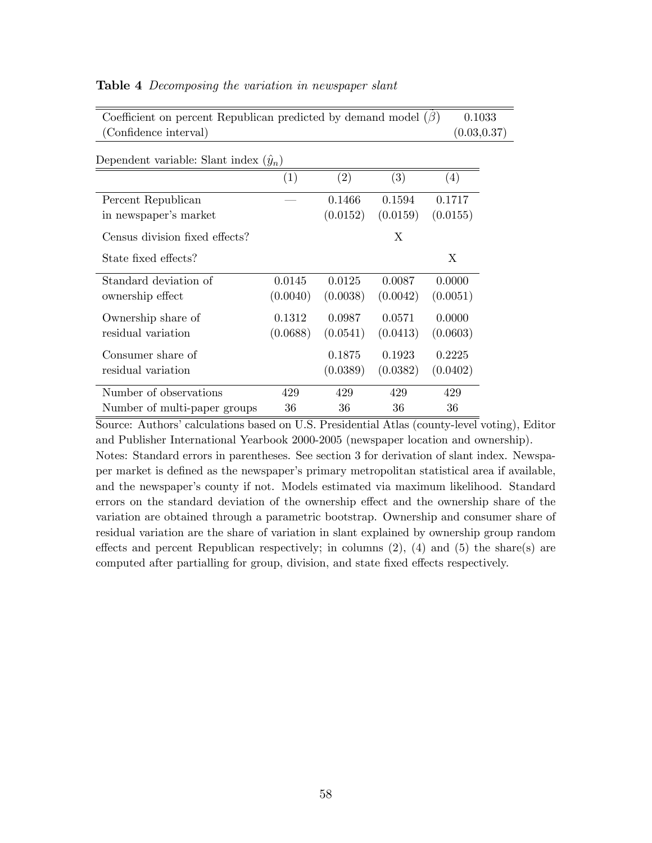| (Confidence interval)                         |          |          |          | (0.03, 0.37) |  |
|-----------------------------------------------|----------|----------|----------|--------------|--|
| Dependent variable: Slant index $(\hat{y}_n)$ |          |          |          |              |  |
|                                               | (1)      | (2)      | (3)      | (4)          |  |
| Percent Republican                            |          | 0.1466   | 0.1594   | 0.1717       |  |
| in newspaper's market                         |          | (0.0152) | (0.0159) | (0.0155)     |  |
| Census division fixed effects?                |          |          | X        |              |  |
| State fixed effects?                          |          |          |          | X            |  |
| Standard deviation of                         | 0.0145   | 0.0125   | 0.0087   | 0.0000       |  |
| ownership effect                              | (0.0040) | (0.0038) | (0.0042) | (0.0051)     |  |
| Ownership share of                            | 0.1312   | 0.0987   | 0.0571   | 0.0000       |  |
| residual variation                            | (0.0688) | (0.0541) | (0.0413) | (0.0603)     |  |
| Consumer share of                             |          | 0.1875   | 0.1923   | 0.2225       |  |
| residual variation                            |          | (0.0389) | (0.0382) | (0.0402)     |  |
| Number of observations                        | 429      | 429      | 429      | 429          |  |
| Number of multi-paper groups                  | 36       | 36       | 36       | 36           |  |

Coefficient on percent Republican predicted by demand model  $(\beta)$  0.1033

#### Table 4 Decomposing the variation in newspaper slant

Source: Authors' calculations based on U.S. Presidential Atlas (county-level voting), Editor and Publisher International Yearbook 2000-2005 (newspaper location and ownership). Notes: Standard errors in parentheses. See section 3 for derivation of slant index. Newspaper market is deÖned as the newspaperís primary metropolitan statistical area if available, and the newspaper's county if not. Models estimated via maximum likelihood. Standard errors on the standard deviation of the ownership effect and the ownership share of the variation are obtained through a parametric bootstrap. Ownership and consumer share of residual variation are the share of variation in slant explained by ownership group random effects and percent Republican respectively; in columns  $(2)$ ,  $(4)$  and  $(5)$  the share(s) are computed after partialling for group, division, and state fixed effects respectively.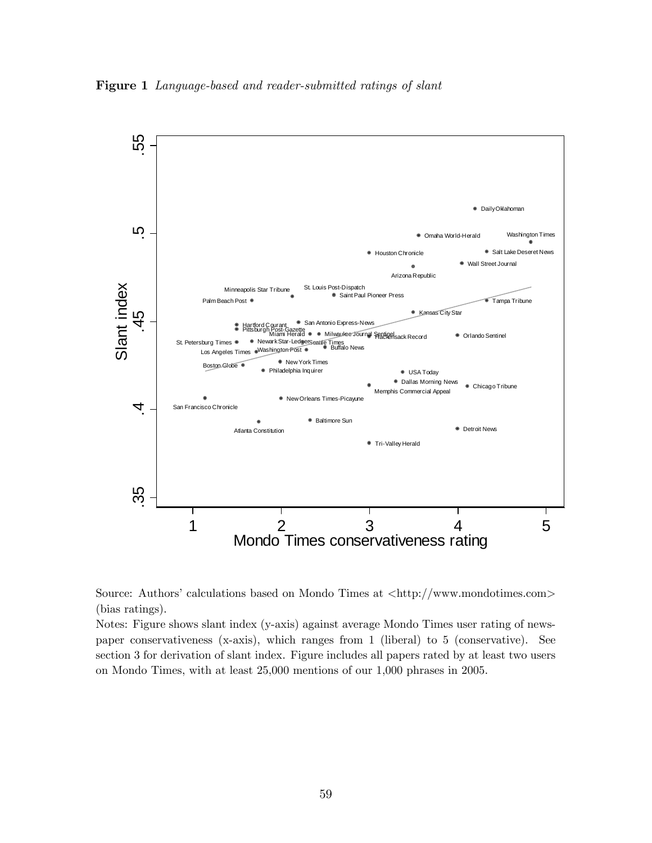Figure 1 Language-based and reader-submitted ratings of slant





Notes: Figure shows slant index (y-axis) against average Mondo Times user rating of newspaper conservativeness (x-axis), which ranges from 1 (liberal) to 5 (conservative). See section 3 for derivation of slant index. Figure includes all papers rated by at least two users on Mondo Times, with at least 25,000 mentions of our 1,000 phrases in 2005.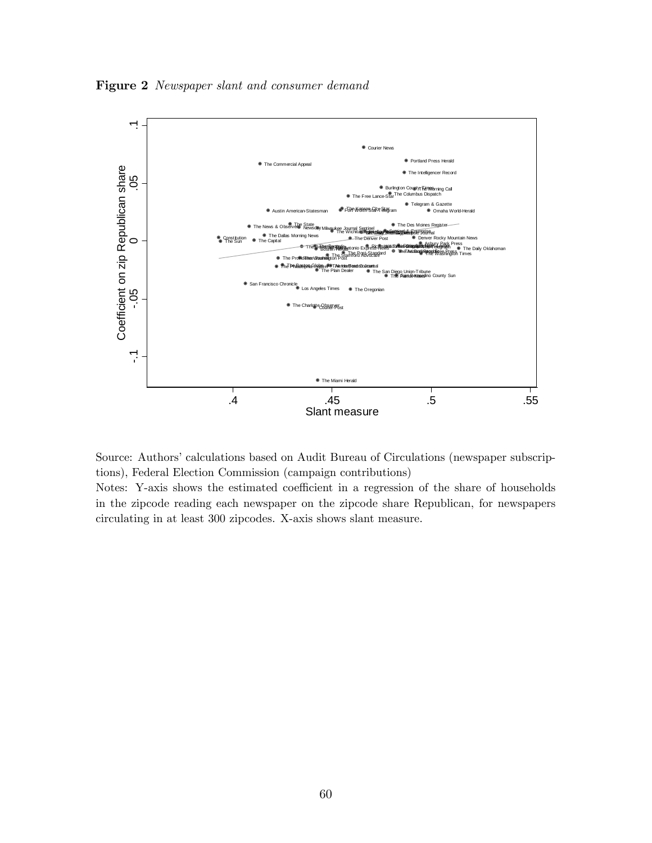Figure 2 Newspaper slant and consumer demand



Source: Authors' calculations based on Audit Bureau of Circulations (newspaper subscriptions), Federal Election Commission (campaign contributions)

Notes: Y-axis shows the estimated coefficient in a regression of the share of households in the zipcode reading each newspaper on the zipcode share Republican, for newspapers circulating in at least 300 zipcodes. X-axis shows slant measure.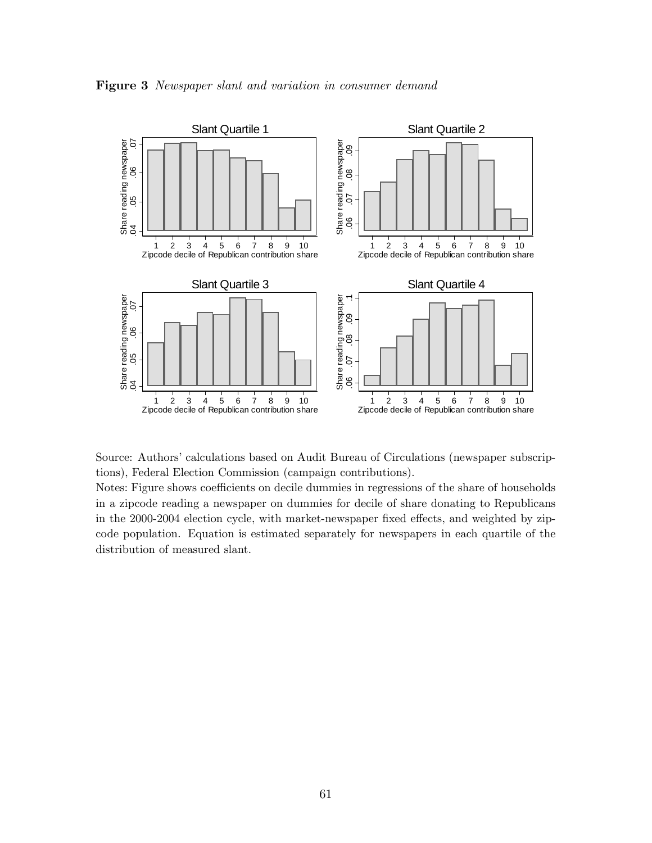Figure 3 Newspaper slant and variation in consumer demand



Source: Authors' calculations based on Audit Bureau of Circulations (newspaper subscriptions), Federal Election Commission (campaign contributions).

Notes: Figure shows coefficients on decile dummies in regressions of the share of households in a zipcode reading a newspaper on dummies for decile of share donating to Republicans in the 2000-2004 election cycle, with market-newspaper fixed effects, and weighted by zipcode population. Equation is estimated separately for newspapers in each quartile of the distribution of measured slant.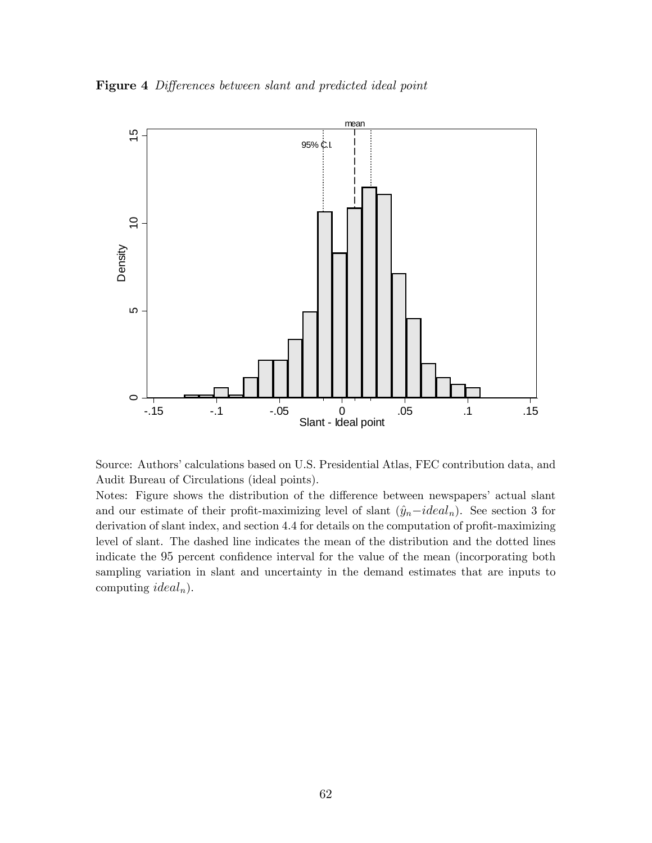Figure 4 Differences between slant and predicted ideal point



Source: Authors' calculations based on U.S. Presidential Atlas, FEC contribution data, and Audit Bureau of Circulations (ideal points).

Notes: Figure shows the distribution of the difference between newspapers' actual slant and our estimate of their profit-maximizing level of slant  $(\hat{y}_n - ideal_n)$ . See section 3 for derivation of slant index, and section 4.4 for details on the computation of profit-maximizing level of slant. The dashed line indicates the mean of the distribution and the dotted lines indicate the 95 percent confidence interval for the value of the mean (incorporating both sampling variation in slant and uncertainty in the demand estimates that are inputs to computing *ideal<sub>n</sub>*).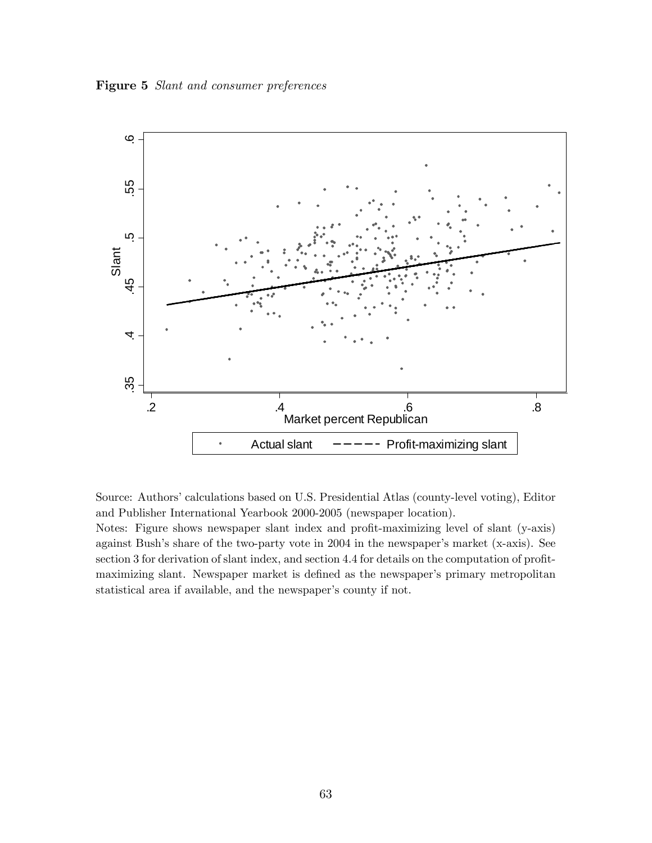Figure 5 Slant and consumer preferences



Source: Authors' calculations based on U.S. Presidential Atlas (county-level voting), Editor and Publisher International Yearbook 2000-2005 (newspaper location).

Notes: Figure shows newspaper slant index and profit-maximizing level of slant (y-axis) against Bush's share of the two-party vote in 2004 in the newspaper's market (x-axis). See section 3 for derivation of slant index, and section 4.4 for details on the computation of profitmaximizing slant. Newspaper market is defined as the newspaper's primary metropolitan statistical area if available, and the newspaper's county if not.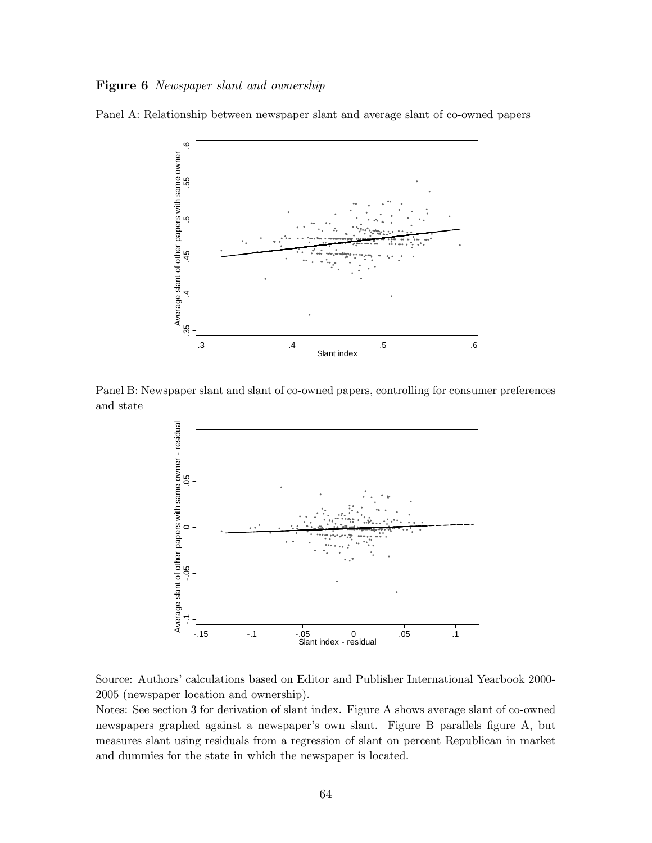### Figure 6 Newspaper slant and ownership

Panel A: Relationship between newspaper slant and average slant of co-owned papers



Panel B: Newspaper slant and slant of co-owned papers, controlling for consumer preferences and state



Source: Authors' calculations based on Editor and Publisher International Yearbook 2000-2005 (newspaper location and ownership).

Notes: See section 3 for derivation of slant index. Figure A shows average slant of co-owned newspapers graphed against a newspaper's own slant. Figure B parallels figure A, but measures slant using residuals from a regression of slant on percent Republican in market and dummies for the state in which the newspaper is located.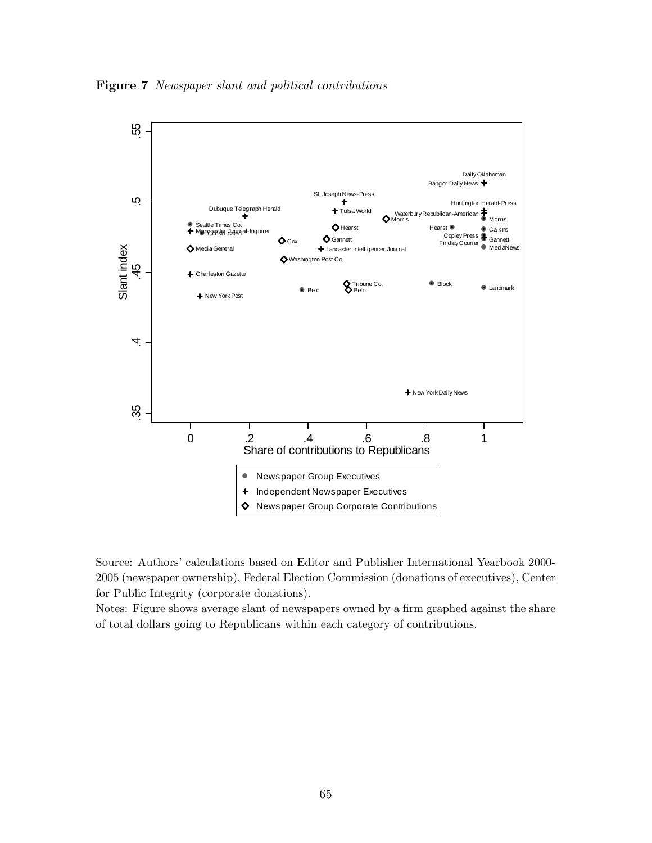Figure 7 Newspaper slant and political contributions



Source: Authors' calculations based on Editor and Publisher International Yearbook 2000-2005 (newspaper ownership), Federal Election Commission (donations of executives), Center for Public Integrity (corporate donations).

Notes: Figure shows average slant of newspapers owned by a firm graphed against the share of total dollars going to Republicans within each category of contributions.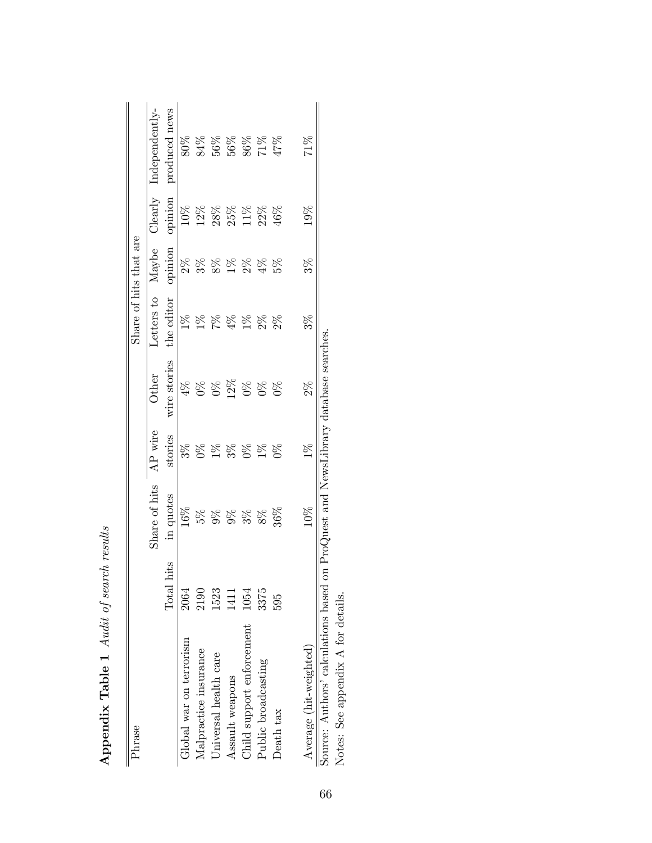| Phrase                                                                            |            |               |         |              | Share of hits that are |         |         |                    |
|-----------------------------------------------------------------------------------|------------|---------------|---------|--------------|------------------------|---------|---------|--------------------|
|                                                                                   |            |               |         |              |                        |         |         |                    |
|                                                                                   |            | Share of hits | AP wire | Other        | Letters to             | Maybe   | Clearly | Independently-     |
|                                                                                   | Total hits | in quotes     | stories | wire stories | the editor             | opinion | opinion | produced news      |
| Global war on terrorism                                                           | 2064       | $16\%$        | $3\%$   | $4\%$        | $1\%$                  | $2\%$   | $10\%$  | 80%                |
| Malpractice insurance                                                             | 2190       |               | $0\%$   | $0\%$        | $1\%$                  | $3\%$   | 12%     | 84%                |
| Universal health care                                                             | 1523       |               | $1\%$   |              | $\mathbb{Z}_6$         | $8\%$   | 28%     | $56\%$             |
| Assault weapons                                                                   | 1411       | 588           | $3\%$   | 12%          | $4\%$                  | $1\%$   | 25%     |                    |
| Child support enforcement                                                         | 1054       | $3\%$         | $\Im$   | $\%$         | $1\%$                  | $2\%$   | 11%     | $\frac{268}{17\%}$ |
| Public broadcasting                                                               | 3375       | $8\%$         | $1\%$   | $0\%$        | $2\%$                  | 4%      | 22%     |                    |
| Death tax                                                                         | 595        | 36%           | $0\%$   | $0\%$        | $2\%$                  | $5\%$   | 16%     |                    |
| Average (hit-weighted)                                                            |            | 10%           | $1\%$   | $2\%$        | $3\%$                  | $3\%$   | 19%     | $71\%$             |
| Source: Authors' calculations based on ProQuest and NewsLibrary database searches |            |               |         |              |                        |         |         |                    |

Appendix Table 1 Audit of search results Appendix Table 1 Audit of search results

Notes: See appendix A for details.

Notes: See appendix A for details.